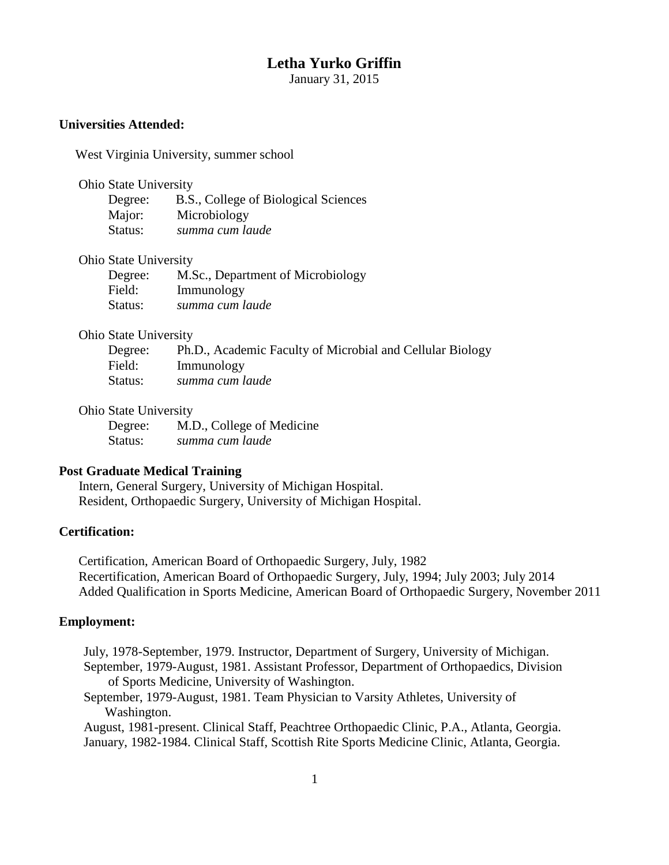### **Letha Yurko Griffin**

January 31, 2015

### **Universities Attended:**

West Virginia University, summer school

Ohio State University

| Degree: | B.S., College of Biological Sciences |
|---------|--------------------------------------|
| Major:  | Microbiology                         |
| Status: | summa cum laude                      |

#### Ohio State University

| Degree: | M.Sc., Department of Microbiology |
|---------|-----------------------------------|
| Field:  | Immunology                        |
| Status: | summa cum laude                   |

### Ohio State University

| Degree: | Ph.D., Academic Faculty of Microbial and Cellular Biology |
|---------|-----------------------------------------------------------|
| Field:  | Immunology                                                |
| Status: | summa cum laude                                           |

#### Ohio State University

 Degree: M.D., College of Medicine Status: *summa cum laude*

### **Post Graduate Medical Training**

Intern, General Surgery, University of Michigan Hospital. Resident, Orthopaedic Surgery, University of Michigan Hospital.

## **Certification:**

Certification, American Board of Orthopaedic Surgery, July, 1982 Recertification, American Board of Orthopaedic Surgery, July, 1994; July 2003; July 2014 Added Qualification in Sports Medicine, American Board of Orthopaedic Surgery, November 2011

### **Employment:**

July, 1978-September, 1979. Instructor, Department of Surgery, University of Michigan. September, 1979-August, 1981. Assistant Professor, Department of Orthopaedics, Division

of Sports Medicine, University of Washington.

September, 1979-August, 1981. Team Physician to Varsity Athletes, University of Washington.

August, 1981-present. Clinical Staff, Peachtree Orthopaedic Clinic, P.A., Atlanta, Georgia. January, 1982-1984. Clinical Staff, Scottish Rite Sports Medicine Clinic, Atlanta, Georgia.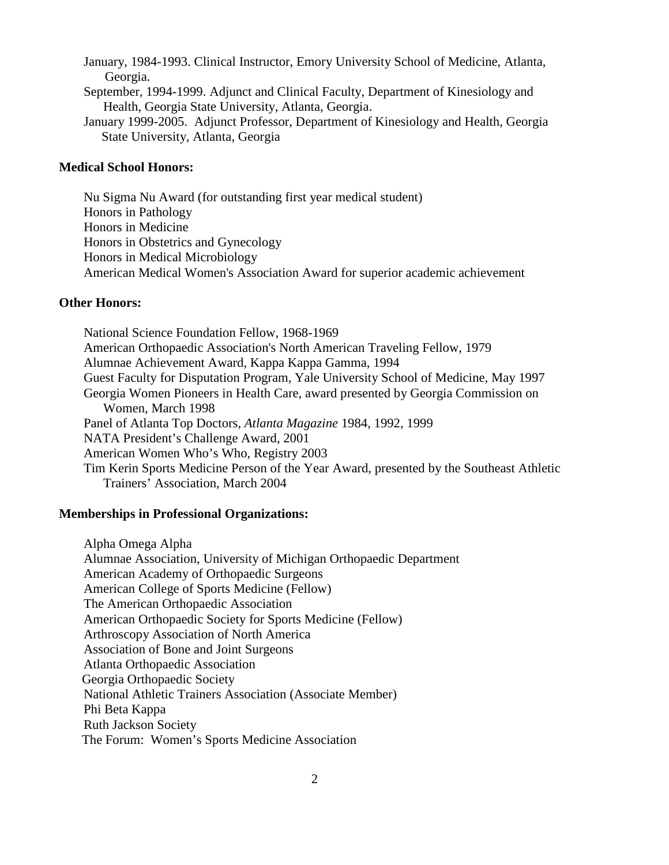January, 1984-1993. Clinical Instructor, Emory University School of Medicine, Atlanta, Georgia.

- September, 1994-1999. Adjunct and Clinical Faculty, Department of Kinesiology and Health, Georgia State University, Atlanta, Georgia.
- January 1999-2005. Adjunct Professor, Department of Kinesiology and Health, Georgia State University, Atlanta, Georgia

#### **Medical School Honors:**

Nu Sigma Nu Award (for outstanding first year medical student) Honors in Pathology Honors in Medicine Honors in Obstetrics and Gynecology Honors in Medical Microbiology American Medical Women's Association Award for superior academic achievement

### **Other Honors:**

National Science Foundation Fellow, 1968-1969 American Orthopaedic Association's North American Traveling Fellow, 1979 Alumnae Achievement Award, Kappa Kappa Gamma, 1994 Guest Faculty for Disputation Program, Yale University School of Medicine, May 1997 Georgia Women Pioneers in Health Care, award presented by Georgia Commission on Women, March 1998 Panel of Atlanta Top Doctors, *Atlanta Magazine* 1984, 1992, 1999 NATA President's Challenge Award, 2001 American Women Who's Who, Registry 2003 Tim Kerin Sports Medicine Person of the Year Award, presented by the Southeast Athletic Trainers' Association, March 2004

#### **Memberships in Professional Organizations:**

Alpha Omega Alpha Alumnae Association, University of Michigan Orthopaedic Department American Academy of Orthopaedic Surgeons American College of Sports Medicine (Fellow) The American Orthopaedic Association American Orthopaedic Society for Sports Medicine (Fellow) Arthroscopy Association of North America Association of Bone and Joint Surgeons Atlanta Orthopaedic Association Georgia Orthopaedic Society National Athletic Trainers Association (Associate Member) Phi Beta Kappa Ruth Jackson Society The Forum: Women's Sports Medicine Association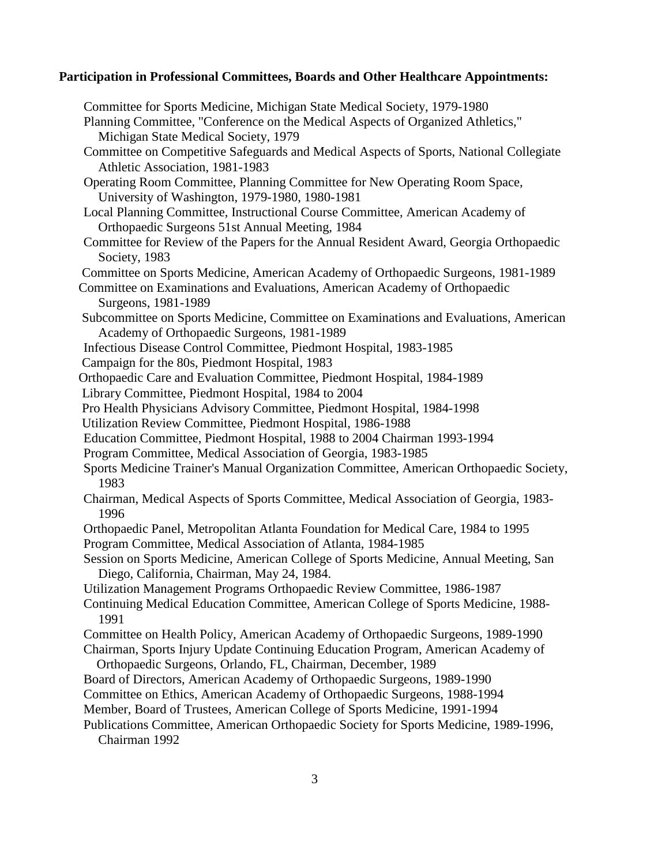# **Participation in Professional Committees, Boards and Other Healthcare Appointments:**

| Committee for Sports Medicine, Michigan State Medical Society, 1979-1980                                                     |
|------------------------------------------------------------------------------------------------------------------------------|
| Planning Committee, "Conference on the Medical Aspects of Organized Athletics,"                                              |
| Michigan State Medical Society, 1979                                                                                         |
| Committee on Competitive Safeguards and Medical Aspects of Sports, National Collegiate                                       |
| Athletic Association, 1981-1983                                                                                              |
| Operating Room Committee, Planning Committee for New Operating Room Space,<br>University of Washington, 1979-1980, 1980-1981 |
| Local Planning Committee, Instructional Course Committee, American Academy of                                                |
| Orthopaedic Surgeons 51st Annual Meeting, 1984                                                                               |
| Committee for Review of the Papers for the Annual Resident Award, Georgia Orthopaedic                                        |
| Society, 1983                                                                                                                |
| Committee on Sports Medicine, American Academy of Orthopaedic Surgeons, 1981-1989                                            |
| Committee on Examinations and Evaluations, American Academy of Orthopaedic                                                   |
| Surgeons, 1981-1989                                                                                                          |
| Subcommittee on Sports Medicine, Committee on Examinations and Evaluations, American                                         |
| Academy of Orthopaedic Surgeons, 1981-1989                                                                                   |
| Infectious Disease Control Committee, Piedmont Hospital, 1983-1985                                                           |
| Campaign for the 80s, Piedmont Hospital, 1983                                                                                |
| Orthopaedic Care and Evaluation Committee, Piedmont Hospital, 1984-1989                                                      |
| Library Committee, Piedmont Hospital, 1984 to 2004                                                                           |
| Pro Health Physicians Advisory Committee, Piedmont Hospital, 1984-1998                                                       |
| Utilization Review Committee, Piedmont Hospital, 1986-1988                                                                   |
| Education Committee, Piedmont Hospital, 1988 to 2004 Chairman 1993-1994                                                      |
| Program Committee, Medical Association of Georgia, 1983-1985                                                                 |
| Sports Medicine Trainer's Manual Organization Committee, American Orthopaedic Society,                                       |
| 1983                                                                                                                         |
| Chairman, Medical Aspects of Sports Committee, Medical Association of Georgia, 1983-<br>1996                                 |
| Orthopaedic Panel, Metropolitan Atlanta Foundation for Medical Care, 1984 to 1995                                            |
| Program Committee, Medical Association of Atlanta, 1984-1985                                                                 |
| Session on Sports Medicine, American College of Sports Medicine, Annual Meeting, San                                         |
| Diego, California, Chairman, May 24, 1984.                                                                                   |
| Utilization Management Programs Orthopaedic Review Committee, 1986-1987                                                      |
| Continuing Medical Education Committee, American College of Sports Medicine, 1988-                                           |
| 1991                                                                                                                         |
| Committee on Health Policy, American Academy of Orthopaedic Surgeons, 1989-1990                                              |
| Chairman, Sports Injury Update Continuing Education Program, American Academy of                                             |
| Orthopaedic Surgeons, Orlando, FL, Chairman, December, 1989                                                                  |
| Board of Directors, American Academy of Orthopaedic Surgeons, 1989-1990                                                      |
| Committee on Ethics, American Academy of Orthopaedic Surgeons, 1988-1994                                                     |
| Member, Board of Trustees, American College of Sports Medicine, 1991-1994                                                    |
| Publications Committee, American Orthopaedic Society for Sports Medicine, 1989-1996,                                         |
|                                                                                                                              |

Chairman 1992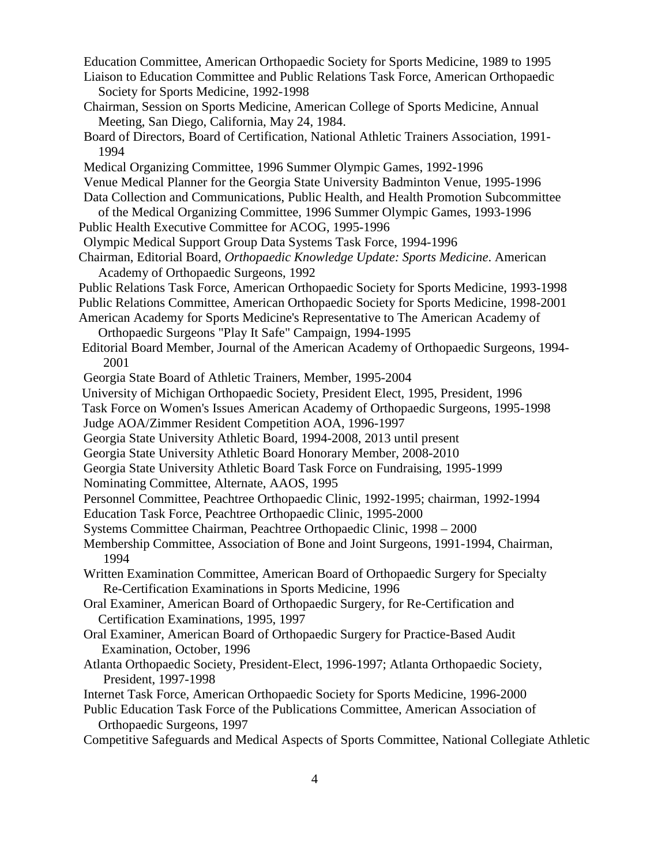Education Committee, American Orthopaedic Society for Sports Medicine, 1989 to 1995

- Liaison to Education Committee and Public Relations Task Force, American Orthopaedic Society for Sports Medicine, 1992-1998
- Chairman, Session on Sports Medicine, American College of Sports Medicine, Annual Meeting, San Diego, California, May 24, 1984.
- Board of Directors, Board of Certification, National Athletic Trainers Association, 1991- 1994
- Medical Organizing Committee, 1996 Summer Olympic Games, 1992-1996
- Venue Medical Planner for the Georgia State University Badminton Venue, 1995-1996

Data Collection and Communications, Public Health, and Health Promotion Subcommittee of the Medical Organizing Committee, 1996 Summer Olympic Games, 1993-1996

- Public Health Executive Committee for ACOG, 1995-1996
- Olympic Medical Support Group Data Systems Task Force, 1994-1996
- Chairman, Editorial Board, *Orthopaedic Knowledge Update: Sports Medicine*. American Academy of Orthopaedic Surgeons, 1992
- Public Relations Task Force, American Orthopaedic Society for Sports Medicine, 1993-1998
- Public Relations Committee, American Orthopaedic Society for Sports Medicine, 1998-2001
- American Academy for Sports Medicine's Representative to The American Academy of Orthopaedic Surgeons "Play It Safe" Campaign, 1994-1995
- Editorial Board Member, Journal of the American Academy of Orthopaedic Surgeons, 1994- 2001
- Georgia State Board of Athletic Trainers, Member, 1995-2004
- University of Michigan Orthopaedic Society, President Elect, 1995, President, 1996
- Task Force on Women's Issues American Academy of Orthopaedic Surgeons, 1995-1998
- Judge AOA/Zimmer Resident Competition AOA, 1996-1997
- Georgia State University Athletic Board, 1994-2008, 2013 until present
- Georgia State University Athletic Board Honorary Member, 2008-2010
- Georgia State University Athletic Board Task Force on Fundraising, 1995-1999
- Nominating Committee, Alternate, AAOS, 1995
- Personnel Committee, Peachtree Orthopaedic Clinic, 1992-1995; chairman, 1992-1994
- Education Task Force, Peachtree Orthopaedic Clinic, 1995-2000
- Systems Committee Chairman, Peachtree Orthopaedic Clinic, 1998 2000
- Membership Committee, Association of Bone and Joint Surgeons, 1991-1994, Chairman, 1994
- Written Examination Committee, American Board of Orthopaedic Surgery for Specialty Re-Certification Examinations in Sports Medicine, 1996
- Oral Examiner, American Board of Orthopaedic Surgery, for Re-Certification and Certification Examinations, 1995, 1997
- Oral Examiner, American Board of Orthopaedic Surgery for Practice-Based Audit Examination, October, 1996
- Atlanta Orthopaedic Society, President-Elect, 1996-1997; Atlanta Orthopaedic Society, President, 1997-1998
- Internet Task Force, American Orthopaedic Society for Sports Medicine, 1996-2000
- Public Education Task Force of the Publications Committee, American Association of Orthopaedic Surgeons, 1997
- Competitive Safeguards and Medical Aspects of Sports Committee, National Collegiate Athletic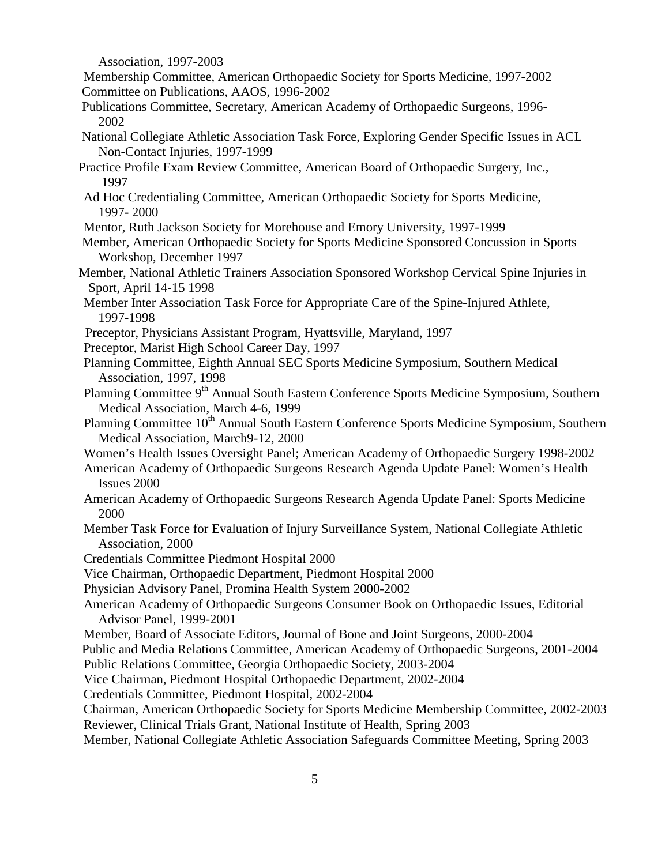Association, 1997-2003

- Membership Committee, American Orthopaedic Society for Sports Medicine, 1997-2002 Committee on Publications, AAOS, 1996-2002
- Publications Committee, Secretary, American Academy of Orthopaedic Surgeons, 1996- 2002
- National Collegiate Athletic Association Task Force, Exploring Gender Specific Issues in ACL Non-Contact Injuries, 1997-1999
- Practice Profile Exam Review Committee, American Board of Orthopaedic Surgery, Inc., 1997
- Ad Hoc Credentialing Committee, American Orthopaedic Society for Sports Medicine, 1997**-** 2000
- Mentor, Ruth Jackson Society for Morehouse and Emory University, 1997-1999
- Member, American Orthopaedic Society for Sports Medicine Sponsored Concussion in Sports Workshop, December 1997
- Member, National Athletic Trainers Association Sponsored Workshop Cervical Spine Injuries in Sport, April 14-15 1998
- Member Inter Association Task Force for Appropriate Care of the Spine-Injured Athlete, 1997-1998
- Preceptor, Physicians Assistant Program, Hyattsville, Maryland, 1997
- Preceptor, Marist High School Career Day, 1997
- Planning Committee, Eighth Annual SEC Sports Medicine Symposium, Southern Medical Association, 1997, 1998
- Planning Committee 9<sup>th</sup> Annual South Eastern Conference Sports Medicine Symposium, Southern Medical Association, March 4-6, 1999
- Planning Committee 10<sup>th</sup> Annual South Eastern Conference Sports Medicine Symposium, Southern Medical Association, March9-12, 2000
- Women's Health Issues Oversight Panel; American Academy of Orthopaedic Surgery 1998-2002
- American Academy of Orthopaedic Surgeons Research Agenda Update Panel: Women's Health Issues 2000
- American Academy of Orthopaedic Surgeons Research Agenda Update Panel: Sports Medicine 2000
- Member Task Force for Evaluation of Injury Surveillance System, National Collegiate Athletic Association, 2000
- Credentials Committee Piedmont Hospital 2000
- Vice Chairman, Orthopaedic Department, Piedmont Hospital 2000
- Physician Advisory Panel, Promina Health System 2000-2002
- American Academy of Orthopaedic Surgeons Consumer Book on Orthopaedic Issues, Editorial Advisor Panel, 1999-2001
- Member, Board of Associate Editors, Journal of Bone and Joint Surgeons, 2000-2004

Public and Media Relations Committee, American Academy of Orthopaedic Surgeons, 2001-2004

Public Relations Committee, Georgia Orthopaedic Society, 2003-2004

Vice Chairman, Piedmont Hospital Orthopaedic Department, 2002-2004

Credentials Committee, Piedmont Hospital, 2002-2004

Chairman, American Orthopaedic Society for Sports Medicine Membership Committee, 2002-2003 Reviewer, Clinical Trials Grant, National Institute of Health, Spring 2003

Member, National Collegiate Athletic Association Safeguards Committee Meeting, Spring 2003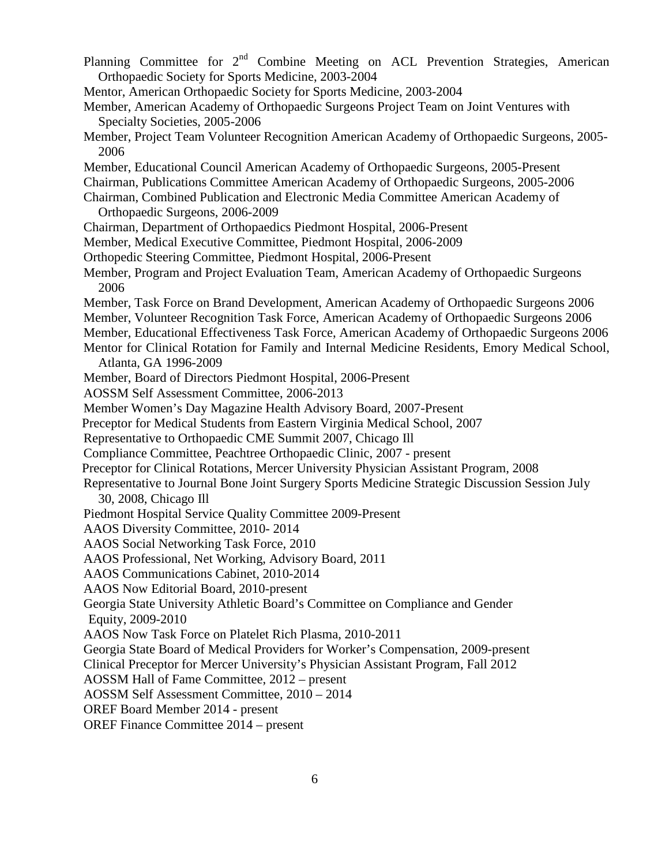Planning Committee for  $2<sup>nd</sup>$  Combine Meeting on ACL Prevention Strategies, American Orthopaedic Society for Sports Medicine, 2003-2004 Mentor, American Orthopaedic Society for Sports Medicine, 2003-2004 Member, American Academy of Orthopaedic Surgeons Project Team on Joint Ventures with Specialty Societies, 2005-2006 Member, Project Team Volunteer Recognition American Academy of Orthopaedic Surgeons, 2005- 2006 Member, Educational Council American Academy of Orthopaedic Surgeons, 2005-Present Chairman, Publications Committee American Academy of Orthopaedic Surgeons, 2005-2006 Chairman, Combined Publication and Electronic Media Committee American Academy of Orthopaedic Surgeons, 2006-2009 Chairman, Department of Orthopaedics Piedmont Hospital, 2006-Present Member, Medical Executive Committee, Piedmont Hospital, 2006-2009 Orthopedic Steering Committee, Piedmont Hospital, 2006-Present Member, Program and Project Evaluation Team, American Academy of Orthopaedic Surgeons 2006 Member, Task Force on Brand Development, American Academy of Orthopaedic Surgeons 2006 Member, Volunteer Recognition Task Force, American Academy of Orthopaedic Surgeons 2006 Member, Educational Effectiveness Task Force, American Academy of Orthopaedic Surgeons 2006 Mentor for Clinical Rotation for Family and Internal Medicine Residents, Emory Medical School, Atlanta, GA 1996-2009 Member, Board of Directors Piedmont Hospital, 2006-Present AOSSM Self Assessment Committee, 2006-2013 Member Women's Day Magazine Health Advisory Board, 2007-Present Preceptor for Medical Students from Eastern Virginia Medical School, 2007 Representative to Orthopaedic CME Summit 2007, Chicago Ill Compliance Committee, Peachtree Orthopaedic Clinic, 2007 - present Preceptor for Clinical Rotations, Mercer University Physician Assistant Program, 2008 Representative to Journal Bone Joint Surgery Sports Medicine Strategic Discussion Session July 30, 2008, Chicago Ill Piedmont Hospital Service Quality Committee 2009-Present AAOS Diversity Committee, 2010- 2014 AAOS Social Networking Task Force, 2010 AAOS Professional, Net Working, Advisory Board, 2011 AAOS Communications Cabinet, 2010-2014 AAOS Now Editorial Board, 2010-present Georgia State University Athletic Board's Committee on Compliance and Gender Equity, 2009-2010 AAOS Now Task Force on Platelet Rich Plasma, 2010-2011 Georgia State Board of Medical Providers for Worker's Compensation, 2009-present Clinical Preceptor for Mercer University's Physician Assistant Program, Fall 2012 AOSSM Hall of Fame Committee, 2012 – present AOSSM Self Assessment Committee, 2010 – 2014 OREF Board Member 2014 - present OREF Finance Committee 2014 – present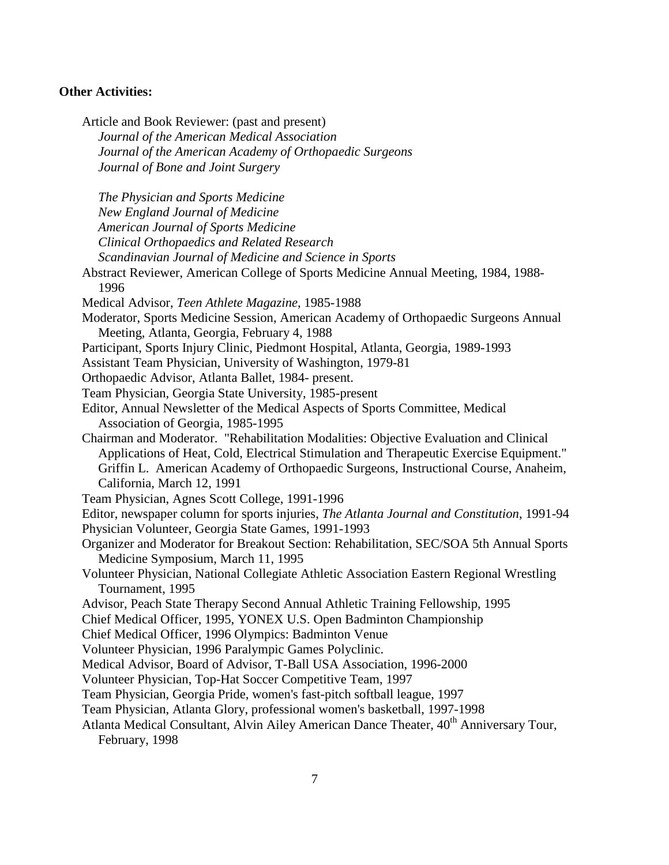### **Other Activities:**

Article and Book Reviewer: (past and present) *Journal of the American Medical Association Journal of the American Academy of Orthopaedic Surgeons Journal of Bone and Joint Surgery The Physician and Sports Medicine New England Journal of Medicine American Journal of Sports Medicine Clinical Orthopaedics and Related Research Scandinavian Journal of Medicine and Science in Sports* Abstract Reviewer, American College of Sports Medicine Annual Meeting, 1984, 1988- 1996 Medical Advisor, *Teen Athlete Magazine*, 1985-1988 Moderator, Sports Medicine Session, American Academy of Orthopaedic Surgeons Annual Meeting, Atlanta, Georgia, February 4, 1988 Participant, Sports Injury Clinic, Piedmont Hospital, Atlanta, Georgia, 1989-1993 Assistant Team Physician, University of Washington, 1979-81 Orthopaedic Advisor, Atlanta Ballet, 1984- present. Team Physician, Georgia State University, 1985-present Editor, Annual Newsletter of the Medical Aspects of Sports Committee, Medical Association of Georgia, 1985-1995 Chairman and Moderator. "Rehabilitation Modalities: Objective Evaluation and Clinical Applications of Heat, Cold, Electrical Stimulation and Therapeutic Exercise Equipment." Griffin L. American Academy of Orthopaedic Surgeons, Instructional Course, Anaheim, California, March 12, 1991 Team Physician, Agnes Scott College, 1991-1996 Editor, newspaper column for sports injuries, *The Atlanta Journal and Constitution*, 1991-94 Physician Volunteer, Georgia State Games, 1991-1993 Organizer and Moderator for Breakout Section: Rehabilitation, SEC/SOA 5th Annual Sports Medicine Symposium, March 11, 1995 Volunteer Physician, National Collegiate Athletic Association Eastern Regional Wrestling Tournament, 1995 Advisor, Peach State Therapy Second Annual Athletic Training Fellowship, 1995 Chief Medical Officer, 1995, YONEX U.S. Open Badminton Championship Chief Medical Officer, 1996 Olympics: Badminton Venue Volunteer Physician, 1996 Paralympic Games Polyclinic. Medical Advisor, Board of Advisor, T-Ball USA Association, 1996-2000 Volunteer Physician, Top-Hat Soccer Competitive Team, 1997 Team Physician, Georgia Pride, women's fast-pitch softball league, 1997 Team Physician, Atlanta Glory, professional women's basketball, 1997-1998 Atlanta Medical Consultant, Alvin Ailey American Dance Theater, 40<sup>th</sup> Anniversary Tour, February, 1998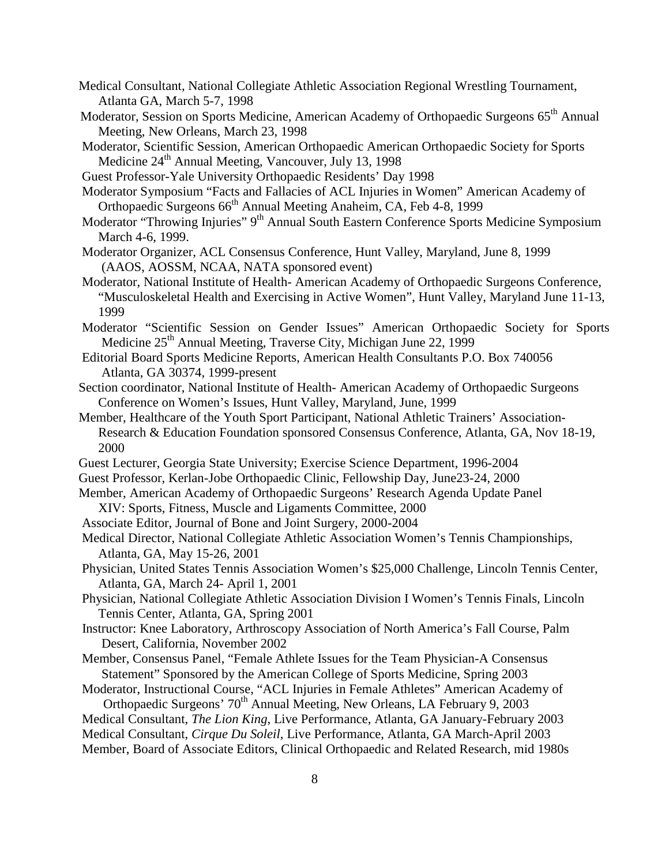- Medical Consultant, National Collegiate Athletic Association Regional Wrestling Tournament, Atlanta GA, March 5-7, 1998
- Moderator, Session on Sports Medicine, American Academy of Orthopaedic Surgeons 65th Annual Meeting, New Orleans, March 23, 1998
- Moderator, Scientific Session, American Orthopaedic American Orthopaedic Society for Sports Medicine  $24<sup>th</sup>$  Annual Meeting, Vancouver, July 13, 1998
- Guest Professor-Yale University Orthopaedic Residents' Day 1998
- Moderator Symposium "Facts and Fallacies of ACL Injuries in Women" American Academy of Orthopaedic Surgeons 66<sup>th</sup> Annual Meeting Anaheim, CA, Feb 4-8, 1999
- Moderator "Throwing Injuries" 9<sup>th</sup> Annual South Eastern Conference Sports Medicine Symposium March 4-6, 1999.
- Moderator Organizer, ACL Consensus Conference, Hunt Valley, Maryland, June 8, 1999 (AAOS, AOSSM, NCAA, NATA sponsored event)
- Moderator, National Institute of Health- American Academy of Orthopaedic Surgeons Conference, "Musculoskeletal Health and Exercising in Active Women", Hunt Valley, Maryland June 11-13, 1999
- Moderator "Scientific Session on Gender Issues" American Orthopaedic Society for Sports Medicine  $25<sup>th</sup>$  Annual Meeting, Traverse City, Michigan June 22, 1999
- Editorial Board Sports Medicine Reports, American Health Consultants P.O. Box 740056 Atlanta, GA 30374, 1999-present
- Section coordinator, National Institute of Health- American Academy of Orthopaedic Surgeons Conference on Women's Issues, Hunt Valley, Maryland, June, 1999
- Member, Healthcare of the Youth Sport Participant, National Athletic Trainers' Association-Research & Education Foundation sponsored Consensus Conference, Atlanta, GA, Nov 18-19, 2000
- Guest Lecturer, Georgia State University; Exercise Science Department, 1996-2004
- Guest Professor, Kerlan-Jobe Orthopaedic Clinic, Fellowship Day, June23-24, 2000
- Member, American Academy of Orthopaedic Surgeons' Research Agenda Update Panel XIV: Sports, Fitness, Muscle and Ligaments Committee, 2000
- Associate Editor, Journal of Bone and Joint Surgery, 2000-2004
- Medical Director, National Collegiate Athletic Association Women's Tennis Championships, Atlanta, GA, May 15-26, 2001
- Physician, United States Tennis Association Women's \$25,000 Challenge, Lincoln Tennis Center, Atlanta, GA, March 24- April 1, 2001
- Physician, National Collegiate Athletic Association Division I Women's Tennis Finals, Lincoln Tennis Center, Atlanta, GA, Spring 2001
- Instructor: Knee Laboratory, Arthroscopy Association of North America's Fall Course, Palm Desert, California, November 2002
- Member, Consensus Panel, "Female Athlete Issues for the Team Physician-A Consensus Statement" Sponsored by the American College of Sports Medicine, Spring 2003
- Moderator, Instructional Course, "ACL Injuries in Female Athletes" American Academy of Orthopaedic Surgeons' 70<sup>th</sup> Annual Meeting, New Orleans, LA February 9, 2003
- Medical Consultant, *The Lion King*, Live Performance, Atlanta, GA January-February 2003

Medical Consultant, *Cirque Du Soleil*, Live Performance, Atlanta, GA March-April 2003

Member, Board of Associate Editors, Clinical Orthopaedic and Related Research, mid 1980s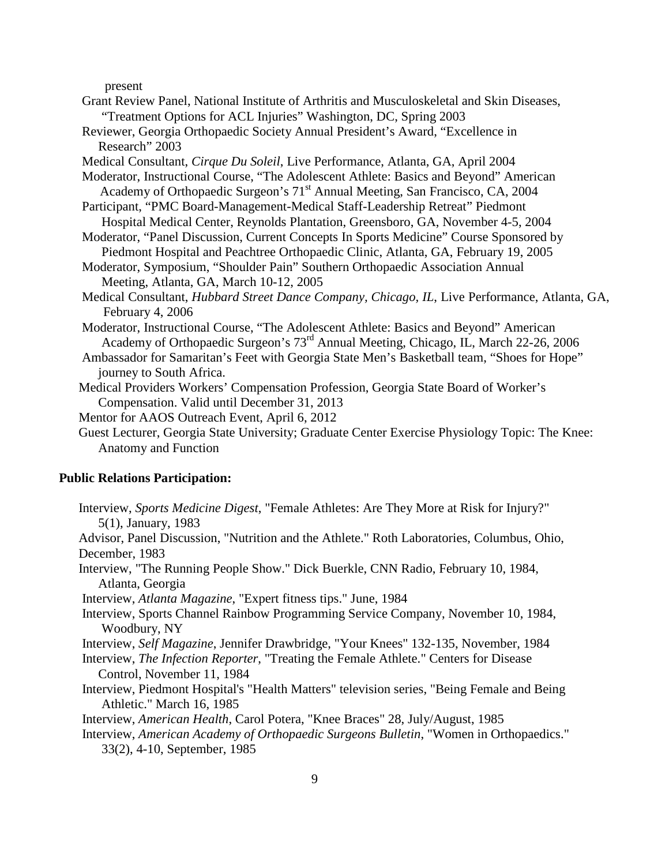present

- Grant Review Panel, National Institute of Arthritis and Musculoskeletal and Skin Diseases, "Treatment Options for ACL Injuries" Washington, DC, Spring 2003
- Reviewer, Georgia Orthopaedic Society Annual President's Award, "Excellence in Research" 2003
- Medical Consultant, *Cirque Du Soleil*, Live Performance, Atlanta, GA, April 2004
- Moderator, Instructional Course, "The Adolescent Athlete: Basics and Beyond" American Academy of Orthopaedic Surgeon's 71<sup>st</sup> Annual Meeting, San Francisco, CA, 2004
- Participant, "PMC Board-Management-Medical Staff-Leadership Retreat" Piedmont Hospital Medical Center, Reynolds Plantation, Greensboro, GA, November 4-5, 2004
- Moderator, "Panel Discussion, Current Concepts In Sports Medicine" Course Sponsored by Piedmont Hospital and Peachtree Orthopaedic Clinic, Atlanta, GA, February 19, 2005
- Moderator, Symposium, "Shoulder Pain" Southern Orthopaedic Association Annual Meeting, Atlanta, GA, March 10-12, 2005
- Medical Consultant, *Hubbard Street Dance Company, Chicago, IL*, Live Performance, Atlanta, GA, February 4, 2006
- Moderator, Instructional Course, "The Adolescent Athlete: Basics and Beyond" American Academy of Orthopaedic Surgeon's 73<sup>rd</sup> Annual Meeting, Chicago, IL, March 22-26, 2006
- Ambassador for Samaritan's Feet with Georgia State Men's Basketball team, "Shoes for Hope" journey to South Africa.
- Medical Providers Workers' Compensation Profession, Georgia State Board of Worker's Compensation. Valid until December 31, 2013
- Mentor for AAOS Outreach Event, April 6, 2012
- Guest Lecturer, Georgia State University; Graduate Center Exercise Physiology Topic: The Knee: Anatomy and Function

#### **Public Relations Participation:**

Interview, *Sports Medicine Digest*, "Female Athletes: Are They More at Risk for Injury?" 5(1), January, 1983

Advisor, Panel Discussion, "Nutrition and the Athlete." Roth Laboratories, Columbus, Ohio, December, 1983

Interview, "The Running People Show." Dick Buerkle, CNN Radio, February 10, 1984, Atlanta, Georgia

Interview, *Atlanta Magazine*, "Expert fitness tips." June, 1984

- Interview, Sports Channel Rainbow Programming Service Company, November 10, 1984, Woodbury, NY
- Interview, *Self Magazine*, Jennifer Drawbridge, "Your Knees" 132-135, November, 1984
- Interview, *The Infection Reporter*, "Treating the Female Athlete." Centers for Disease Control, November 11, 1984
- Interview, Piedmont Hospital's "Health Matters" television series, "Being Female and Being Athletic." March 16, 1985
- Interview, *American Health*, Carol Potera, "Knee Braces" 28, July/August, 1985
- Interview, *American Academy of Orthopaedic Surgeons Bulletin*, "Women in Orthopaedics." 33(2), 4-10, September, 1985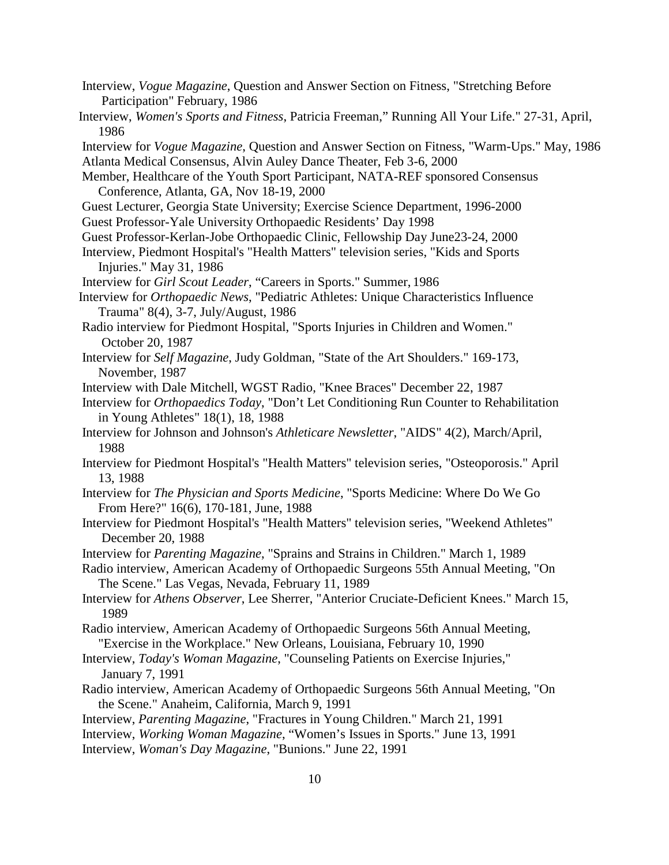- Interview, *Vogue Magazine*, Question and Answer Section on Fitness, "Stretching Before Participation" February, 1986
- Interview, *Women's Sports and Fitness*, Patricia Freeman," Running All Your Life." 27-31, April, 1986
- Interview for *Vogue Magazine*, Question and Answer Section on Fitness, "Warm-Ups." May, 1986 Atlanta Medical Consensus, Alvin Auley Dance Theater, Feb 3-6, 2000
- Member, Healthcare of the Youth Sport Participant, NATA-REF sponsored Consensus Conference, Atlanta, GA, Nov 18-19, 2000
- Guest Lecturer, Georgia State University; Exercise Science Department, 1996-2000
- Guest Professor-Yale University Orthopaedic Residents' Day 1998
- Guest Professor-Kerlan-Jobe Orthopaedic Clinic, Fellowship Day June23-24, 2000
- Interview, Piedmont Hospital's "Health Matters" television series, "Kids and Sports Injuries." May 31, 1986
- Interview for *Girl Scout Leader*, "Careers in Sports." Summer, 1986
- Interview for *Orthopaedic News*, "Pediatric Athletes: Unique Characteristics Influence Trauma" 8(4), 3-7, July/August, 1986
- Radio interview for Piedmont Hospital, "Sports Injuries in Children and Women." October 20, 1987
- Interview for *Self Magazine*, Judy Goldman, "State of the Art Shoulders." 169-173, November, 1987
- Interview with Dale Mitchell, WGST Radio, "Knee Braces" December 22, 1987
- Interview for *Orthopaedics Today*, "Don't Let Conditioning Run Counter to Rehabilitation in Young Athletes" 18(1), 18, 1988
- Interview for Johnson and Johnson's *Athleticare Newsletter*, "AIDS" 4(2), March/April, 1988
- Interview for Piedmont Hospital's "Health Matters" television series, "Osteoporosis." April 13, 1988
- Interview for *The Physician and Sports Medicine*, "Sports Medicine: Where Do We Go From Here?" 16(6), 170-181, June, 1988
- Interview for Piedmont Hospital's "Health Matters" television series, "Weekend Athletes" December 20, 1988
- Interview for *Parenting Magazine*, "Sprains and Strains in Children." March 1, 1989
- Radio interview, American Academy of Orthopaedic Surgeons 55th Annual Meeting, "On The Scene." Las Vegas, Nevada, February 11, 1989
- Interview for *Athens Observer*, Lee Sherrer, "Anterior Cruciate-Deficient Knees." March 15, 1989
- Radio interview, American Academy of Orthopaedic Surgeons 56th Annual Meeting, "Exercise in the Workplace." New Orleans, Louisiana, February 10, 1990
- Interview, *Today's Woman Magazine*, "Counseling Patients on Exercise Injuries," January 7, 1991
- Radio interview, American Academy of Orthopaedic Surgeons 56th Annual Meeting, "On the Scene." Anaheim, California, March 9, 1991
- Interview, *Parenting Magazine*, "Fractures in Young Children." March 21, 1991
- Interview, *Working Woman Magazine*, "Women's Issues in Sports." June 13, 1991
- Interview, *Woman's Day Magazine*, "Bunions." June 22, 1991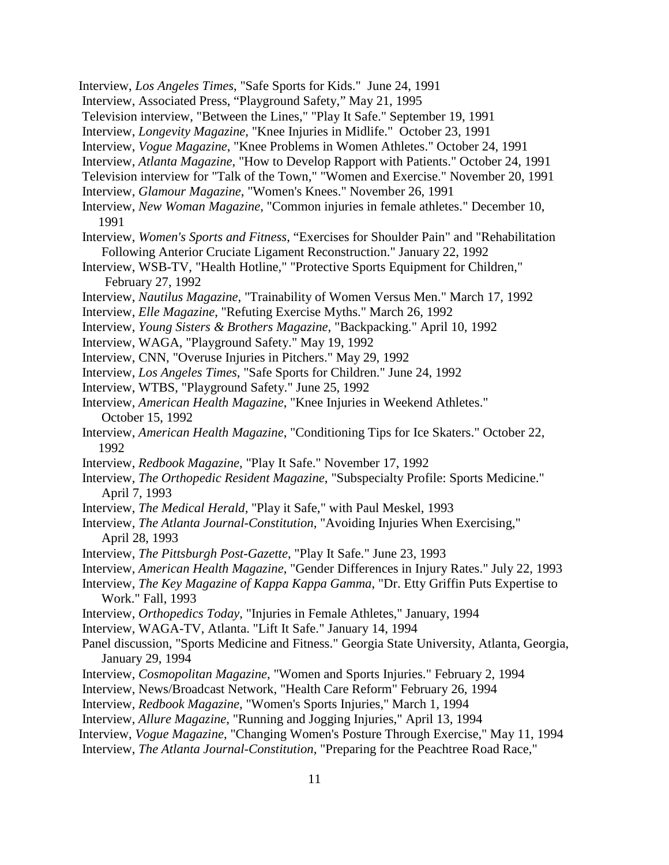- Interview, *Los Angeles Times*, "Safe Sports for Kids." June 24, 1991
- Interview, Associated Press, "Playground Safety," May 21, 1995
- Television interview, "Between the Lines," "Play It Safe." September 19, 1991
- Interview, *Longevity Magazine*, "Knee Injuries in Midlife." October 23, 1991
- Interview, *Vogue Magazine*, "Knee Problems in Women Athletes." October 24, 1991
- Interview, *Atlanta Magazine*, "How to Develop Rapport with Patients." October 24, 1991
- Television interview for "Talk of the Town," "Women and Exercise." November 20, 1991
- Interview, *Glamour Magazine*, "Women's Knees." November 26, 1991
- Interview, *New Woman Magazine*, "Common injuries in female athletes." December 10, 1991
- Interview, *Women's Sports and Fitness*, "Exercises for Shoulder Pain" and "Rehabilitation Following Anterior Cruciate Ligament Reconstruction." January 22, 1992
- Interview, WSB-TV, "Health Hotline," "Protective Sports Equipment for Children," February 27, 1992
- Interview, *Nautilus Magazine*, "Trainability of Women Versus Men." March 17, 1992
- Interview, *Elle Magazine*, "Refuting Exercise Myths." March 26, 1992
- Interview, *Young Sisters & Brothers Magazine*, "Backpacking." April 10, 1992
- Interview, WAGA, "Playground Safety." May 19, 1992
- Interview, CNN, "Overuse Injuries in Pitchers." May 29, 1992
- Interview, *Los Angeles Times*, "Safe Sports for Children." June 24, 1992
- Interview, WTBS, "Playground Safety." June 25, 1992
- Interview, *American Health Magazine*, "Knee Injuries in Weekend Athletes." October 15, 1992
- Interview, *American Health Magazine*, "Conditioning Tips for Ice Skaters." October 22, 1992
- Interview, *Redbook Magazine*, "Play It Safe." November 17, 1992
- Interview, *The Orthopedic Resident Magazine*, "Subspecialty Profile: Sports Medicine." April 7, 1993
- Interview, *The Medical Herald,* "Play it Safe," with Paul Meskel, 1993
- Interview, *The Atlanta Journal-Constitution*, "Avoiding Injuries When Exercising," April 28, 1993
- Interview, *The Pittsburgh Post-Gazette*, "Play It Safe." June 23, 1993
- Interview, *American Health Magazine*, "Gender Differences in Injury Rates." July 22, 1993
- Interview, *The Key Magazine of Kappa Kappa Gamma*, "Dr. Etty Griffin Puts Expertise to Work." Fall, 1993
- Interview, *Orthopedics Today*, "Injuries in Female Athletes," January, 1994
- Interview, WAGA-TV, Atlanta. "Lift It Safe." January 14, 1994
- Panel discussion, "Sports Medicine and Fitness." Georgia State University, Atlanta, Georgia, January 29, 1994
- Interview, *Cosmopolitan Magazine*, "Women and Sports Injuries." February 2, 1994
- Interview, News/Broadcast Network, "Health Care Reform" February 26, 1994
- Interview, *Redbook Magazine*, "Women's Sports Injuries," March 1, 1994
- Interview, *Allure Magazine*, "Running and Jogging Injuries," April 13, 1994
- Interview, *Vogue Magazine*, "Changing Women's Posture Through Exercise," May 11, 1994
- Interview, *The Atlanta Journal-Constitution*, "Preparing for the Peachtree Road Race,"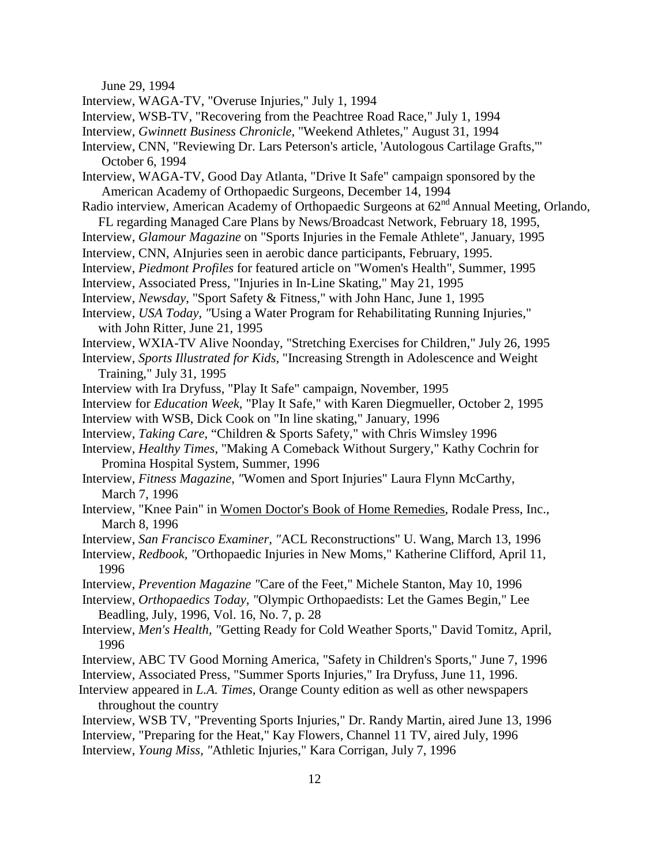June 29, 1994

- Interview, WAGA-TV, "Overuse Injuries," July 1, 1994
- Interview, WSB-TV, "Recovering from the Peachtree Road Race," July 1, 1994
- Interview, *Gwinnett Business Chronicle*, "Weekend Athletes," August 31, 1994
- Interview, CNN, "Reviewing Dr. Lars Peterson's article, 'Autologous Cartilage Grafts,'" October 6, 1994
- Interview, WAGA-TV, Good Day Atlanta, "Drive It Safe" campaign sponsored by the American Academy of Orthopaedic Surgeons, December 14, 1994
- Radio interview, American Academy of Orthopaedic Surgeons at  $62<sup>nd</sup>$  Annual Meeting, Orlando,
- FL regarding Managed Care Plans by News/Broadcast Network, February 18, 1995,
- Interview, *Glamour Magazine* on "Sports Injuries in the Female Athlete", January, 1995
- Interview, CNN, ΑInjuries seen in aerobic dance participants, February, 1995.
- Interview, *Piedmont Profiles* for featured article on "Women's Health", Summer, 1995
- Interview, Associated Press, "Injuries in In-Line Skating," May 21, 1995
- Interview, *Newsday*, "Sport Safety & Fitness," with John Hanc, June 1, 1995
- Interview, *USA Today, "*Using a Water Program for Rehabilitating Running Injuries," with John Ritter, June 21, 1995
- Interview, WXIA-TV Alive Noonday, "Stretching Exercises for Children," July 26, 1995
- Interview, *Sports Illustrated for Kids,* "Increasing Strength in Adolescence and Weight Training," July 31, 1995
- Interview with Ira Dryfuss, "Play It Safe" campaign, November, 1995
- Interview for *Education Week*, "Play It Safe," with Karen Diegmueller, October 2, 1995
- Interview with WSB, Dick Cook on "In line skating," January, 1996
- Interview, *Taking Care*, "Children & Sports Safety," with Chris Wimsley 1996
- Interview, *Healthy Times*, "Making A Comeback Without Surgery," Kathy Cochrin for Promina Hospital System, Summer, 1996
- Interview, *Fitness Magazine, "*Women and Sport Injuries" Laura Flynn McCarthy, March 7, 1996
- Interview, "Knee Pain" in Women Doctor's Book of Home Remedies, Rodale Press, Inc., March 8, 1996
- Interview, *San Francisco Examiner, "*ACL Reconstructions" U. Wang, March 13, 1996
- Interview, *Redbook, "*Orthopaedic Injuries in New Moms," Katherine Clifford, April 11, 1996
- Interview, *Prevention Magazine "*Care of the Feet," Michele Stanton, May 10, 1996
- Interview, *Orthopaedics Today, "*Olympic Orthopaedists: Let the Games Begin," Lee Beadling, July, 1996, Vol. 16, No. 7, p. 28
- Interview, *Men's Health, "*Getting Ready for Cold Weather Sports," David Tomitz, April, 1996
- Interview, ABC TV Good Morning America, "Safety in Children's Sports," June 7, 1996
- Interview, Associated Press, "Summer Sports Injuries," Ira Dryfuss, June 11, 1996.
- Interview appeared in *L.A. Times*, Orange County edition as well as other newspapers throughout the country
- Interview, WSB TV, "Preventing Sports Injuries," Dr. Randy Martin, aired June 13, 1996 Interview, "Preparing for the Heat," Kay Flowers, Channel 11 TV, aired July, 1996 Interview, *Young Miss, "*Athletic Injuries," Kara Corrigan, July 7, 1996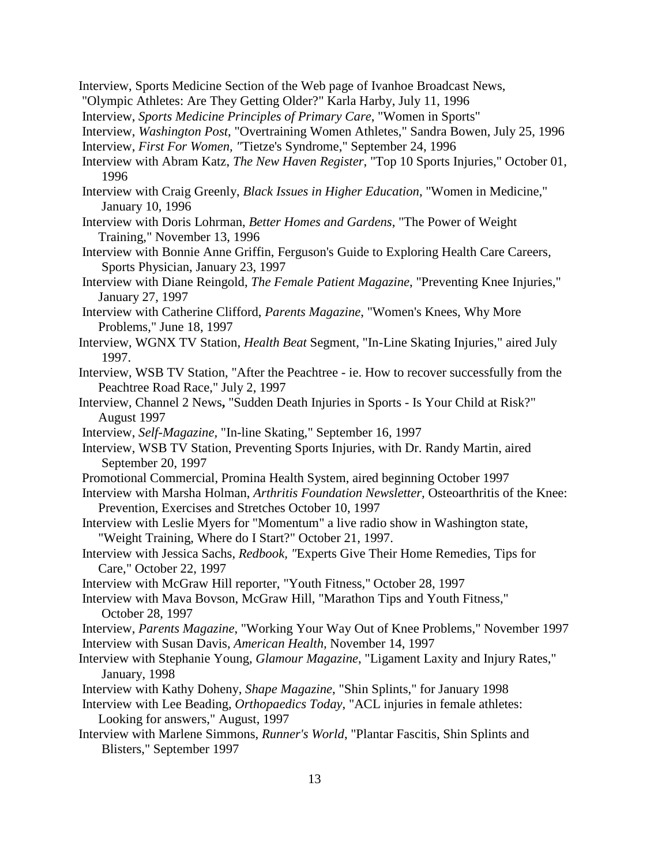- Interview, Sports Medicine Section of the Web page of Ivanhoe Broadcast News,
- "Olympic Athletes: Are They Getting Older?" Karla Harby, July 11, 1996
- Interview, *Sports Medicine Principles of Primary Care*, "Women in Sports"
- Interview, *Washington Post*, "Overtraining Women Athletes," Sandra Bowen, July 25, 1996
- Interview, *First For Women, "*Tietze's Syndrome," September 24, 1996
- Interview with Abram Katz, *The New Haven Register*, "Top 10 Sports Injuries," October 01, 1996
- Interview with Craig Greenly, *Black Issues in Higher Education*, "Women in Medicine," January 10, 1996
- Interview with Doris Lohrman, *Better Homes and Gardens*, "The Power of Weight Training," November 13, 1996
- Interview with Bonnie Anne Griffin, Ferguson's Guide to Exploring Health Care Careers*,* Sports Physician, January 23, 1997
- Interview with Diane Reingold, *The Female Patient Magazine*, "Preventing Knee Injuries," January 27, 1997
- Interview with Catherine Clifford, *Parents Magazine*, "Women's Knees, Why More Problems," June 18, 1997
- Interview, WGNX TV Station, *Health Beat* Segment, "In-Line Skating Injuries," aired July 1997.
- Interview, WSB TV Station, "After the Peachtree ie. How to recover successfully from the Peachtree Road Race," July 2, 1997
- Interview, Channel 2 News**,** "Sudden Death Injuries in Sports Is Your Child at Risk?" August 1997
- Interview, *Self-Magazine,* "In-line Skating," September 16, 1997
- Interview, WSB TV Station, Preventing Sports Injuries, with Dr. Randy Martin, aired September 20, 1997
- Promotional Commercial, Promina Health System, aired beginning October 1997
- Interview with Marsha Holman, *Arthritis Foundation Newsletter,* Osteoarthritis of the Knee: Prevention, Exercises and Stretches October 10, 1997
- Interview with Leslie Myers for "Momentum" a live radio show in Washington state, "Weight Training, Where do I Start?" October 21, 1997.
- Interview with Jessica Sachs, *Redbook, "*Experts Give Their Home Remedies, Tips for Care," October 22, 1997
- Interview with McGraw Hill reporter, "Youth Fitness," October 28, 1997
- Interview with Mava Bovson, McGraw Hill, "Marathon Tips and Youth Fitness," October 28, 1997
- Interview, *Parents Magazine*, "Working Your Way Out of Knee Problems," November 1997 Interview with Susan Davis, *American Health,* November 14, 1997
- Interview with Stephanie Young, *Glamour Magazine*, "Ligament Laxity and Injury Rates," January, 1998
- Interview with Kathy Doheny, *Shape Magazine*, "Shin Splints," for January 1998
- Interview with Lee Beading, *Orthopaedics Today*, "ACL injuries in female athletes: Looking for answers," August, 1997
- Interview with Marlene Simmons, *Runner's World*, "Plantar Fascitis, Shin Splints and Blisters," September 1997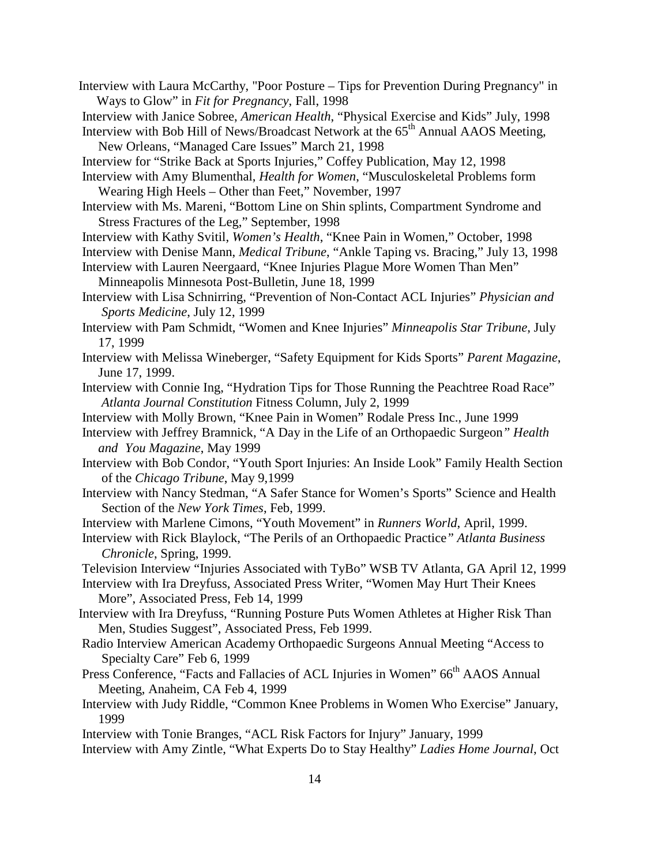- Interview with Laura McCarthy, "Poor Posture Tips for Prevention During Pregnancy" in Ways to Glow" in *Fit for Pregnancy*, Fall, 1998
- Interview with Janice Sobree, *American Health*, "Physical Exercise and Kids" July, 1998

Interview with Bob Hill of News/Broadcast Network at the  $65<sup>th</sup>$  Annual AAOS Meeting, New Orleans, "Managed Care Issues" March 21, 1998

Interview for "Strike Back at Sports Injuries," Coffey Publication, May 12, 1998

- Interview with Amy Blumenthal, *Health for Women*, "Musculoskeletal Problems form Wearing High Heels – Other than Feet," November, 1997
- Interview with Ms. Mareni, "Bottom Line on Shin splints, Compartment Syndrome and Stress Fractures of the Leg," September, 1998
- Interview with Kathy Svitil, *Women's Health*, "Knee Pain in Women," October, 1998
- Interview with Denise Mann, *Medical Tribune*, "Ankle Taping vs. Bracing," July 13, 1998
- Interview with Lauren Neergaard, "Knee Injuries Plague More Women Than Men" Minneapolis Minnesota Post-Bulletin, June 18, 1999
- Interview with Lisa Schnirring, "Prevention of Non-Contact ACL Injuries" *Physician and Sports Medicine*, July 12, 1999
- Interview with Pam Schmidt, "Women and Knee Injuries" *Minneapolis Star Tribune*, July 17, 1999
- Interview with Melissa Wineberger, "Safety Equipment for Kids Sports" *Parent Magazine*, June 17, 1999.
- Interview with Connie Ing, "Hydration Tips for Those Running the Peachtree Road Race" *Atlanta Journal Constitution* Fitness Column, July 2, 1999
- Interview with Molly Brown, "Knee Pain in Women" Rodale Press Inc., June 1999
- Interview with Jeffrey Bramnick, "A Day in the Life of an Orthopaedic Surgeon*" Health and You Magazine*, May 1999
- Interview with Bob Condor, "Youth Sport Injuries: An Inside Look" Family Health Section of the *Chicago Tribune*, May 9,1999
- Interview with Nancy Stedman, "A Safer Stance for Women's Sports" Science and Health Section of the *New York Times*, Feb, 1999.

Interview with Marlene Cimons, "Youth Movement" in *Runners World*, April, 1999.

Interview with Rick Blaylock, "The Perils of an Orthopaedic Practice*" Atlanta Business Chronicle*, Spring, 1999.

Television Interview "Injuries Associated with TyBo" WSB TV Atlanta, GA April 12, 1999

- Interview with Ira Dreyfuss, Associated Press Writer, "Women May Hurt Their Knees More", Associated Press, Feb 14, 1999
- Interview with Ira Dreyfuss, "Running Posture Puts Women Athletes at Higher Risk Than Men, Studies Suggest", Associated Press, Feb 1999.
- Radio Interview American Academy Orthopaedic Surgeons Annual Meeting "Access to Specialty Care" Feb 6, 1999
- Press Conference, "Facts and Fallacies of ACL Injuries in Women" 66<sup>th</sup> AAOS Annual Meeting, Anaheim, CA Feb 4, 1999
- Interview with Judy Riddle, "Common Knee Problems in Women Who Exercise" January, 1999

Interview with Tonie Branges, "ACL Risk Factors for Injury" January, 1999 Interview with Amy Zintle, "What Experts Do to Stay Healthy" *Ladies Home Journal*, Oct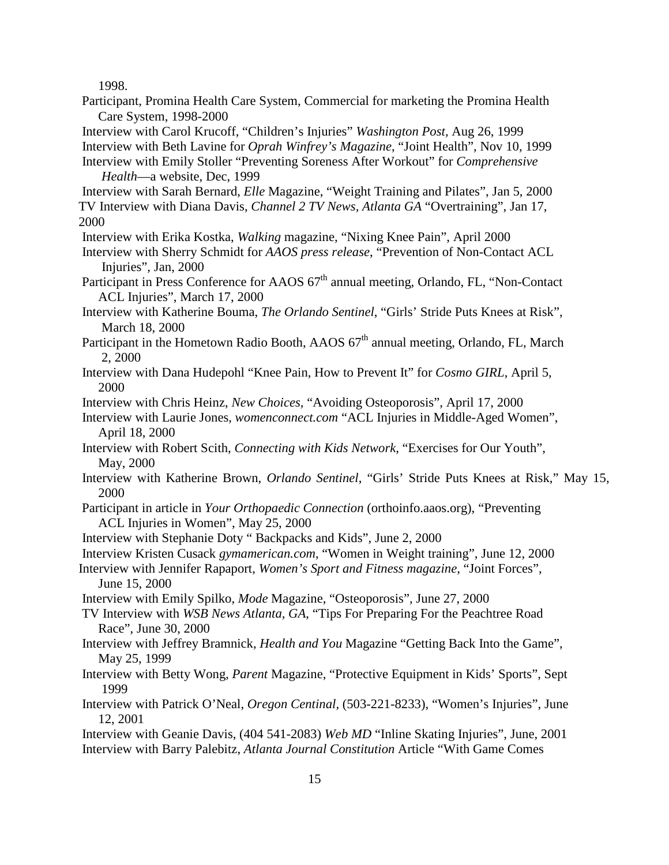1998.

Participant, Promina Health Care System, Commercial for marketing the Promina Health Care System, 1998-2000

Interview with Carol Krucoff, "Children's Injuries" *Washington Post,* Aug 26, 1999

Interview with Beth Lavine for *Oprah Winfrey's Magazine*, "Joint Health", Nov 10, 1999

Interview with Emily Stoller "Preventing Soreness After Workout" for *Comprehensive Health*—a website, Dec, 1999

Interview with Sarah Bernard, *Elle* Magazine, "Weight Training and Pilates", Jan 5, 2000 TV Interview with Diana Davis, *Channel 2 TV News, Atlanta GA* "Overtraining", Jan 17, 2000

Interview with Erika Kostka, *Walking* magazine, "Nixing Knee Pain", April 2000

Interview with Sherry Schmidt for *AAOS press release*, "Prevention of Non-Contact ACL Injuries", Jan, 2000

Participant in Press Conference for AAOS  $67<sup>th</sup>$  annual meeting, Orlando, FL, "Non-Contact ACL Injuries", March 17, 2000

Interview with Katherine Bouma, *The Orlando Sentinel*, "Girls' Stride Puts Knees at Risk", March 18, 2000

Participant in the Hometown Radio Booth, AAOS  $67<sup>th</sup>$  annual meeting, Orlando, FL, March 2, 2000

Interview with Dana Hudepohl "Knee Pain, How to Prevent It" for *Cosmo GIRL*, April 5, 2000

Interview with Chris Heinz, *New Choices,* "Avoiding Osteoporosis", April 17, 2000

Interview with Laurie Jones, *womenconnect.com* "ACL Injuries in Middle-Aged Women", April 18, 2000

- Interview with Robert Scith, *Connecting with Kids Network*, "Exercises for Our Youth", May, 2000
- Interview with Katherine Brown, *Orlando Sentinel*, "Girls' Stride Puts Knees at Risk," May 15, 2000
- Participant in article in *Your Orthopaedic Connection* (orthoinfo.aaos.org), "Preventing ACL Injuries in Women", May 25, 2000
- Interview with Stephanie Doty " Backpacks and Kids", June 2, 2000

Interview Kristen Cusack *gymamerican.com*, "Women in Weight training", June 12, 2000

Interview with Jennifer Rapaport, *Women's Sport and Fitness magazine*, "Joint Forces", June 15, 2000

Interview with Emily Spilko, *Mode* Magazine, "Osteoporosis", June 27, 2000

TV Interview with *WSB News Atlanta, GA*, "Tips For Preparing For the Peachtree Road Race", June 30, 2000

Interview with Jeffrey Bramnick, *Health and You* Magazine "Getting Back Into the Game", May 25, 1999

- Interview with Betty Wong*, Parent* Magazine, "Protective Equipment in Kids' Sports", Sept 1999
- Interview with Patrick O'Neal, *Oregon Centinal*, (503-221-8233), "Women's Injuries", June 12, 2001

Interview with Geanie Davis, (404 541-2083) *Web MD* "Inline Skating Injuries", June, 2001 Interview with Barry Palebitz, *Atlanta Journal Constitution* Article "With Game Comes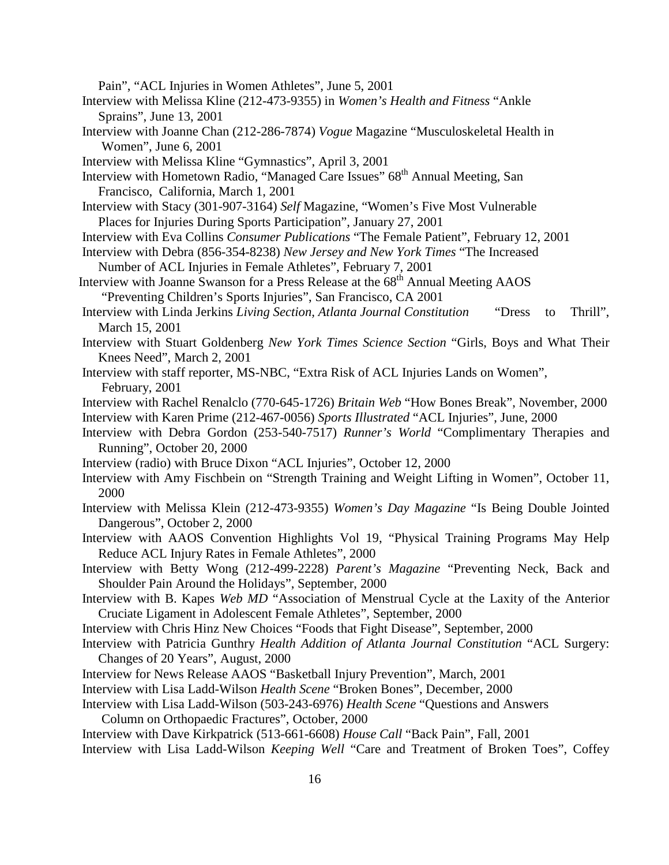Pain", "ACL Injuries in Women Athletes", June 5, 2001

- Interview with Melissa Kline (212-473-9355) in *Women's Health and Fitness* "Ankle Sprains", June 13, 2001
- Interview with Joanne Chan (212-286-7874) *Vogue* Magazine "Musculoskeletal Health in Women", June 6, 2001
- Interview with Melissa Kline "Gymnastics", April 3, 2001
- Interview with Hometown Radio, "Managed Care Issues" 68<sup>th</sup> Annual Meeting, San Francisco, California, March 1, 2001
- Interview with Stacy (301-907-3164) *Self* Magazine, "Women's Five Most Vulnerable Places for Injuries During Sports Participation", January 27, 2001
- Interview with Eva Collins *Consumer Publications* "The Female Patient", February 12, 2001
- Interview with Debra (856-354-8238) *New Jersey and New York Times* "The Increased Number of ACL Injuries in Female Athletes", February 7, 2001
- Interview with Joanne Swanson for a Press Release at the 68<sup>th</sup> Annual Meeting AAOS "Preventing Children's Sports Injuries", San Francisco, CA 2001
- Interview with Linda Jerkins *Living Section, Atlanta Journal Constitution* "Dress to Thrill", March 15, 2001
- Interview with Stuart Goldenberg *New York Times Science Section* "Girls, Boys and What Their Knees Need", March 2, 2001
- Interview with staff reporter, MS-NBC, "Extra Risk of ACL Injuries Lands on Women", February, 2001
- Interview with Rachel Renalclo (770-645-1726) *Britain Web* "How Bones Break", November, 2000 Interview with Karen Prime (212-467-0056) *Sports Illustrated* "ACL Injuries", June, 2000
- Interview with Debra Gordon (253-540-7517) *Runner's World* "Complimentary Therapies and Running", October 20, 2000
- Interview (radio) with Bruce Dixon "ACL Injuries", October 12, 2000
- Interview with Amy Fischbein on "Strength Training and Weight Lifting in Women", October 11, 2000
- Interview with Melissa Klein (212-473-9355) *Women's Day Magazine* "Is Being Double Jointed Dangerous", October 2, 2000
- Interview with AAOS Convention Highlights Vol 19, "Physical Training Programs May Help Reduce ACL Injury Rates in Female Athletes", 2000
- Interview with Betty Wong (212-499-2228) *Parent's Magazine* "Preventing Neck, Back and Shoulder Pain Around the Holidays", September, 2000
- Interview with B. Kapes *Web MD* "Association of Menstrual Cycle at the Laxity of the Anterior Cruciate Ligament in Adolescent Female Athletes", September, 2000
- Interview with Chris Hinz New Choices "Foods that Fight Disease", September, 2000
- Interview with Patricia Gunthry *Health Addition of Atlanta Journal Constitution* "ACL Surgery: Changes of 20 Years", August, 2000
- Interview for News Release AAOS "Basketball Injury Prevention", March, 2001
- Interview with Lisa Ladd-Wilson *Health Scene* "Broken Bones", December, 2000
- Interview with Lisa Ladd-Wilson (503-243-6976) *Health Scene* "Questions and Answers Column on Orthopaedic Fractures", October, 2000

Interview with Dave Kirkpatrick (513-661-6608) *House Call* "Back Pain", Fall, 2001

Interview with Lisa Ladd-Wilson *Keeping Well* "Care and Treatment of Broken Toes", Coffey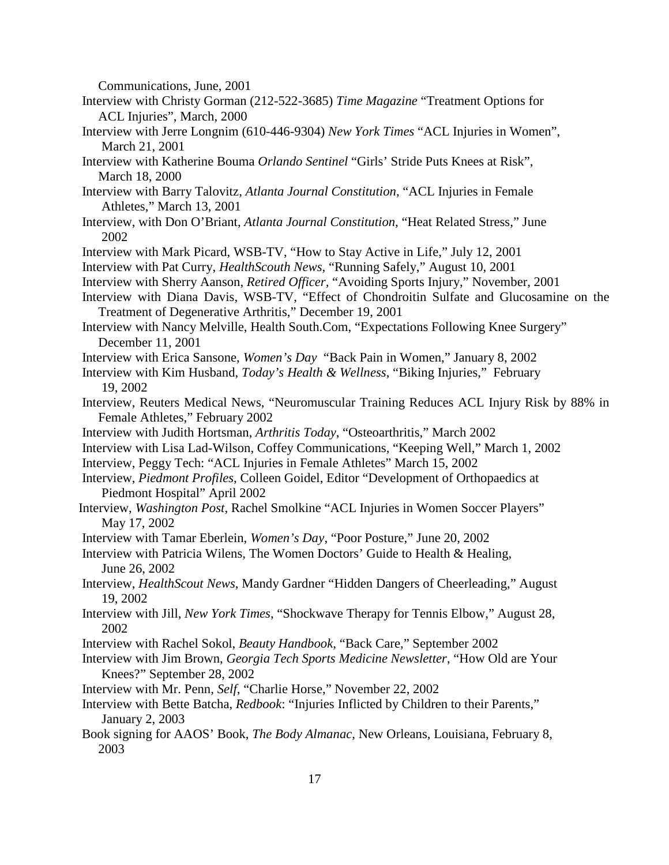Communications, June, 2001

- Interview with Christy Gorman (212-522-3685) *Time Magazine* "Treatment Options for ACL Injuries", March, 2000
- Interview with Jerre Longnim (610-446-9304) *New York Times* "ACL Injuries in Women", March 21, 2001
- Interview with Katherine Bouma *Orlando Sentinel* "Girls' Stride Puts Knees at Risk", March 18, 2000
- Interview with Barry Talovitz, *Atlanta Journal Constitution,* "ACL Injuries in Female Athletes," March 13, 2001
- Interview, with Don O'Briant, *Atlanta Journal Constitution,* "Heat Related Stress," June 2002
- Interview with Mark Picard, WSB-TV, "How to Stay Active in Life," July 12, 2001
- Interview with Pat Curry, *HealthScouth News,* "Running Safely," August 10, 2001
- Interview with Sherry Aanson, *Retired Officer,* "Avoiding Sports Injury," November, 2001
- Interview with Diana Davis, WSB-TV, "Effect of Chondroitin Sulfate and Glucosamine on the Treatment of Degenerative Arthritis," December 19, 2001
- Interview with Nancy Melville, Health South.Com, "Expectations Following Knee Surgery" December 11, 2001
- Interview with Erica Sansone, *Women's Day* "Back Pain in Women," January 8, 2002
- Interview with Kim Husband, *Today's Health & Wellness*, "Biking Injuries," February 19, 2002
- Interview, Reuters Medical News, "Neuromuscular Training Reduces ACL Injury Risk by 88% in Female Athletes," February 2002
- Interview with Judith Hortsman, *Arthritis Today*, "Osteoarthritis," March 2002
- Interview with Lisa Lad-Wilson, Coffey Communications, "Keeping Well," March 1, 2002
- Interview, Peggy Tech: "ACL Injuries in Female Athletes" March 15, 2002
- Interview, *Piedmont Profiles*, Colleen Goidel, Editor "Development of Orthopaedics at Piedmont Hospital" April 2002
- Interview, *Washington Post*, Rachel Smolkine "ACL Injuries in Women Soccer Players" May 17, 2002
- Interview with Tamar Eberlein, *Women's Day*, "Poor Posture," June 20, 2002
- Interview with Patricia Wilens, The Women Doctors' Guide to Health & Healing, June 26, 2002
- Interview, *HealthScout News*, Mandy Gardner "Hidden Dangers of Cheerleading," August 19, 2002
- Interview with Jill, *New York Times*, "Shockwave Therapy for Tennis Elbow," August 28, 2002
- Interview with Rachel Sokol, *Beauty Handbook*, "Back Care," September 2002
- Interview with Jim Brown, *Georgia Tech Sports Medicine Newsletter*, "How Old are Your Knees?" September 28, 2002
- Interview with Mr. Penn, *Self*, "Charlie Horse," November 22, 2002
- Interview with Bette Batcha, *Redbook*: "Injuries Inflicted by Children to their Parents," January 2, 2003
- Book signing for AAOS' Book, *The Body Almanac*, New Orleans, Louisiana, February 8, 2003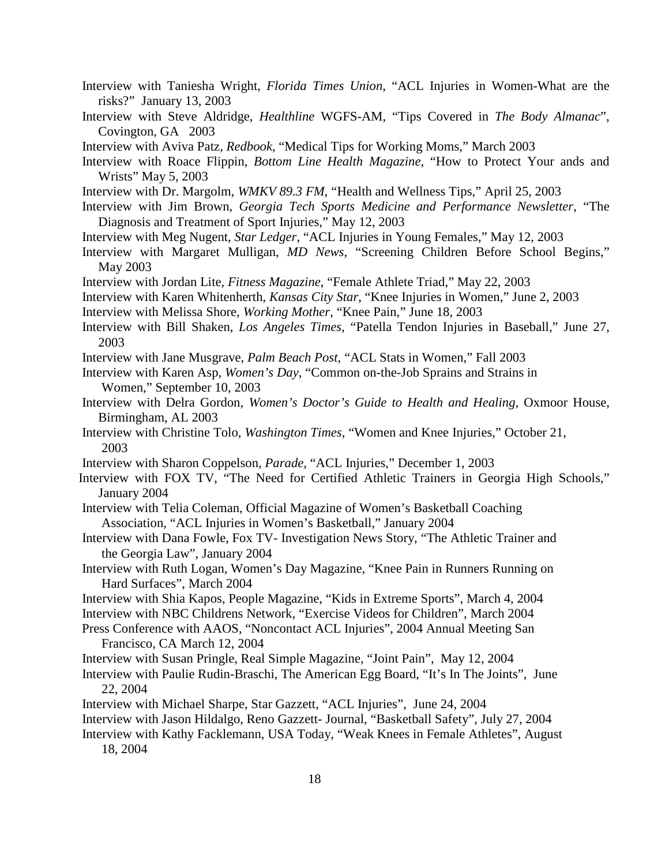- Interview with Taniesha Wright, *Florida Times Union*, "ACL Injuries in Women-What are the risks?" January 13, 2003
- Interview with Steve Aldridge, *Healthline* WGFS-AM, "Tips Covered in *The Body Almanac*", Covington, GA 2003
- Interview with Aviva Patz, *Redbook*, "Medical Tips for Working Moms," March 2003
- Interview with Roace Flippin, *Bottom Line Health Magazine*, "How to Protect Your ands and Wrists" May 5, 2003
- Interview with Dr. Margolm, *WMKV 89.3 FM*, "Health and Wellness Tips," April 25, 2003
- Interview with Jim Brown, *Georgia Tech Sports Medicine and Performance Newsletter*, "The Diagnosis and Treatment of Sport Injuries," May 12, 2003
- Interview with Meg Nugent, *Star Ledger*, "ACL Injuries in Young Females," May 12, 2003
- Interview with Margaret Mulligan, *MD News,* "Screening Children Before School Begins," May 2003
- Interview with Jordan Lite, *Fitness Magazine*, "Female Athlete Triad," May 22, 2003
- Interview with Karen Whitenherth, *Kansas City Star*, "Knee Injuries in Women," June 2, 2003
- Interview with Melissa Shore, *Working Mother*, "Knee Pain," June 18, 2003
- Interview with Bill Shaken, *Los Angeles Times*, "Patella Tendon Injuries in Baseball," June 27, 2003
- Interview with Jane Musgrave, *Palm Beach Post*, "ACL Stats in Women," Fall 2003
- Interview with Karen Asp, *Women's Day*, "Common on-the-Job Sprains and Strains in Women," September 10, 2003
- Interview with Delra Gordon, *Women's Doctor's Guide to Health and Healing*, Oxmoor House, Birmingham, AL 2003
- Interview with Christine Tolo, *Washington Times*, "Women and Knee Injuries," October 21, 2003
- Interview with Sharon Coppelson*, Parade*, "ACL Injuries," December 1, 2003
- Interview with FOX TV, "The Need for Certified Athletic Trainers in Georgia High Schools," January 2004
- Interview with Telia Coleman, Official Magazine of Women's Basketball Coaching Association, "ACL Injuries in Women's Basketball," January 2004
- Interview with Dana Fowle, Fox TV- Investigation News Story, "The Athletic Trainer and the Georgia Law", January 2004
- Interview with Ruth Logan, Women's Day Magazine, "Knee Pain in Runners Running on Hard Surfaces", March 2004
- Interview with Shia Kapos, People Magazine, "Kids in Extreme Sports", March 4, 2004
- Interview with NBC Childrens Network, "Exercise Videos for Children", March 2004
- Press Conference with AAOS, "Noncontact ACL Injuries", 2004 Annual Meeting San Francisco, CA March 12, 2004
- Interview with Susan Pringle, Real Simple Magazine, "Joint Pain", May 12, 2004
- Interview with Paulie Rudin-Braschi, The American Egg Board, "It's In The Joints", June 22, 2004
- Interview with Michael Sharpe, Star Gazzett, "ACL Injuries", June 24, 2004
- Interview with Jason Hildalgo, Reno Gazzett- Journal, "Basketball Safety", July 27, 2004
- Interview with Kathy Facklemann, USA Today, "Weak Knees in Female Athletes", August 18, 2004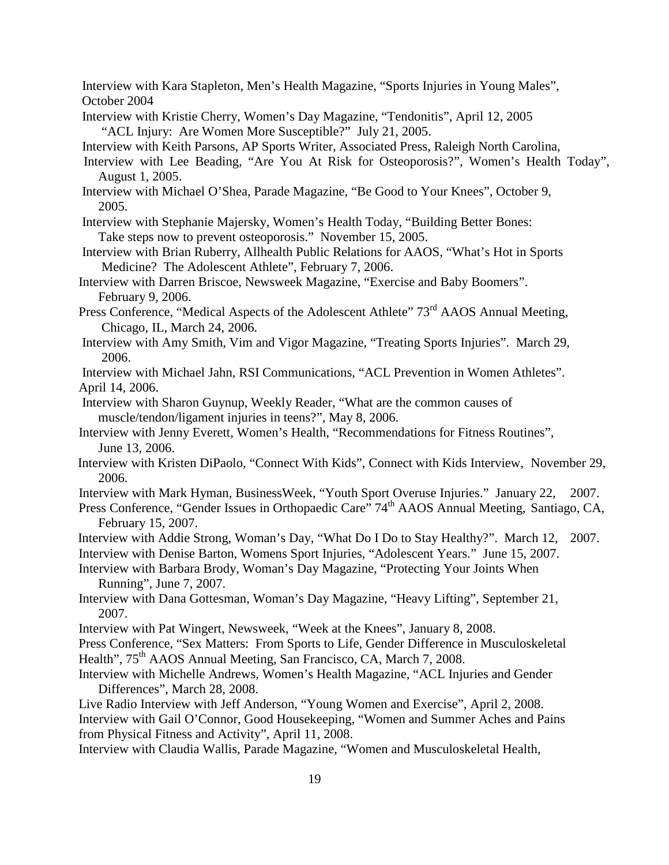Interview with Kara Stapleton, Men's Health Magazine, "Sports Injuries in Young Males", October 2004

Interview with Kristie Cherry, Women's Day Magazine, "Tendonitis", April 12, 2005 "ACL Injury: Are Women More Susceptible?" July 21, 2005.

Interview with Keith Parsons, AP Sports Writer, Associated Press, Raleigh North Carolina,

- Interview with Lee Beading, "Are You At Risk for Osteoporosis?", Women's Health Today", August 1, 2005.
- Interview with Michael O'Shea, Parade Magazine, "Be Good to Your Knees", October 9, 2005.

 Interview with Stephanie Majersky, Women's Health Today, "Building Better Bones: Take steps now to prevent osteoporosis." November 15, 2005.

Interview with Brian Ruberry, Allhealth Public Relations for AAOS, "What's Hot in Sports Medicine? The Adolescent Athlete", February 7, 2006.

- Interview with Darren Briscoe, Newsweek Magazine, "Exercise and Baby Boomers". February 9, 2006.
- Press Conference, "Medical Aspects of the Adolescent Athlete" 73<sup>rd</sup> AAOS Annual Meeting, Chicago, IL, March 24, 2006.
- Interview with Amy Smith, Vim and Vigor Magazine, "Treating Sports Injuries". March 29, 2006.

Interview with Michael Jahn, RSI Communications, "ACL Prevention in Women Athletes". April 14, 2006.

- Interview with Sharon Guynup, Weekly Reader, "What are the common causes of muscle/tendon/ligament injuries in teens?", May 8, 2006.
- Interview with Jenny Everett, Women's Health, "Recommendations for Fitness Routines", June 13, 2006.
- Interview with Kristen DiPaolo, "Connect With Kids", Connect with Kids Interview, November 29, 2006.
- Interview with Mark Hyman, BusinessWeek, "Youth Sport Overuse Injuries." January 22, 2007.

Press Conference, "Gender Issues in Orthopaedic Care" 74<sup>th</sup> AAOS Annual Meeting, Santiago, CA, February 15, 2007.

Interview with Addie Strong, Woman's Day, "What Do I Do to Stay Healthy?". March 12, 2007.

Interview with Denise Barton, Womens Sport Injuries, "Adolescent Years." June 15, 2007.

Interview with Barbara Brody, Woman's Day Magazine, "Protecting Your Joints When Running", June 7, 2007.

Interview with Dana Gottesman, Woman's Day Magazine, "Heavy Lifting", September 21, 2007.

Interview with Pat Wingert, Newsweek, "Week at the Knees", January 8, 2008.

Press Conference, "Sex Matters: From Sports to Life, Gender Difference in Musculoskeletal Health", 75<sup>th</sup> AAOS Annual Meeting, San Francisco, CA, March 7, 2008.

Interview with Michelle Andrews, Women's Health Magazine, "ACL Injuries and Gender Differences", March 28, 2008.

Live Radio Interview with Jeff Anderson, "Young Women and Exercise", April 2, 2008. Interview with Gail O'Connor, Good Housekeeping, "Women and Summer Aches and Pains from Physical Fitness and Activity", April 11, 2008.

Interview with Claudia Wallis, Parade Magazine, "Women and Musculoskeletal Health,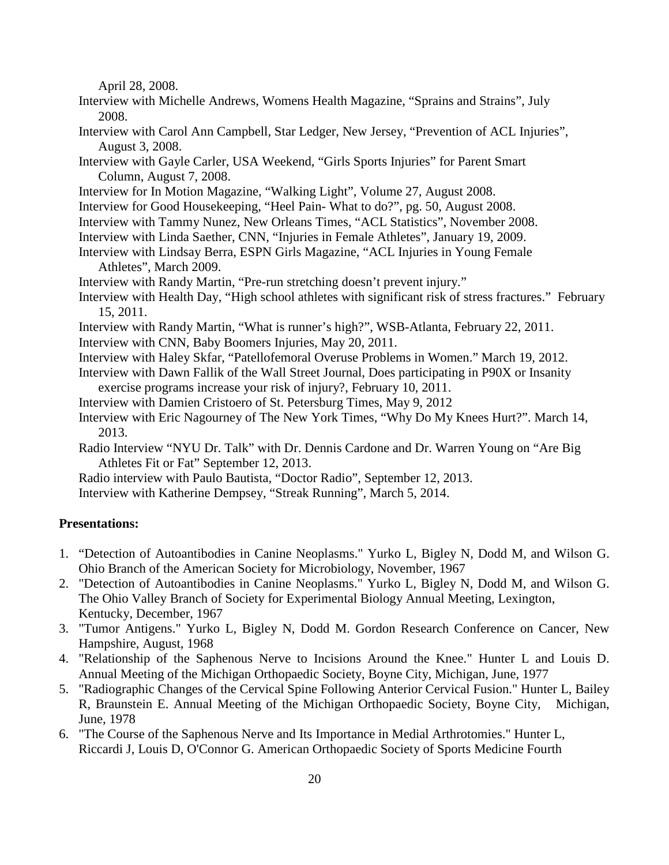April 28, 2008.

- Interview with Michelle Andrews, Womens Health Magazine, "Sprains and Strains", July 2008.
- Interview with Carol Ann Campbell, Star Ledger, New Jersey, "Prevention of ACL Injuries", August 3, 2008.
- Interview with Gayle Carler, USA Weekend, "Girls Sports Injuries" for Parent Smart Column, August 7, 2008.
- Interview for In Motion Magazine, "Walking Light", Volume 27, August 2008.
- Interview for Good Housekeeping, "Heel Pain- What to do?", pg. 50, August 2008.
- Interview with Tammy Nunez, New Orleans Times, "ACL Statistics", November 2008.
- Interview with Linda Saether, CNN, "Injuries in Female Athletes", January 19, 2009.
- Interview with Lindsay Berra, ESPN Girls Magazine, "ACL Injuries in Young Female Athletes", March 2009.
- Interview with Randy Martin, "Pre-run stretching doesn't prevent injury."
- Interview with Health Day, "High school athletes with significant risk of stress fractures." February 15, 2011.
- Interview with Randy Martin, "What is runner's high?", WSB-Atlanta, February 22, 2011.
- Interview with CNN, Baby Boomers Injuries, May 20, 2011.
- Interview with Haley Skfar, "Patellofemoral Overuse Problems in Women." March 19, 2012.
- Interview with Dawn Fallik of the Wall Street Journal, Does participating in P90X or Insanity exercise programs increase your risk of injury?, February 10, 2011.
- Interview with Damien Cristoero of St. Petersburg Times, May 9, 2012
- Interview with Eric Nagourney of The New York Times, "Why Do My Knees Hurt?". March 14, 2013.
- Radio Interview "NYU Dr. Talk" with Dr. Dennis Cardone and Dr. Warren Young on "Are Big Athletes Fit or Fat" September 12, 2013.
- Radio interview with Paulo Bautista, "Doctor Radio", September 12, 2013.
- Interview with Katherine Dempsey, "Streak Running", March 5, 2014.

### **Presentations:**

- 1. "Detection of Autoantibodies in Canine Neoplasms." Yurko L, Bigley N, Dodd M, and Wilson G. Ohio Branch of the American Society for Microbiology, November, 1967
- 2. "Detection of Autoantibodies in Canine Neoplasms." Yurko L, Bigley N, Dodd M, and Wilson G. The Ohio Valley Branch of Society for Experimental Biology Annual Meeting, Lexington, Kentucky, December, 1967
- 3. "Tumor Antigens." Yurko L, Bigley N, Dodd M. Gordon Research Conference on Cancer, New Hampshire, August, 1968
- 4. "Relationship of the Saphenous Nerve to Incisions Around the Knee." Hunter L and Louis D. Annual Meeting of the Michigan Orthopaedic Society, Boyne City, Michigan, June, 1977
- 5. "Radiographic Changes of the Cervical Spine Following Anterior Cervical Fusion." Hunter L, Bailey R, Braunstein E. Annual Meeting of the Michigan Orthopaedic Society, Boyne City, Michigan, June, 1978
- 6. "The Course of the Saphenous Nerve and Its Importance in Medial Arthrotomies." Hunter L, Riccardi J, Louis D, O'Connor G. American Orthopaedic Society of Sports Medicine Fourth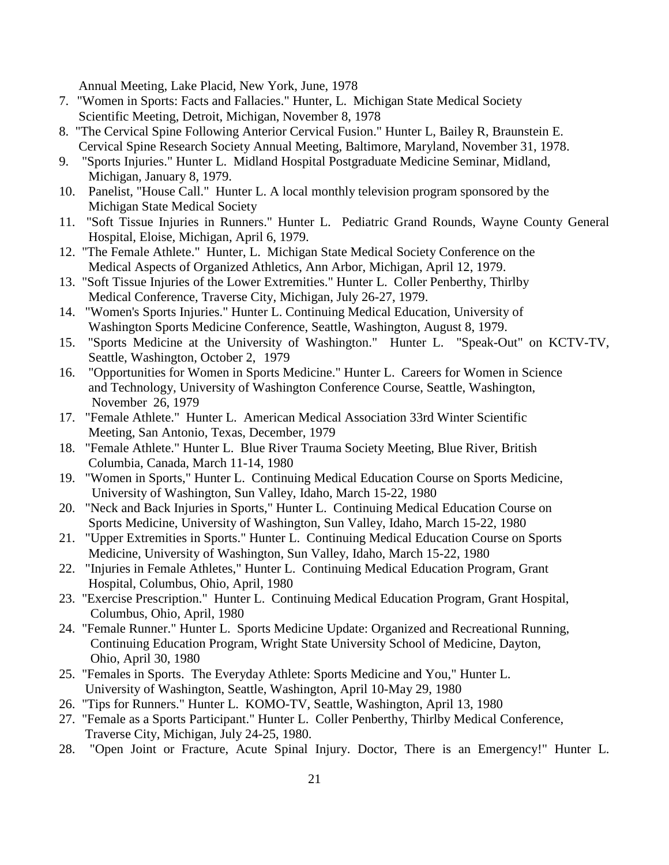Annual Meeting, Lake Placid, New York, June, 1978

- 7. "Women in Sports: Facts and Fallacies." Hunter, L. Michigan State Medical Society Scientific Meeting, Detroit, Michigan, November 8, 1978
- 8. "The Cervical Spine Following Anterior Cervical Fusion." Hunter L, Bailey R, Braunstein E. Cervical Spine Research Society Annual Meeting, Baltimore, Maryland, November 31, 1978.
- 9. "Sports Injuries." Hunter L. Midland Hospital Postgraduate Medicine Seminar, Midland, Michigan, January 8, 1979.
- 10. Panelist, "House Call." Hunter L. A local monthly television program sponsored by the Michigan State Medical Society
- 11. "Soft Tissue Injuries in Runners." Hunter L. Pediatric Grand Rounds, Wayne County General Hospital, Eloise, Michigan, April 6, 1979.
- 12. "The Female Athlete." Hunter, L. Michigan State Medical Society Conference on the Medical Aspects of Organized Athletics, Ann Arbor, Michigan, April 12, 1979.
- 13. "Soft Tissue Injuries of the Lower Extremities." Hunter L. Coller Penberthy, Thirlby Medical Conference, Traverse City, Michigan, July 26-27, 1979.
- 14. "Women's Sports Injuries." Hunter L. Continuing Medical Education, University of Washington Sports Medicine Conference, Seattle, Washington, August 8, 1979.
- 15. "Sports Medicine at the University of Washington." Hunter L. "Speak-Out" on KCTV-TV, Seattle, Washington, October 2, 1979
- 16. "Opportunities for Women in Sports Medicine." Hunter L. Careers for Women in Science and Technology, University of Washington Conference Course, Seattle, Washington, November 26, 1979
- 17. "Female Athlete." Hunter L. American Medical Association 33rd Winter Scientific Meeting, San Antonio, Texas, December, 1979
- 18. "Female Athlete." Hunter L. Blue River Trauma Society Meeting, Blue River, British Columbia, Canada, March 11-14, 1980
- 19. "Women in Sports," Hunter L. Continuing Medical Education Course on Sports Medicine, University of Washington, Sun Valley, Idaho, March 15-22, 1980
- 20. "Neck and Back Injuries in Sports," Hunter L. Continuing Medical Education Course on Sports Medicine, University of Washington, Sun Valley, Idaho, March 15-22, 1980
- 21. "Upper Extremities in Sports." Hunter L. Continuing Medical Education Course on Sports Medicine, University of Washington, Sun Valley, Idaho, March 15-22, 1980
- 22. "Injuries in Female Athletes," Hunter L. Continuing Medical Education Program, Grant Hospital, Columbus, Ohio, April, 1980
- 23. "Exercise Prescription." Hunter L. Continuing Medical Education Program, Grant Hospital, Columbus, Ohio, April, 1980
- 24. "Female Runner." Hunter L. Sports Medicine Update: Organized and Recreational Running, Continuing Education Program, Wright State University School of Medicine, Dayton, Ohio, April 30, 1980
- 25. "Females in Sports. The Everyday Athlete: Sports Medicine and You," Hunter L. University of Washington, Seattle, Washington, April 10-May 29, 1980
- 26. "Tips for Runners." Hunter L. KOMO-TV, Seattle, Washington, April 13, 1980
- 27. "Female as a Sports Participant." Hunter L. Coller Penberthy, Thirlby Medical Conference, Traverse City, Michigan, July 24-25, 1980.
- 28. "Open Joint or Fracture, Acute Spinal Injury. Doctor, There is an Emergency!" Hunter L.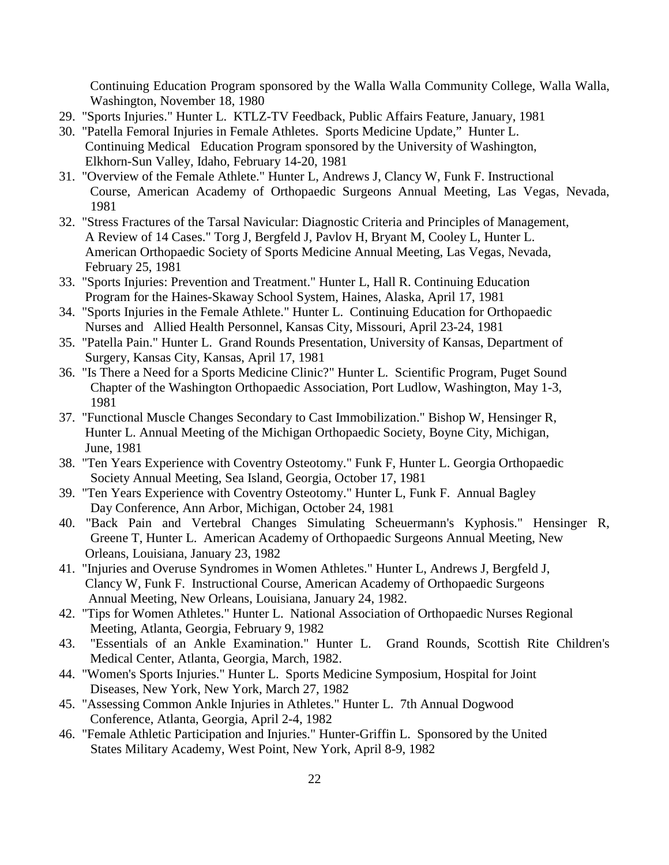Continuing Education Program sponsored by the Walla Walla Community College, Walla Walla, Washington, November 18, 1980

- 29. "Sports Injuries." Hunter L. KTLZ-TV Feedback, Public Affairs Feature, January, 1981
- 30. "Patella Femoral Injuries in Female Athletes. Sports Medicine Update," Hunter L. Continuing Medical Education Program sponsored by the University of Washington, Elkhorn-Sun Valley, Idaho, February 14-20, 1981
- 31. "Overview of the Female Athlete." Hunter L, Andrews J, Clancy W, Funk F. Instructional Course, American Academy of Orthopaedic Surgeons Annual Meeting, Las Vegas, Nevada, 1981
- 32. "Stress Fractures of the Tarsal Navicular: Diagnostic Criteria and Principles of Management, A Review of 14 Cases." Torg J, Bergfeld J, Pavlov H, Bryant M, Cooley L, Hunter L. American Orthopaedic Society of Sports Medicine Annual Meeting, Las Vegas, Nevada, February 25, 1981
- 33. "Sports Injuries: Prevention and Treatment." Hunter L, Hall R. Continuing Education Program for the Haines-Skaway School System, Haines, Alaska, April 17, 1981
- 34. "Sports Injuries in the Female Athlete." Hunter L. Continuing Education for Orthopaedic Nurses and Allied Health Personnel, Kansas City, Missouri, April 23-24, 1981
- 35. "Patella Pain." Hunter L. Grand Rounds Presentation, University of Kansas, Department of Surgery, Kansas City, Kansas, April 17, 1981
- 36. "Is There a Need for a Sports Medicine Clinic?" Hunter L. Scientific Program, Puget Sound Chapter of the Washington Orthopaedic Association, Port Ludlow, Washington, May 1-3, 1981
- 37. "Functional Muscle Changes Secondary to Cast Immobilization." Bishop W, Hensinger R, Hunter L. Annual Meeting of the Michigan Orthopaedic Society, Boyne City, Michigan, June, 1981
- 38. "Ten Years Experience with Coventry Osteotomy." Funk F, Hunter L. Georgia Orthopaedic Society Annual Meeting, Sea Island, Georgia, October 17, 1981
- 39. "Ten Years Experience with Coventry Osteotomy." Hunter L, Funk F. Annual Bagley Day Conference, Ann Arbor, Michigan, October 24, 1981
- 40. "Back Pain and Vertebral Changes Simulating Scheuermann's Kyphosis." Hensinger R, Greene T, Hunter L. American Academy of Orthopaedic Surgeons Annual Meeting, New Orleans, Louisiana, January 23, 1982
- 41. "Injuries and Overuse Syndromes in Women Athletes." Hunter L, Andrews J, Bergfeld J, Clancy W, Funk F. Instructional Course, American Academy of Orthopaedic Surgeons Annual Meeting, New Orleans, Louisiana, January 24, 1982.
- 42. "Tips for Women Athletes." Hunter L. National Association of Orthopaedic Nurses Regional Meeting, Atlanta, Georgia, February 9, 1982
- 43. "Essentials of an Ankle Examination." Hunter L. Grand Rounds, Scottish Rite Children's Medical Center, Atlanta, Georgia, March, 1982.
- 44. "Women's Sports Injuries." Hunter L. Sports Medicine Symposium, Hospital for Joint Diseases, New York, New York, March 27, 1982
- 45. "Assessing Common Ankle Injuries in Athletes." Hunter L. 7th Annual Dogwood Conference, Atlanta, Georgia, April 2-4, 1982
- 46. "Female Athletic Participation and Injuries." Hunter-Griffin L. Sponsored by the United States Military Academy, West Point, New York, April 8-9, 1982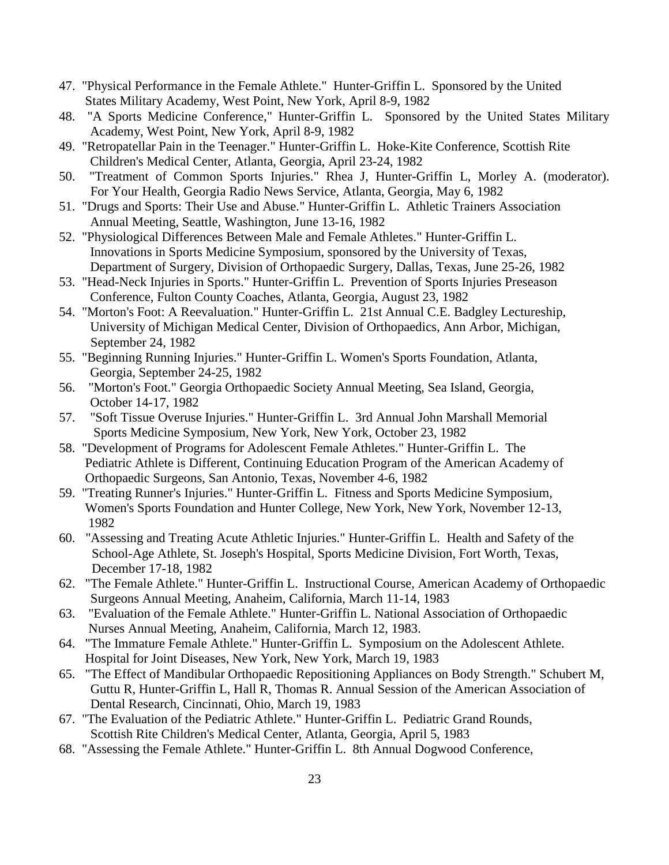- 47. "Physical Performance in the Female Athlete." Hunter-Griffin L. Sponsored by the United States Military Academy, West Point, New York, April 8-9, 1982
- 48. "A Sports Medicine Conference," Hunter-Griffin L. Sponsored by the United States Military Academy, West Point, New York, April 8-9, 1982
- 49. "Retropatellar Pain in the Teenager." Hunter-Griffin L. Hoke-Kite Conference, Scottish Rite Children's Medical Center, Atlanta, Georgia, April 23-24, 1982
- 50. "Treatment of Common Sports Injuries." Rhea J, Hunter-Griffin L, Morley A. (moderator). For Your Health, Georgia Radio News Service, Atlanta, Georgia, May 6, 1982
- 51. "Drugs and Sports: Their Use and Abuse." Hunter-Griffin L. Athletic Trainers Association Annual Meeting, Seattle, Washington, June 13-16, 1982
- 52. "Physiological Differences Between Male and Female Athletes." Hunter-Griffin L. Innovations in Sports Medicine Symposium, sponsored by the University of Texas, Department of Surgery, Division of Orthopaedic Surgery, Dallas, Texas, June 25-26, 1982
- 53. "Head-Neck Injuries in Sports." Hunter-Griffin L. Prevention of Sports Injuries Preseason Conference, Fulton County Coaches, Atlanta, Georgia, August 23, 1982
- 54. "Morton's Foot: A Reevaluation." Hunter-Griffin L. 21st Annual C.E. Badgley Lectureship, University of Michigan Medical Center, Division of Orthopaedics, Ann Arbor, Michigan, September 24, 1982
- 55. "Beginning Running Injuries." Hunter-Griffin L. Women's Sports Foundation, Atlanta, Georgia, September 24-25, 1982
- 56. "Morton's Foot." Georgia Orthopaedic Society Annual Meeting, Sea Island, Georgia, October 14-17, 1982
- 57. "Soft Tissue Overuse Injuries." Hunter-Griffin L. 3rd Annual John Marshall Memorial Sports Medicine Symposium, New York, New York, October 23, 1982
- 58. "Development of Programs for Adolescent Female Athletes." Hunter-Griffin L. The Pediatric Athlete is Different, Continuing Education Program of the American Academy of Orthopaedic Surgeons, San Antonio, Texas, November 4-6, 1982
- 59. "Treating Runner's Injuries." Hunter-Griffin L. Fitness and Sports Medicine Symposium, Women's Sports Foundation and Hunter College, New York, New York, November 12-13, 1982
- 60. "Assessing and Treating Acute Athletic Injuries." Hunter-Griffin L. Health and Safety of the School-Age Athlete, St. Joseph's Hospital, Sports Medicine Division, Fort Worth, Texas, December 17-18, 1982
- 62. "The Female Athlete." Hunter-Griffin L. Instructional Course, American Academy of Orthopaedic Surgeons Annual Meeting, Anaheim, California, March 11-14, 1983
- 63. "Evaluation of the Female Athlete." Hunter-Griffin L. National Association of Orthopaedic Nurses Annual Meeting, Anaheim, California, March 12, 1983.
- 64. "The Immature Female Athlete." Hunter-Griffin L. Symposium on the Adolescent Athlete. Hospital for Joint Diseases, New York, New York, March 19, 1983
- 65. "The Effect of Mandibular Orthopaedic Repositioning Appliances on Body Strength." Schubert M, Guttu R, Hunter-Griffin L, Hall R, Thomas R. Annual Session of the American Association of Dental Research, Cincinnati, Ohio, March 19, 1983
- 67. "The Evaluation of the Pediatric Athlete." Hunter-Griffin L. Pediatric Grand Rounds, Scottish Rite Children's Medical Center, Atlanta, Georgia, April 5, 1983
- 68. "Assessing the Female Athlete." Hunter-Griffin L. 8th Annual Dogwood Conference,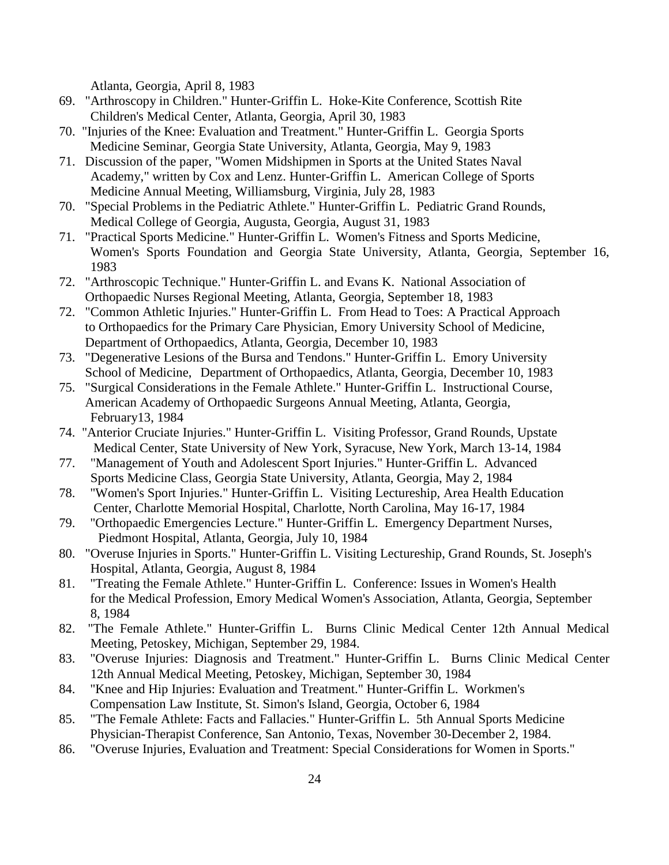Atlanta, Georgia, April 8, 1983

- 69. "Arthroscopy in Children." Hunter-Griffin L. Hoke-Kite Conference, Scottish Rite Children's Medical Center, Atlanta, Georgia, April 30, 1983
- 70. "Injuries of the Knee: Evaluation and Treatment." Hunter-Griffin L. Georgia Sports Medicine Seminar, Georgia State University, Atlanta, Georgia, May 9, 1983
- 71. Discussion of the paper, "Women Midshipmen in Sports at the United States Naval Academy," written by Cox and Lenz. Hunter-Griffin L. American College of Sports Medicine Annual Meeting, Williamsburg, Virginia, July 28, 1983
- 70. "Special Problems in the Pediatric Athlete." Hunter-Griffin L. Pediatric Grand Rounds, Medical College of Georgia, Augusta, Georgia, August 31, 1983
- 71. "Practical Sports Medicine." Hunter-Griffin L. Women's Fitness and Sports Medicine, Women's Sports Foundation and Georgia State University, Atlanta, Georgia, September 16, 1983
- 72. "Arthroscopic Technique." Hunter-Griffin L. and Evans K. National Association of Orthopaedic Nurses Regional Meeting, Atlanta, Georgia, September 18, 1983
- 72. "Common Athletic Injuries." Hunter-Griffin L. From Head to Toes: A Practical Approach to Orthopaedics for the Primary Care Physician, Emory University School of Medicine, Department of Orthopaedics, Atlanta, Georgia, December 10, 1983
- 73. "Degenerative Lesions of the Bursa and Tendons." Hunter-Griffin L. Emory University School of Medicine, Department of Orthopaedics, Atlanta, Georgia, December 10, 1983
- 75. "Surgical Considerations in the Female Athlete." Hunter-Griffin L. Instructional Course, American Academy of Orthopaedic Surgeons Annual Meeting, Atlanta, Georgia, February13, 1984
- 74. "Anterior Cruciate Injuries." Hunter-Griffin L. Visiting Professor, Grand Rounds, Upstate Medical Center, State University of New York, Syracuse, New York, March 13-14, 1984
- 77. "Management of Youth and Adolescent Sport Injuries." Hunter-Griffin L. Advanced Sports Medicine Class, Georgia State University, Atlanta, Georgia, May 2, 1984
- 78. "Women's Sport Injuries." Hunter-Griffin L. Visiting Lectureship, Area Health Education Center, Charlotte Memorial Hospital, Charlotte, North Carolina, May 16-17, 1984
- 79. "Orthopaedic Emergencies Lecture." Hunter-Griffin L. Emergency Department Nurses, Piedmont Hospital, Atlanta, Georgia, July 10, 1984
- 80. "Overuse Injuries in Sports." Hunter-Griffin L. Visiting Lectureship, Grand Rounds, St. Joseph's Hospital, Atlanta, Georgia, August 8, 1984
- 81. "Treating the Female Athlete." Hunter-Griffin L. Conference: Issues in Women's Health for the Medical Profession, Emory Medical Women's Association, Atlanta, Georgia, September 8, 1984
- 82. "The Female Athlete." Hunter-Griffin L. Burns Clinic Medical Center 12th Annual Medical Meeting, Petoskey, Michigan, September 29, 1984.
- 83. "Overuse Injuries: Diagnosis and Treatment." Hunter-Griffin L. Burns Clinic Medical Center 12th Annual Medical Meeting, Petoskey, Michigan, September 30, 1984
- 84. "Knee and Hip Injuries: Evaluation and Treatment." Hunter-Griffin L. Workmen's Compensation Law Institute, St. Simon's Island, Georgia, October 6, 1984
- 85. "The Female Athlete: Facts and Fallacies." Hunter-Griffin L. 5th Annual Sports Medicine Physician-Therapist Conference, San Antonio, Texas, November 30-December 2, 1984.
- 86. "Overuse Injuries, Evaluation and Treatment: Special Considerations for Women in Sports."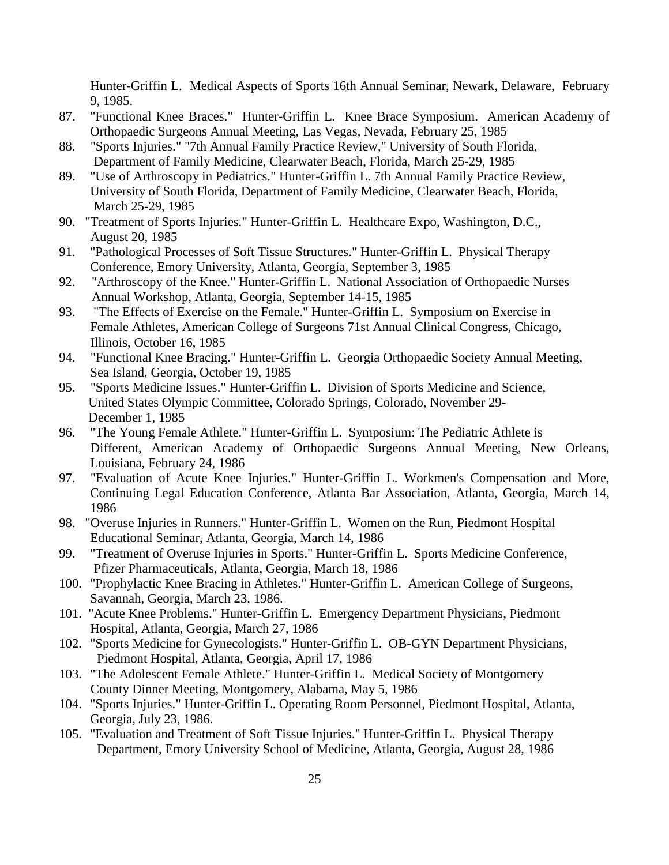Hunter-Griffin L. Medical Aspects of Sports 16th Annual Seminar, Newark, Delaware, February 9, 1985.

- 87. "Functional Knee Braces." Hunter-Griffin L. Knee Brace Symposium. American Academy of Orthopaedic Surgeons Annual Meeting, Las Vegas, Nevada, February 25, 1985
- 88. "Sports Injuries." "7th Annual Family Practice Review," University of South Florida, Department of Family Medicine, Clearwater Beach, Florida, March 25-29, 1985
- 89. "Use of Arthroscopy in Pediatrics." Hunter-Griffin L. 7th Annual Family Practice Review, University of South Florida, Department of Family Medicine, Clearwater Beach, Florida, March 25-29, 1985
- 90. "Treatment of Sports Injuries." Hunter-Griffin L. Healthcare Expo, Washington, D.C., August 20, 1985
- 91. "Pathological Processes of Soft Tissue Structures." Hunter-Griffin L. Physical Therapy Conference, Emory University, Atlanta, Georgia, September 3, 1985
- 92. "Arthroscopy of the Knee." Hunter-Griffin L. National Association of Orthopaedic Nurses Annual Workshop, Atlanta, Georgia, September 14-15, 1985
- 93. "The Effects of Exercise on the Female." Hunter-Griffin L. Symposium on Exercise in Female Athletes, American College of Surgeons 71st Annual Clinical Congress, Chicago, Illinois, October 16, 1985
- 94. "Functional Knee Bracing." Hunter-Griffin L. Georgia Orthopaedic Society Annual Meeting, Sea Island, Georgia, October 19, 1985
- 95. "Sports Medicine Issues." Hunter-Griffin L. Division of Sports Medicine and Science, United States Olympic Committee, Colorado Springs, Colorado, November 29- December 1, 1985
- 96. "The Young Female Athlete." Hunter-Griffin L. Symposium: The Pediatric Athlete is Different, American Academy of Orthopaedic Surgeons Annual Meeting, New Orleans, Louisiana, February 24, 1986
- 97. "Evaluation of Acute Knee Injuries." Hunter-Griffin L. Workmen's Compensation and More, Continuing Legal Education Conference, Atlanta Bar Association, Atlanta, Georgia, March 14, 1986
- 98. "Overuse Injuries in Runners." Hunter-Griffin L. Women on the Run, Piedmont Hospital Educational Seminar, Atlanta, Georgia, March 14, 1986
- 99. "Treatment of Overuse Injuries in Sports." Hunter-Griffin L. Sports Medicine Conference, Pfizer Pharmaceuticals, Atlanta, Georgia, March 18, 1986
- 100. "Prophylactic Knee Bracing in Athletes." Hunter-Griffin L. American College of Surgeons, Savannah, Georgia, March 23, 1986.
- 101. "Acute Knee Problems." Hunter-Griffin L. Emergency Department Physicians, Piedmont Hospital, Atlanta, Georgia, March 27, 1986
- 102. "Sports Medicine for Gynecologists." Hunter-Griffin L. OB-GYN Department Physicians, Piedmont Hospital, Atlanta, Georgia, April 17, 1986
- 103. "The Adolescent Female Athlete." Hunter-Griffin L. Medical Society of Montgomery County Dinner Meeting, Montgomery, Alabama, May 5, 1986
- 104. "Sports Injuries." Hunter-Griffin L. Operating Room Personnel, Piedmont Hospital, Atlanta, Georgia, July 23, 1986.
- 105. "Evaluation and Treatment of Soft Tissue Injuries." Hunter-Griffin L. Physical Therapy Department, Emory University School of Medicine, Atlanta, Georgia, August 28, 1986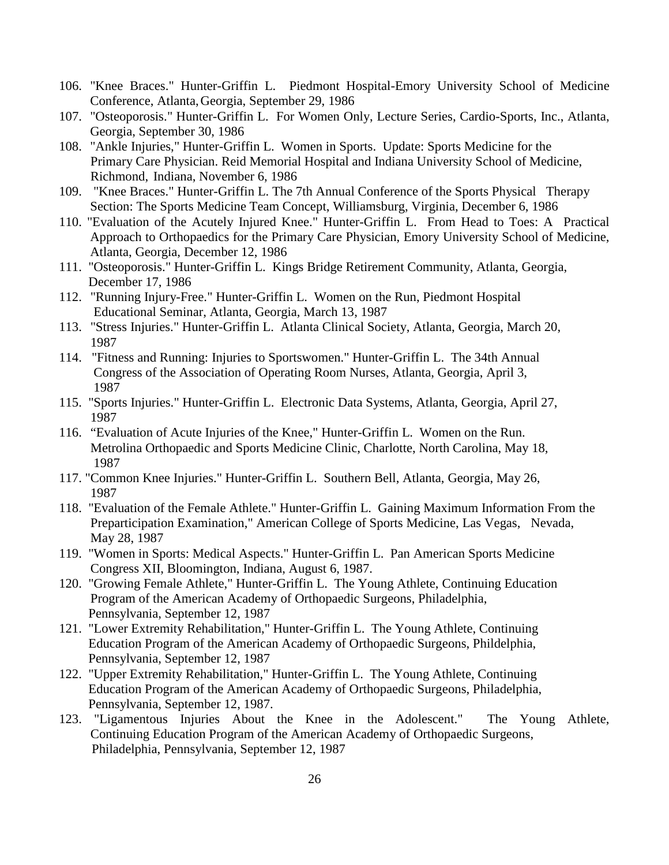- 106. "Knee Braces." Hunter-Griffin L. Piedmont Hospital-Emory University School of Medicine Conference, Atlanta,Georgia, September 29, 1986
- 107. "Osteoporosis." Hunter-Griffin L. For Women Only, Lecture Series, Cardio-Sports, Inc., Atlanta, Georgia, September 30, 1986
- 108. "Ankle Injuries," Hunter-Griffin L. Women in Sports. Update: Sports Medicine for the Primary Care Physician. Reid Memorial Hospital and Indiana University School of Medicine, Richmond, Indiana, November 6, 1986
- 109. "Knee Braces." Hunter-Griffin L. The 7th Annual Conference of the Sports Physical Therapy Section: The Sports Medicine Team Concept, Williamsburg, Virginia, December 6, 1986
- 110. "Evaluation of the Acutely Injured Knee." Hunter-Griffin L. From Head to Toes: A Practical Approach to Orthopaedics for the Primary Care Physician, Emory University School of Medicine, Atlanta, Georgia, December 12, 1986
- 111. "Osteoporosis." Hunter-Griffin L. Kings Bridge Retirement Community, Atlanta, Georgia, December 17, 1986
- 112. "Running Injury-Free." Hunter-Griffin L. Women on the Run, Piedmont Hospital Educational Seminar, Atlanta, Georgia, March 13, 1987
- 113. "Stress Injuries." Hunter-Griffin L. Atlanta Clinical Society, Atlanta, Georgia, March 20, 1987
- 114. "Fitness and Running: Injuries to Sportswomen." Hunter-Griffin L. The 34th Annual Congress of the Association of Operating Room Nurses, Atlanta, Georgia, April 3, 1987
- 115. "Sports Injuries." Hunter-Griffin L. Electronic Data Systems, Atlanta, Georgia, April 27, 1987
- 116. "Evaluation of Acute Injuries of the Knee," Hunter-Griffin L. Women on the Run. Metrolina Orthopaedic and Sports Medicine Clinic, Charlotte, North Carolina, May 18, 1987
- 117. "Common Knee Injuries." Hunter-Griffin L. Southern Bell, Atlanta, Georgia, May 26, 1987
- 118. "Evaluation of the Female Athlete." Hunter-Griffin L. Gaining Maximum Information From the Preparticipation Examination," American College of Sports Medicine, Las Vegas, Nevada, May 28, 1987
- 119. "Women in Sports: Medical Aspects." Hunter-Griffin L. Pan American Sports Medicine Congress XII, Bloomington, Indiana, August 6, 1987.
- 120. "Growing Female Athlete," Hunter-Griffin L. The Young Athlete, Continuing Education Program of the American Academy of Orthopaedic Surgeons, Philadelphia, Pennsylvania, September 12, 1987
- 121. "Lower Extremity Rehabilitation," Hunter-Griffin L. The Young Athlete, Continuing Education Program of the American Academy of Orthopaedic Surgeons, Phildelphia, Pennsylvania, September 12, 1987
- 122. "Upper Extremity Rehabilitation," Hunter-Griffin L. The Young Athlete, Continuing Education Program of the American Academy of Orthopaedic Surgeons, Philadelphia, Pennsylvania, September 12, 1987.
- 123. "Ligamentous Injuries About the Knee in the Adolescent." The Young Athlete, Continuing Education Program of the American Academy of Orthopaedic Surgeons, Philadelphia, Pennsylvania, September 12, 1987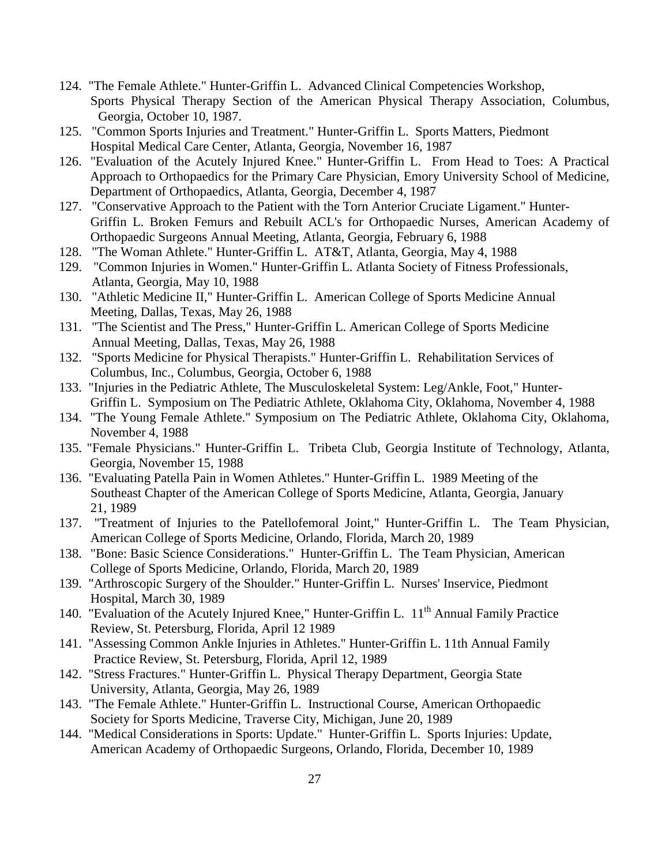- 124. "The Female Athlete." Hunter-Griffin L. Advanced Clinical Competencies Workshop, Sports Physical Therapy Section of the American Physical Therapy Association, Columbus, Georgia, October 10, 1987.
- 125. "Common Sports Injuries and Treatment." Hunter-Griffin L. Sports Matters, Piedmont Hospital Medical Care Center, Atlanta, Georgia, November 16, 1987
- 126. "Evaluation of the Acutely Injured Knee." Hunter-Griffin L. From Head to Toes: A Practical Approach to Orthopaedics for the Primary Care Physician, Emory University School of Medicine, Department of Orthopaedics, Atlanta, Georgia, December 4, 1987
- 127. "Conservative Approach to the Patient with the Torn Anterior Cruciate Ligament." Hunter-Griffin L. Broken Femurs and Rebuilt ACL's for Orthopaedic Nurses, American Academy of Orthopaedic Surgeons Annual Meeting, Atlanta, Georgia, February 6, 1988
- 128. "The Woman Athlete." Hunter-Griffin L. AT&T, Atlanta, Georgia, May 4, 1988
- 129. "Common Injuries in Women." Hunter-Griffin L. Atlanta Society of Fitness Professionals, Atlanta, Georgia, May 10, 1988
- 130. "Athletic Medicine II," Hunter-Griffin L. American College of Sports Medicine Annual Meeting, Dallas, Texas, May 26, 1988
- 131. "The Scientist and The Press," Hunter-Griffin L. American College of Sports Medicine Annual Meeting, Dallas, Texas, May 26, 1988
- 132. "Sports Medicine for Physical Therapists." Hunter-Griffin L. Rehabilitation Services of Columbus, Inc., Columbus, Georgia, October 6, 1988
- 133. "Injuries in the Pediatric Athlete, The Musculoskeletal System: Leg/Ankle, Foot," Hunter-Griffin L. Symposium on The Pediatric Athlete, Oklahoma City, Oklahoma, November 4, 1988
- 134. "The Young Female Athlete." Symposium on The Pediatric Athlete, Oklahoma City, Oklahoma, November 4, 1988
- 135. "Female Physicians." Hunter-Griffin L. Tribeta Club, Georgia Institute of Technology, Atlanta, Georgia, November 15, 1988
- 136. "Evaluating Patella Pain in Women Athletes." Hunter-Griffin L. 1989 Meeting of the Southeast Chapter of the American College of Sports Medicine, Atlanta, Georgia, January 21, 1989
- 137. "Treatment of Injuries to the Patellofemoral Joint," Hunter-Griffin L. The Team Physician, American College of Sports Medicine, Orlando, Florida, March 20, 1989
- 138. "Bone: Basic Science Considerations." Hunter-Griffin L. The Team Physician, American College of Sports Medicine, Orlando, Florida, March 20, 1989
- 139. "Arthroscopic Surgery of the Shoulder." Hunter-Griffin L. Nurses' Inservice, Piedmont Hospital, March 30, 1989
- 140. "Evaluation of the Acutely Injured Knee," Hunter-Griffin L.  $11<sup>th</sup>$  Annual Family Practice Review, St. Petersburg, Florida, April 12 1989
- 141. "Assessing Common Ankle Injuries in Athletes." Hunter-Griffin L. 11th Annual Family Practice Review, St. Petersburg, Florida, April 12, 1989
- 142. "Stress Fractures." Hunter-Griffin L. Physical Therapy Department, Georgia State University, Atlanta, Georgia, May 26, 1989
- 143. "The Female Athlete." Hunter-Griffin L. Instructional Course, American Orthopaedic Society for Sports Medicine, Traverse City, Michigan, June 20, 1989
- 144. "Medical Considerations in Sports: Update." Hunter-Griffin L. Sports Injuries: Update, American Academy of Orthopaedic Surgeons, Orlando, Florida, December 10, 1989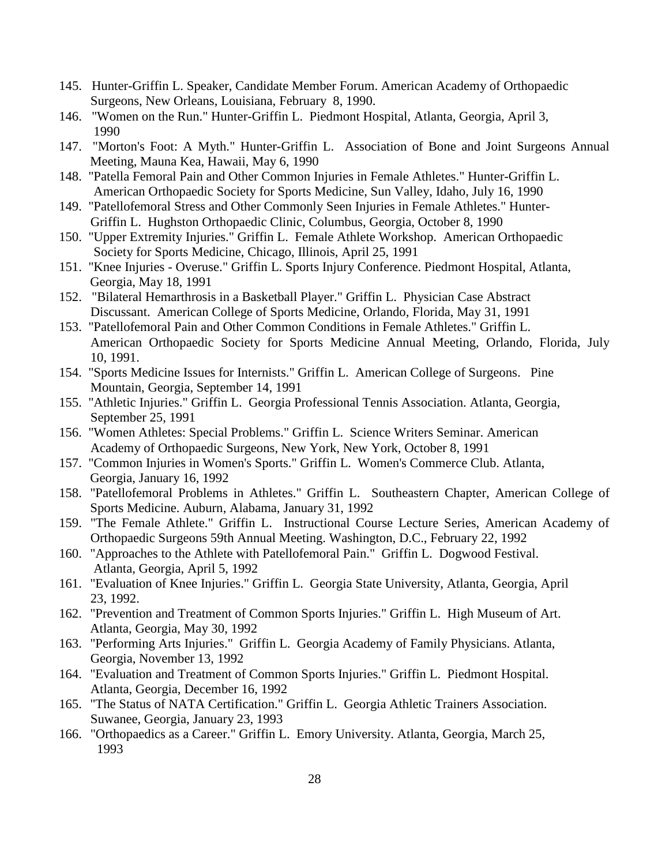- 145. Hunter-Griffin L. Speaker, Candidate Member Forum. American Academy of Orthopaedic Surgeons, New Orleans, Louisiana, February 8, 1990.
- 146. "Women on the Run." Hunter-Griffin L. Piedmont Hospital, Atlanta, Georgia, April 3, 1990
- 147. "Morton's Foot: A Myth." Hunter-Griffin L. Association of Bone and Joint Surgeons Annual Meeting, Mauna Kea, Hawaii, May 6, 1990
- 148. "Patella Femoral Pain and Other Common Injuries in Female Athletes." Hunter-Griffin L. American Orthopaedic Society for Sports Medicine, Sun Valley, Idaho, July 16, 1990
- 149. "Patellofemoral Stress and Other Commonly Seen Injuries in Female Athletes." Hunter-Griffin L. Hughston Orthopaedic Clinic, Columbus, Georgia, October 8, 1990
- 150. "Upper Extremity Injuries." Griffin L. Female Athlete Workshop. American Orthopaedic Society for Sports Medicine, Chicago, Illinois, April 25, 1991
- 151. "Knee Injuries Overuse." Griffin L. Sports Injury Conference. Piedmont Hospital, Atlanta, Georgia, May 18, 1991
- 152. "Bilateral Hemarthrosis in a Basketball Player." Griffin L. Physician Case Abstract Discussant. American College of Sports Medicine, Orlando, Florida, May 31, 1991
- 153. "Patellofemoral Pain and Other Common Conditions in Female Athletes." Griffin L. American Orthopaedic Society for Sports Medicine Annual Meeting, Orlando, Florida, July 10, 1991.
- 154. "Sports Medicine Issues for Internists." Griffin L. American College of Surgeons. Pine Mountain, Georgia, September 14, 1991
- 155. "Athletic Injuries." Griffin L. Georgia Professional Tennis Association. Atlanta, Georgia, September 25, 1991
- 156. "Women Athletes: Special Problems." Griffin L. Science Writers Seminar. American Academy of Orthopaedic Surgeons, New York, New York, October 8, 1991
- 157. "Common Injuries in Women's Sports." Griffin L. Women's Commerce Club. Atlanta, Georgia, January 16, 1992
- 158. "Patellofemoral Problems in Athletes." Griffin L. Southeastern Chapter, American College of Sports Medicine. Auburn, Alabama, January 31, 1992
- 159. "The Female Athlete." Griffin L. Instructional Course Lecture Series, American Academy of Orthopaedic Surgeons 59th Annual Meeting. Washington, D.C., February 22, 1992
- 160. "Approaches to the Athlete with Patellofemoral Pain." Griffin L. Dogwood Festival. Atlanta, Georgia, April 5, 1992
- 161. "Evaluation of Knee Injuries." Griffin L. Georgia State University, Atlanta, Georgia, April 23, 1992.
- 162. "Prevention and Treatment of Common Sports Injuries." Griffin L. High Museum of Art. Atlanta, Georgia, May 30, 1992
- 163. "Performing Arts Injuries." Griffin L. Georgia Academy of Family Physicians. Atlanta, Georgia, November 13, 1992
- 164. "Evaluation and Treatment of Common Sports Injuries." Griffin L. Piedmont Hospital. Atlanta, Georgia, December 16, 1992
- 165. "The Status of NATA Certification." Griffin L. Georgia Athletic Trainers Association. Suwanee, Georgia, January 23, 1993
- 166. "Orthopaedics as a Career." Griffin L. Emory University. Atlanta, Georgia, March 25, 1993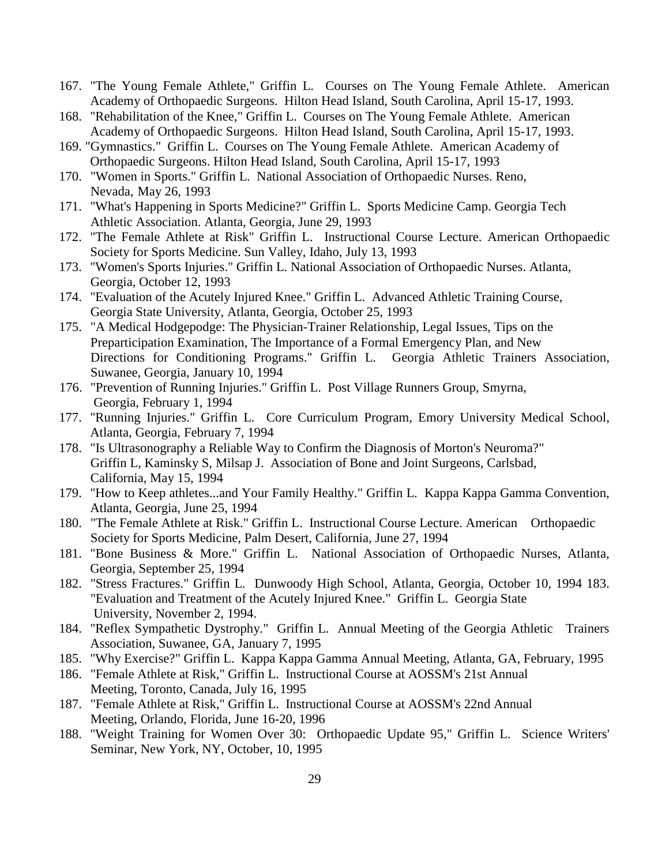- 167. "The Young Female Athlete," Griffin L. Courses on The Young Female Athlete. American Academy of Orthopaedic Surgeons. Hilton Head Island, South Carolina, April 15-17, 1993.
- 168. "Rehabilitation of the Knee," Griffin L. Courses on The Young Female Athlete. American Academy of Orthopaedic Surgeons. Hilton Head Island, South Carolina, April 15-17, 1993.
- 169. "Gymnastics." Griffin L. Courses on The Young Female Athlete. American Academy of Orthopaedic Surgeons. Hilton Head Island, South Carolina, April 15-17, 1993
- 170. "Women in Sports." Griffin L. National Association of Orthopaedic Nurses. Reno, Nevada, May 26, 1993
- 171. "What's Happening in Sports Medicine?" Griffin L. Sports Medicine Camp. Georgia Tech Athletic Association. Atlanta, Georgia, June 29, 1993
- 172. "The Female Athlete at Risk" Griffin L. Instructional Course Lecture. American Orthopaedic Society for Sports Medicine. Sun Valley, Idaho, July 13, 1993
- 173. "Women's Sports Injuries." Griffin L. National Association of Orthopaedic Nurses. Atlanta, Georgia, October 12, 1993
- 174. "Evaluation of the Acutely Injured Knee." Griffin L. Advanced Athletic Training Course, Georgia State University, Atlanta, Georgia, October 25, 1993
- 175. "A Medical Hodgepodge: The Physician-Trainer Relationship, Legal Issues, Tips on the Preparticipation Examination, The Importance of a Formal Emergency Plan, and New Directions for Conditioning Programs." Griffin L. Georgia Athletic Trainers Association, Suwanee, Georgia, January 10, 1994
- 176. "Prevention of Running Injuries." Griffin L. Post Village Runners Group, Smyrna, Georgia, February 1, 1994
- 177. "Running Injuries." Griffin L. Core Curriculum Program, Emory University Medical School, Atlanta, Georgia, February 7, 1994
- 178. "Is Ultrasonography a Reliable Way to Confirm the Diagnosis of Morton's Neuroma?" Griffin L, Kaminsky S, Milsap J. Association of Bone and Joint Surgeons, Carlsbad, California, May 15, 1994
- 179. "How to Keep athletes...and Your Family Healthy." Griffin L. Kappa Kappa Gamma Convention, Atlanta, Georgia, June 25, 1994
- 180. "The Female Athlete at Risk." Griffin L. Instructional Course Lecture. American Orthopaedic Society for Sports Medicine, Palm Desert, California, June 27, 1994
- 181. "Bone Business & More." Griffin L. National Association of Orthopaedic Nurses, Atlanta, Georgia, September 25, 1994
- 182. "Stress Fractures." Griffin L. Dunwoody High School, Atlanta, Georgia, October 10, 1994 183. "Evaluation and Treatment of the Acutely Injured Knee." Griffin L. Georgia State University, November 2, 1994.
- 184. "Reflex Sympathetic Dystrophy." Griffin L. Annual Meeting of the Georgia Athletic Trainers Association, Suwanee, GA, January 7, 1995
- 185. "Why Exercise?" Griffin L. Kappa Kappa Gamma Annual Meeting, Atlanta, GA, February, 1995
- 186. "Female Athlete at Risk," Griffin L. Instructional Course at AOSSM's 21st Annual Meeting, Toronto, Canada, July 16, 1995
- 187. "Female Athlete at Risk," Griffin L. Instructional Course at AOSSM's 22nd Annual Meeting, Orlando, Florida, June 16-20, 1996
- 188. "Weight Training for Women Over 30: Orthopaedic Update 95," Griffin L. Science Writers' Seminar, New York, NY, October, 10, 1995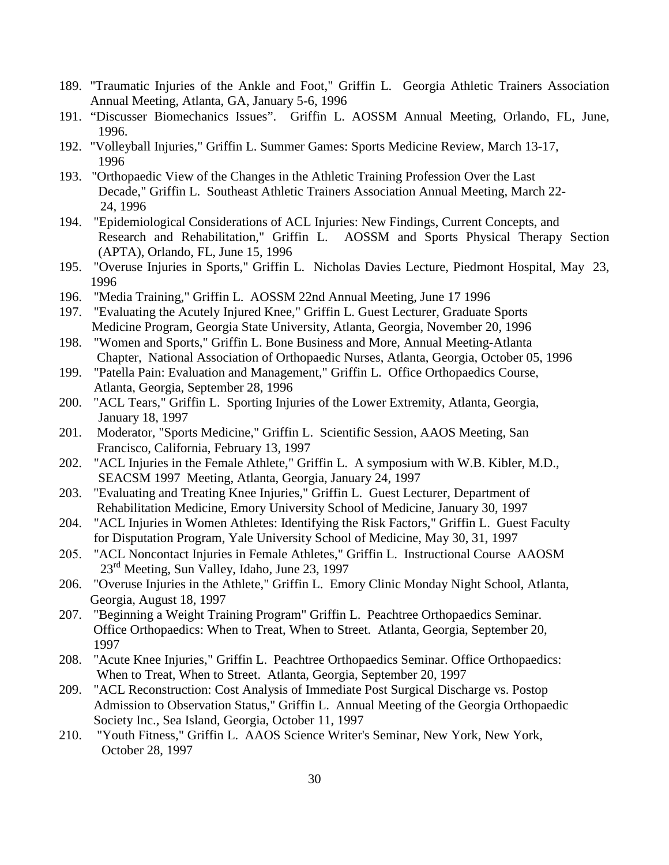- 189. "Traumatic Injuries of the Ankle and Foot," Griffin L. Georgia Athletic Trainers Association Annual Meeting, Atlanta, GA, January 5-6, 1996
- 191. "Discusser Biomechanics Issues". Griffin L. AOSSM Annual Meeting, Orlando, FL, June, 1996.
- 192. "Volleyball Injuries," Griffin L. Summer Games: Sports Medicine Review, March 13-17, 1996
- 193. "Orthopaedic View of the Changes in the Athletic Training Profession Over the Last Decade," Griffin L. Southeast Athletic Trainers Association Annual Meeting, March 22- 24, 1996
- 194. "Epidemiological Considerations of ACL Injuries: New Findings, Current Concepts, and Research and Rehabilitation," Griffin L. AOSSM and Sports Physical Therapy Section (APTA), Orlando, FL, June 15, 1996
- 195. "Overuse Injuries in Sports," Griffin L. Nicholas Davies Lecture, Piedmont Hospital, May 23, 1996
- 196. "Media Training," Griffin L. AOSSM 22nd Annual Meeting, June 17 1996
- 197. "Evaluating the Acutely Injured Knee," Griffin L. Guest Lecturer, Graduate Sports Medicine Program, Georgia State University, Atlanta, Georgia, November 20, 1996
- 198. "Women and Sports," Griffin L. Bone Business and More, Annual Meeting-Atlanta Chapter, National Association of Orthopaedic Nurses, Atlanta, Georgia, October 05, 1996
- 199. "Patella Pain: Evaluation and Management," Griffin L. Office Orthopaedics Course, Atlanta, Georgia, September 28, 1996
- 200. "ACL Tears," Griffin L. Sporting Injuries of the Lower Extremity, Atlanta, Georgia, January 18, 1997
- 201. Moderator, "Sports Medicine," Griffin L. Scientific Session, AAOS Meeting, San Francisco, California, February 13, 1997
- 202. "ACL Injuries in the Female Athlete," Griffin L. A symposium with W.B. Kibler, M.D., SEACSM 1997 Meeting, Atlanta, Georgia, January 24, 1997
- 203. "Evaluating and Treating Knee Injuries," Griffin L. Guest Lecturer, Department of Rehabilitation Medicine, Emory University School of Medicine, January 30, 1997
- 204. "ACL Injuries in Women Athletes: Identifying the Risk Factors," Griffin L. Guest Faculty for Disputation Program, Yale University School of Medicine, May 30, 31, 1997
- 205. "ACL Noncontact Injuries in Female Athletes," Griffin L. Instructional Course AAOSM  $23<sup>rd</sup>$  Meeting, Sun Valley, Idaho, June 23, 1997
- 206. "Overuse Injuries in the Athlete," Griffin L. Emory Clinic Monday Night School, Atlanta, Georgia, August 18, 1997
- 207. "Beginning a Weight Training Program" Griffin L. Peachtree Orthopaedics Seminar. Office Orthopaedics: When to Treat, When to Street. Atlanta, Georgia, September 20, 1997
- 208. "Acute Knee Injuries," Griffin L. Peachtree Orthopaedics Seminar. Office Orthopaedics: When to Treat, When to Street. Atlanta, Georgia, September 20, 1997
- 209. "ACL Reconstruction: Cost Analysis of Immediate Post Surgical Discharge vs. Postop Admission to Observation Status," Griffin L. Annual Meeting of the Georgia Orthopaedic Society Inc., Sea Island, Georgia, October 11, 1997
- 210. "Youth Fitness," Griffin L. AAOS Science Writer's Seminar, New York, New York, October 28, 1997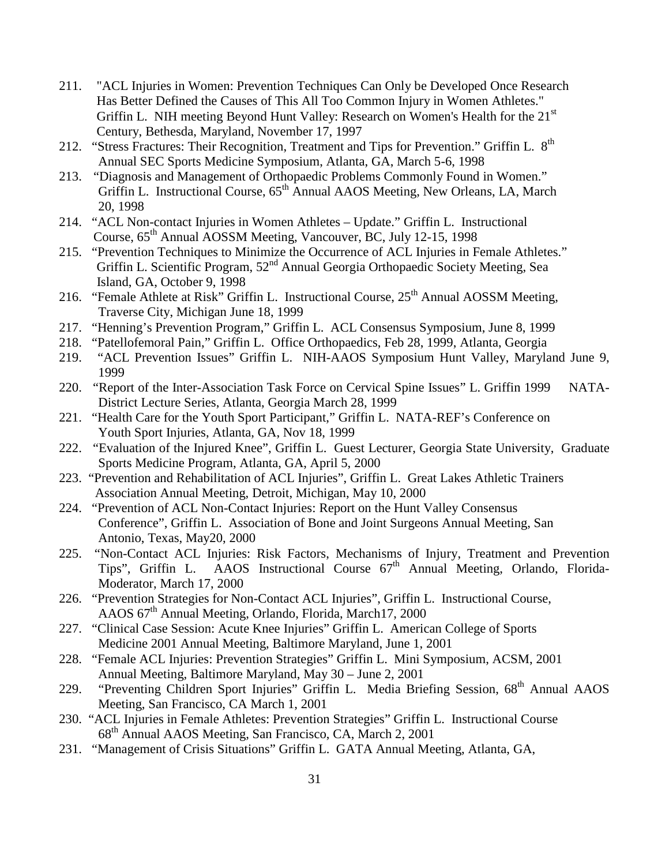- 211. "ACL Injuries in Women: Prevention Techniques Can Only be Developed Once Research Has Better Defined the Causes of This All Too Common Injury in Women Athletes." Griffin L. NIH meeting Beyond Hunt Valley: Research on Women's Health for the 21<sup>st</sup> Century, Bethesda, Maryland, November 17, 1997
- 212. "Stress Fractures: Their Recognition, Treatment and Tips for Prevention." Griffin L. 8<sup>th</sup> Annual SEC Sports Medicine Symposium, Atlanta, GA, March 5-6, 1998
- 213. "Diagnosis and Management of Orthopaedic Problems Commonly Found in Women." Griffin L. Instructional Course, 65<sup>th</sup> Annual AAOS Meeting, New Orleans, LA, March 20, 1998
- 214. "ACL Non-contact Injuries in Women Athletes Update." Griffin L. Instructional Course,  $65<sup>th</sup>$  Annual AOSSM Meeting, Vancouver, BC, July 12-15, 1998
- 215. "Prevention Techniques to Minimize the Occurrence of ACL Injuries in Female Athletes." Griffin L. Scientific Program, 52<sup>nd</sup> Annual Georgia Orthopaedic Society Meeting, Sea Island, GA, October 9, 1998
- 216. "Female Athlete at Risk" Griffin L. Instructional Course, 25<sup>th</sup> Annual AOSSM Meeting, Traverse City, Michigan June 18, 1999
- 217. "Henning's Prevention Program," Griffin L. ACL Consensus Symposium, June 8, 1999
- 218. "Patellofemoral Pain," Griffin L. Office Orthopaedics, Feb 28, 1999, Atlanta, Georgia
- 219. "ACL Prevention Issues" Griffin L. NIH-AAOS Symposium Hunt Valley, Maryland June 9, 1999
- 220. "Report of the Inter-Association Task Force on Cervical Spine Issues" L. Griffin 1999 NATA-District Lecture Series, Atlanta, Georgia March 28, 1999
- 221. "Health Care for the Youth Sport Participant," Griffin L. NATA-REF's Conference on Youth Sport Injuries, Atlanta, GA, Nov 18, 1999
- 222. "Evaluation of the Injured Knee", Griffin L. Guest Lecturer, Georgia State University, Graduate Sports Medicine Program, Atlanta, GA, April 5, 2000
- 223. "Prevention and Rehabilitation of ACL Injuries", Griffin L. Great Lakes Athletic Trainers Association Annual Meeting, Detroit, Michigan, May 10, 2000
- 224. "Prevention of ACL Non-Contact Injuries: Report on the Hunt Valley Consensus Conference", Griffin L. Association of Bone and Joint Surgeons Annual Meeting, San Antonio, Texas, May20, 2000
- 225. "Non-Contact ACL Injuries: Risk Factors, Mechanisms of Injury, Treatment and Prevention Tips", Griffin L. AAOS Instructional Course 67<sup>th</sup> Annual Meeting, Orlando, Florida-Moderator, March 17, 2000
- 226. "Prevention Strategies for Non-Contact ACL Injuries", Griffin L. Instructional Course, AAOS 67<sup>th</sup> Annual Meeting, Orlando, Florida, March17, 2000
- 227. "Clinical Case Session: Acute Knee Injuries" Griffin L. American College of Sports Medicine 2001 Annual Meeting, Baltimore Maryland, June 1, 2001
- 228. "Female ACL Injuries: Prevention Strategies" Griffin L. Mini Symposium, ACSM, 2001 Annual Meeting, Baltimore Maryland, May 30 – June 2, 2001
- 229. "Preventing Children Sport Injuries" Griffin L. Media Briefing Session, 68<sup>th</sup> Annual AAOS Meeting, San Francisco, CA March 1, 2001
- 230. "ACL Injuries in Female Athletes: Prevention Strategies" Griffin L. Instructional Course 68th Annual AAOS Meeting, San Francisco, CA, March 2, 2001
- 231. "Management of Crisis Situations" Griffin L. GATA Annual Meeting, Atlanta, GA,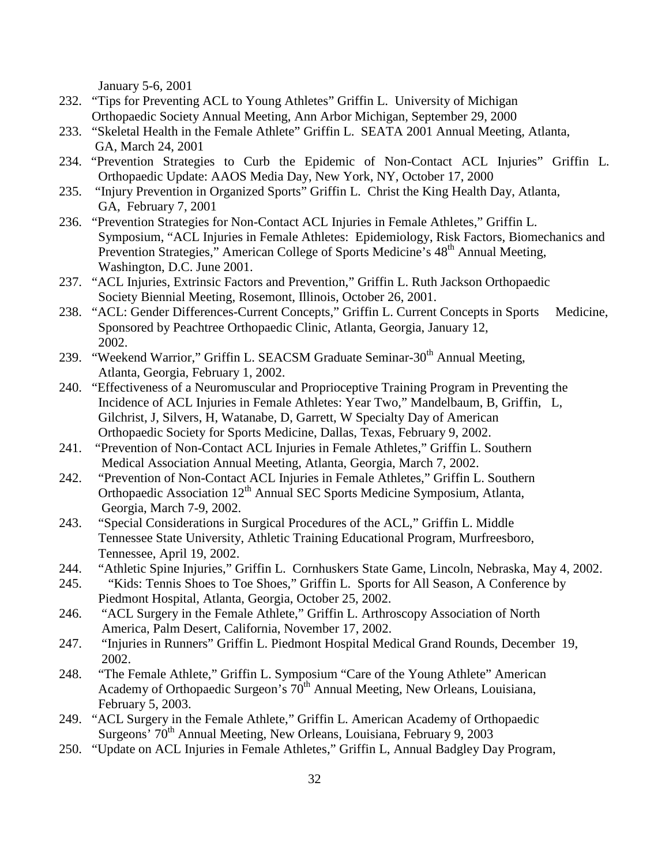January 5-6, 2001

- 232. "Tips for Preventing ACL to Young Athletes" Griffin L. University of Michigan Orthopaedic Society Annual Meeting, Ann Arbor Michigan, September 29, 2000
- 233. "Skeletal Health in the Female Athlete" Griffin L. SEATA 2001 Annual Meeting, Atlanta, GA, March 24, 2001
- 234. "Prevention Strategies to Curb the Epidemic of Non-Contact ACL Injuries" Griffin L. Orthopaedic Update: AAOS Media Day, New York, NY, October 17, 2000
- 235. "Injury Prevention in Organized Sports" Griffin L. Christ the King Health Day, Atlanta, GA, February 7, 2001
- 236. "Prevention Strategies for Non-Contact ACL Injuries in Female Athletes," Griffin L. Symposium, "ACL Injuries in Female Athletes: Epidemiology, Risk Factors, Biomechanics and Prevention Strategies," American College of Sports Medicine's 48<sup>th</sup> Annual Meeting, Washington, D.C. June 2001.
- 237. "ACL Injuries, Extrinsic Factors and Prevention," Griffin L. Ruth Jackson Orthopaedic Society Biennial Meeting, Rosemont, Illinois, October 26, 2001.
- 238. "ACL: Gender Differences-Current Concepts," Griffin L. Current Concepts in Sports Medicine, Sponsored by Peachtree Orthopaedic Clinic, Atlanta, Georgia, January 12, 2002.
- 239. "Weekend Warrior," Griffin L. SEACSM Graduate Seminar-30<sup>th</sup> Annual Meeting, Atlanta, Georgia, February 1, 2002.
- 240. "Effectiveness of a Neuromuscular and Proprioceptive Training Program in Preventing the Incidence of ACL Injuries in Female Athletes: Year Two," Mandelbaum, B, Griffin, L, Gilchrist, J, Silvers, H, Watanabe, D, Garrett, W Specialty Day of American Orthopaedic Society for Sports Medicine, Dallas, Texas, February 9, 2002.
- 241. "Prevention of Non-Contact ACL Injuries in Female Athletes," Griffin L. Southern Medical Association Annual Meeting, Atlanta, Georgia, March 7, 2002.
- 242. "Prevention of Non-Contact ACL Injuries in Female Athletes," Griffin L. Southern Orthopaedic Association 12<sup>th</sup> Annual SEC Sports Medicine Symposium, Atlanta, Georgia, March 7-9, 2002.
- 243. "Special Considerations in Surgical Procedures of the ACL," Griffin L. Middle Tennessee State University, Athletic Training Educational Program, Murfreesboro, Tennessee, April 19, 2002.
- 244. "Athletic Spine Injuries," Griffin L. Cornhuskers State Game, Lincoln, Nebraska, May 4, 2002.
- 245. "Kids: Tennis Shoes to Toe Shoes," Griffin L. Sports for All Season, A Conference by Piedmont Hospital, Atlanta, Georgia, October 25, 2002.
- 246. "ACL Surgery in the Female Athlete," Griffin L. Arthroscopy Association of North America, Palm Desert, California, November 17, 2002.
- 247. "Injuries in Runners" Griffin L. Piedmont Hospital Medical Grand Rounds, December 19, 2002.
- 248. "The Female Athlete," Griffin L. Symposium "Care of the Young Athlete" American Academy of Orthopaedic Surgeon's  $70<sup>th</sup>$  Annual Meeting, New Orleans, Louisiana, February 5, 2003.
- 249. "ACL Surgery in the Female Athlete," Griffin L. American Academy of Orthopaedic Surgeons' 70<sup>th</sup> Annual Meeting, New Orleans, Louisiana, February 9, 2003
- 250. "Update on ACL Injuries in Female Athletes," Griffin L, Annual Badgley Day Program,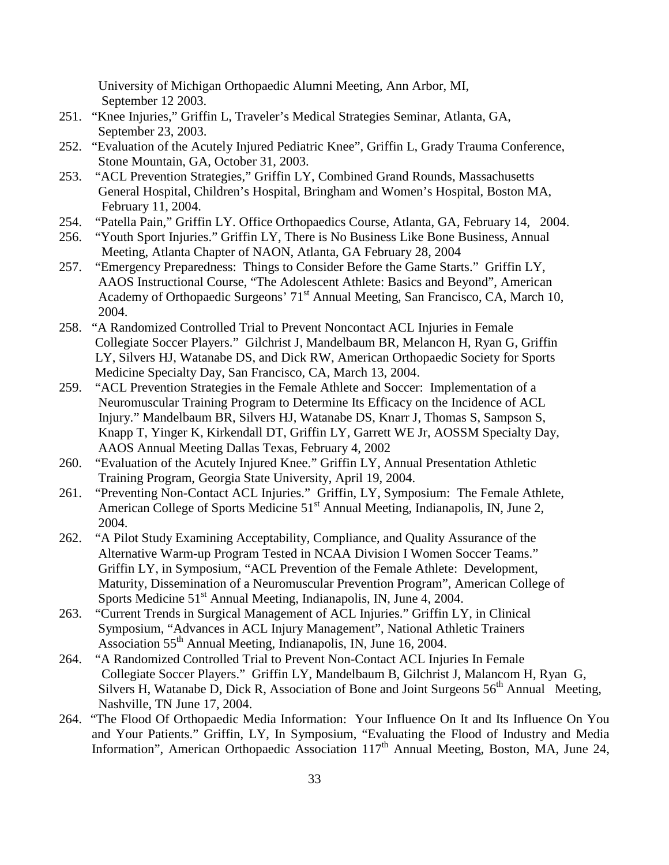University of Michigan Orthopaedic Alumni Meeting, Ann Arbor, MI, September 12 2003.

- 251. "Knee Injuries," Griffin L, Traveler's Medical Strategies Seminar, Atlanta, GA, September 23, 2003.
- 252. "Evaluation of the Acutely Injured Pediatric Knee", Griffin L, Grady Trauma Conference, Stone Mountain, GA, October 31, 2003.
- 253. "ACL Prevention Strategies," Griffin LY, Combined Grand Rounds, Massachusetts General Hospital, Children's Hospital, Bringham and Women's Hospital, Boston MA, February 11, 2004.
- 254. "Patella Pain," Griffin LY. Office Orthopaedics Course, Atlanta, GA, February 14, 2004.
- 256. "Youth Sport Injuries." Griffin LY, There is No Business Like Bone Business, Annual Meeting, Atlanta Chapter of NAON, Atlanta, GA February 28, 2004
- 257. "Emergency Preparedness: Things to Consider Before the Game Starts." Griffin LY, AAOS Instructional Course, "The Adolescent Athlete: Basics and Beyond", American Academy of Orthopaedic Surgeons' 71<sup>st</sup> Annual Meeting, San Francisco, CA, March 10, 2004.
- 258. "A Randomized Controlled Trial to Prevent Noncontact ACL Injuries in Female Collegiate Soccer Players." Gilchrist J, Mandelbaum BR, Melancon H, Ryan G, Griffin LY, Silvers HJ, Watanabe DS, and Dick RW, American Orthopaedic Society for Sports Medicine Specialty Day, San Francisco, CA, March 13, 2004.
- 259. "ACL Prevention Strategies in the Female Athlete and Soccer: Implementation of a Neuromuscular Training Program to Determine Its Efficacy on the Incidence of ACL Injury." Mandelbaum BR, Silvers HJ, Watanabe DS, Knarr J, Thomas S, Sampson S, Knapp T, Yinger K, Kirkendall DT, Griffin LY, Garrett WE Jr, AOSSM Specialty Day, AAOS Annual Meeting Dallas Texas, February 4, 2002
- 260. "Evaluation of the Acutely Injured Knee." Griffin LY, Annual Presentation Athletic Training Program, Georgia State University, April 19, 2004.
- 261. "Preventing Non-Contact ACL Injuries." Griffin, LY, Symposium: The Female Athlete, American College of Sports Medicine 51<sup>st</sup> Annual Meeting, Indianapolis, IN, June 2, 2004.
- 262. "A Pilot Study Examining Acceptability, Compliance, and Quality Assurance of the Alternative Warm-up Program Tested in NCAA Division I Women Soccer Teams." Griffin LY, in Symposium, "ACL Prevention of the Female Athlete: Development, Maturity, Dissemination of a Neuromuscular Prevention Program", American College of Sports Medicine  $51<sup>st</sup>$  Annual Meeting, Indianapolis, IN, June 4, 2004.
- 263. "Current Trends in Surgical Management of ACL Injuries." Griffin LY, in Clinical Symposium, "Advances in ACL Injury Management", National Athletic Trainers Association 55th Annual Meeting, Indianapolis, IN, June 16, 2004.
- 264. "A Randomized Controlled Trial to Prevent Non-Contact ACL Injuries In Female Collegiate Soccer Players." Griffin LY, Mandelbaum B, Gilchrist J, Malancom H, Ryan G, Silvers H, Watanabe D, Dick R, Association of Bone and Joint Surgeons  $56<sup>th</sup>$  Annual Meeting, Nashville, TN June 17, 2004.
- 264. "The Flood Of Orthopaedic Media Information: Your Influence On It and Its Influence On You and Your Patients." Griffin, LY, In Symposium, "Evaluating the Flood of Industry and Media Information", American Orthopaedic Association  $117<sup>th</sup>$  Annual Meeting, Boston, MA, June 24,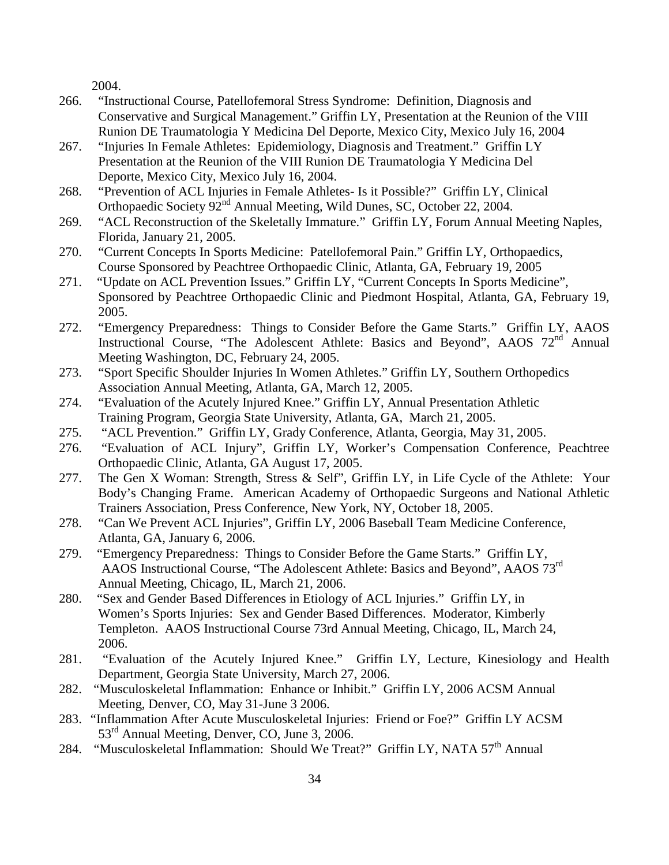2004.

- 266. "Instructional Course, Patellofemoral Stress Syndrome: Definition, Diagnosis and Conservative and Surgical Management." Griffin LY, Presentation at the Reunion of the VIII Runion DE Traumatologia Y Medicina Del Deporte, Mexico City, Mexico July 16, 2004
- 267. "Injuries In Female Athletes: Epidemiology, Diagnosis and Treatment." Griffin LY Presentation at the Reunion of the VIII Runion DE Traumatologia Y Medicina Del Deporte, Mexico City, Mexico July 16, 2004.
- 268. "Prevention of ACL Injuries in Female Athletes- Is it Possible?" Griffin LY, Clinical Orthopaedic Society 92<sup>nd</sup> Annual Meeting, Wild Dunes, SC, October 22, 2004.
- 269. "ACL Reconstruction of the Skeletally Immature." Griffin LY, Forum Annual Meeting Naples, Florida, January 21, 2005.
- 270. "Current Concepts In Sports Medicine: Patellofemoral Pain." Griffin LY, Orthopaedics, Course Sponsored by Peachtree Orthopaedic Clinic, Atlanta, GA, February 19, 2005
- 271. "Update on ACL Prevention Issues." Griffin LY, "Current Concepts In Sports Medicine", Sponsored by Peachtree Orthopaedic Clinic and Piedmont Hospital, Atlanta, GA, February 19, 2005.
- 272. "Emergency Preparedness: Things to Consider Before the Game Starts." Griffin LY, AAOS Instructional Course, "The Adolescent Athlete: Basics and Beyond", AAOS 72<sup>nd</sup> Annual Meeting Washington, DC, February 24, 2005.
- 273. "Sport Specific Shoulder Injuries In Women Athletes." Griffin LY, Southern Orthopedics Association Annual Meeting, Atlanta, GA, March 12, 2005.
- 274. "Evaluation of the Acutely Injured Knee." Griffin LY, Annual Presentation Athletic Training Program, Georgia State University, Atlanta, GA, March 21, 2005.
- 275. "ACL Prevention." Griffin LY, Grady Conference, Atlanta, Georgia, May 31, 2005.
- 276. "Evaluation of ACL Injury", Griffin LY, Worker's Compensation Conference, Peachtree Orthopaedic Clinic, Atlanta, GA August 17, 2005.
- 277. The Gen X Woman: Strength, Stress & Self", Griffin LY, in Life Cycle of the Athlete: Your Body's Changing Frame. American Academy of Orthopaedic Surgeons and National Athletic Trainers Association, Press Conference, New York, NY, October 18, 2005.
- 278. "Can We Prevent ACL Injuries", Griffin LY, 2006 Baseball Team Medicine Conference, Atlanta, GA, January 6, 2006.
- 279. "Emergency Preparedness: Things to Consider Before the Game Starts." Griffin LY, AAOS Instructional Course, "The Adolescent Athlete: Basics and Beyond", AAOS 73rd Annual Meeting, Chicago, IL, March 21, 2006.
- 280. "Sex and Gender Based Differences in Etiology of ACL Injuries." Griffin LY, in Women's Sports Injuries: Sex and Gender Based Differences. Moderator, Kimberly Templeton. AAOS Instructional Course 73rd Annual Meeting, Chicago, IL, March 24, 2006.
- 281. "Evaluation of the Acutely Injured Knee." Griffin LY, Lecture, Kinesiology and Health Department, Georgia State University, March 27, 2006.
- 282. "Musculoskeletal Inflammation: Enhance or Inhibit." Griffin LY, 2006 ACSM Annual Meeting, Denver, CO, May 31-June 3 2006.
- 283. "Inflammation After Acute Musculoskeletal Injuries: Friend or Foe?" Griffin LY ACSM 53rd Annual Meeting, Denver, CO, June 3, 2006.
- 284. "Musculoskeletal Inflammation: Should We Treat?" Griffin LY, NATA 57<sup>th</sup> Annual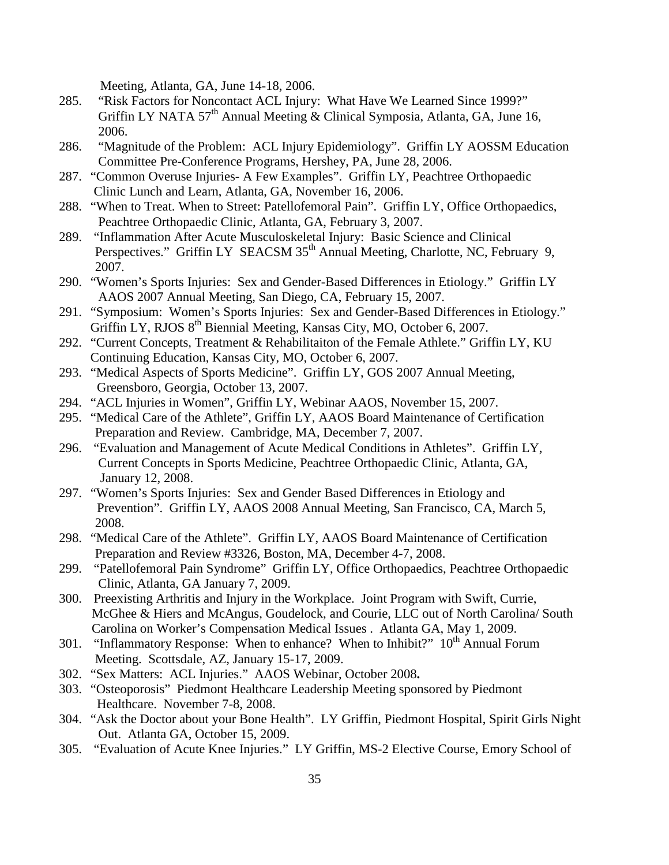Meeting, Atlanta, GA, June 14-18, 2006.

- 285. "Risk Factors for Noncontact ACL Injury: What Have We Learned Since 1999?" Griffin LY NATA 57<sup>th</sup> Annual Meeting & Clinical Symposia, Atlanta, GA, June 16, 2006.
- 286. "Magnitude of the Problem: ACL Injury Epidemiology". Griffin LY AOSSM Education Committee Pre-Conference Programs, Hershey, PA, June 28, 2006.
- 287. "Common Overuse Injuries- A Few Examples". Griffin LY, Peachtree Orthopaedic Clinic Lunch and Learn, Atlanta, GA, November 16, 2006.
- 288. "When to Treat. When to Street: Patellofemoral Pain". Griffin LY, Office Orthopaedics, Peachtree Orthopaedic Clinic, Atlanta, GA, February 3, 2007.
- 289. "Inflammation After Acute Musculoskeletal Injury: Basic Science and Clinical Perspectives." Griffin LY SEACSM 35<sup>th</sup> Annual Meeting, Charlotte, NC, February 9, 2007.
- 290. "Women's Sports Injuries: Sex and Gender-Based Differences in Etiology." Griffin LY AAOS 2007 Annual Meeting, San Diego, CA, February 15, 2007.
- 291. "Symposium: Women's Sports Injuries: Sex and Gender-Based Differences in Etiology." Griffin LY, RJOS 8<sup>th</sup> Biennial Meeting, Kansas City, MO, October 6, 2007.
- 292. "Current Concepts, Treatment & Rehabilitaiton of the Female Athlete." Griffin LY, KU Continuing Education, Kansas City, MO, October 6, 2007.
- 293. "Medical Aspects of Sports Medicine". Griffin LY, GOS 2007 Annual Meeting, Greensboro, Georgia, October 13, 2007.
- 294. "ACL Injuries in Women", Griffin LY, Webinar AAOS, November 15, 2007.
- 295. "Medical Care of the Athlete", Griffin LY, AAOS Board Maintenance of Certification Preparation and Review. Cambridge, MA, December 7, 2007.
- 296. "Evaluation and Management of Acute Medical Conditions in Athletes". Griffin LY, Current Concepts in Sports Medicine, Peachtree Orthopaedic Clinic, Atlanta, GA, January 12, 2008.
- 297. "Women's Sports Injuries: Sex and Gender Based Differences in Etiology and Prevention". Griffin LY, AAOS 2008 Annual Meeting, San Francisco, CA, March 5, 2008.
- 298. "Medical Care of the Athlete". Griffin LY, AAOS Board Maintenance of Certification Preparation and Review #3326, Boston, MA, December 4-7, 2008.
- 299. "Patellofemoral Pain Syndrome" Griffin LY, Office Orthopaedics, Peachtree Orthopaedic Clinic, Atlanta, GA January 7, 2009.
- 300. Preexisting Arthritis and Injury in the Workplace. Joint Program with Swift, Currie, McGhee & Hiers and McAngus, Goudelock, and Courie, LLC out of North Carolina/ South Carolina on Worker's Compensation Medical Issues . Atlanta GA, May 1, 2009.
- 301. "Inflammatory Response: When to enhance? When to Inhibit?"  $10<sup>th</sup>$  Annual Forum Meeting. Scottsdale, AZ, January 15-17, 2009.
- 302. "Sex Matters: ACL Injuries." AAOS Webinar, October 2008**.**
- 303. "Osteoporosis" Piedmont Healthcare Leadership Meeting sponsored by Piedmont Healthcare. November 7-8, 2008.
- 304. "Ask the Doctor about your Bone Health". LY Griffin, Piedmont Hospital, Spirit Girls Night Out. Atlanta GA, October 15, 2009.
- 305. "Evaluation of Acute Knee Injuries." LY Griffin, MS-2 Elective Course, Emory School of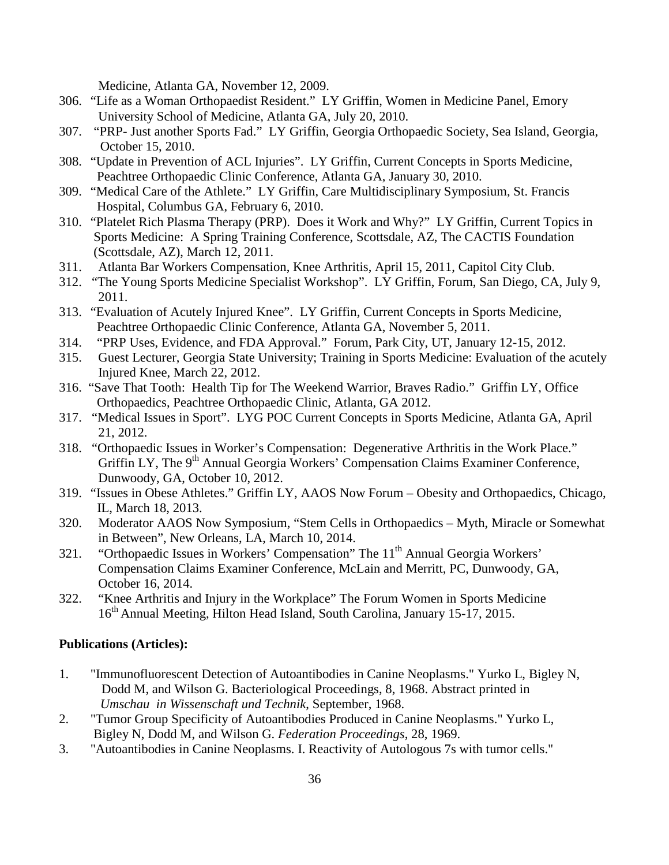Medicine, Atlanta GA, November 12, 2009.

- 306. "Life as a Woman Orthopaedist Resident." LY Griffin, Women in Medicine Panel, Emory University School of Medicine, Atlanta GA, July 20, 2010.
- 307. "PRP- Just another Sports Fad." LY Griffin, Georgia Orthopaedic Society, Sea Island, Georgia, October 15, 2010.
- 308. "Update in Prevention of ACL Injuries". LY Griffin, Current Concepts in Sports Medicine, Peachtree Orthopaedic Clinic Conference, Atlanta GA, January 30, 2010.
- 309. "Medical Care of the Athlete." LY Griffin, Care Multidisciplinary Symposium, St. Francis Hospital, Columbus GA, February 6, 2010.
- 310. "Platelet Rich Plasma Therapy (PRP). Does it Work and Why?" LY Griffin, Current Topics in Sports Medicine: A Spring Training Conference, Scottsdale, AZ, The CACTIS Foundation (Scottsdale, AZ), March 12, 2011.
- 311. Atlanta Bar Workers Compensation, Knee Arthritis, April 15, 2011, Capitol City Club.
- 312. "The Young Sports Medicine Specialist Workshop". LY Griffin, Forum, San Diego, CA, July 9, 2011.
- 313. "Evaluation of Acutely Injured Knee". LY Griffin, Current Concepts in Sports Medicine, Peachtree Orthopaedic Clinic Conference, Atlanta GA, November 5, 2011.
- 314. "PRP Uses, Evidence, and FDA Approval." Forum, Park City, UT, January 12-15, 2012.
- 315. Guest Lecturer, Georgia State University; Training in Sports Medicine: Evaluation of the acutely Injured Knee, March 22, 2012.
- 316. "Save That Tooth: Health Tip for The Weekend Warrior, Braves Radio." Griffin LY, Office Orthopaedics, Peachtree Orthopaedic Clinic, Atlanta, GA 2012.
- 317. "Medical Issues in Sport". LYG POC Current Concepts in Sports Medicine, Atlanta GA, April 21, 2012.
- 318. "Orthopaedic Issues in Worker's Compensation: Degenerative Arthritis in the Work Place." Griffin LY, The 9<sup>th</sup> Annual Georgia Workers' Compensation Claims Examiner Conference, Dunwoody, GA, October 10, 2012.
- 319. "Issues in Obese Athletes." Griffin LY, AAOS Now Forum Obesity and Orthopaedics, Chicago, IL, March 18, 2013.
- 320. Moderator AAOS Now Symposium, "Stem Cells in Orthopaedics Myth, Miracle or Somewhat in Between", New Orleans, LA, March 10, 2014.
- 321. "Orthopaedic Issues in Workers' Compensation" The 11<sup>th</sup> Annual Georgia Workers' Compensation Claims Examiner Conference, McLain and Merritt, PC, Dunwoody, GA, October 16, 2014.
- 322. "Knee Arthritis and Injury in the Workplace" The Forum Women in Sports Medicine 16<sup>th</sup> Annual Meeting, Hilton Head Island, South Carolina, January 15-17, 2015.

### **Publications (Articles):**

- 1. "Immunofluorescent Detection of Autoantibodies in Canine Neoplasms." Yurko L, Bigley N, Dodd M, and Wilson G. Bacteriological Proceedings, 8, 1968. Abstract printed in *Umschau in Wissenschaft und Technik*, September, 1968.
- 2. "Tumor Group Specificity of Autoantibodies Produced in Canine Neoplasms." Yurko L, Bigley N, Dodd M, and Wilson G. *Federation Proceedings*, 28, 1969.
- 3. "Autoantibodies in Canine Neoplasms. I. Reactivity of Autologous 7s with tumor cells."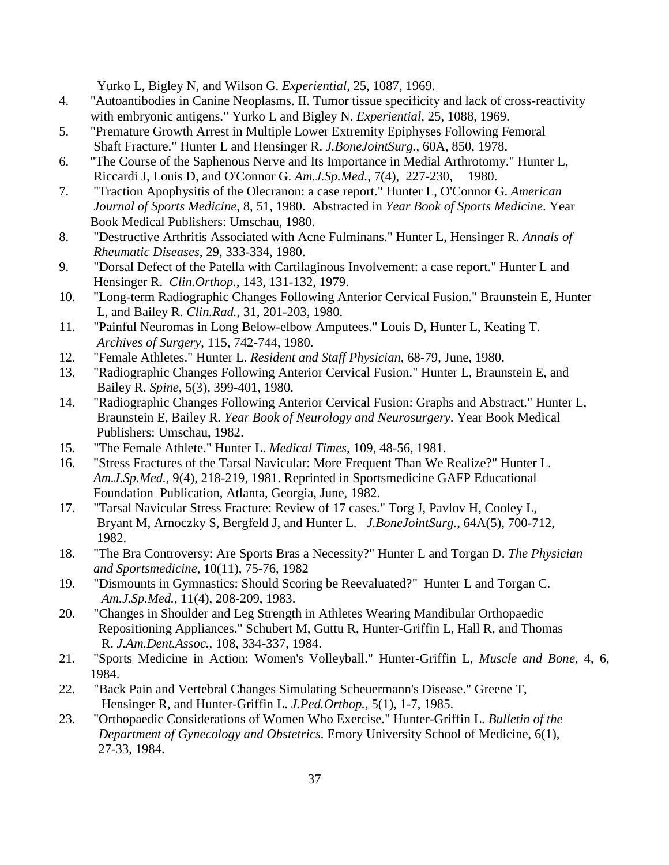Yurko L, Bigley N, and Wilson G. *Experiential*, 25, 1087, 1969.

- 4. "Autoantibodies in Canine Neoplasms. II. Tumor tissue specificity and lack of cross-reactivity with embryonic antigens." Yurko L and Bigley N. *Experiential*, 25, 1088, 1969.
- 5. "Premature Growth Arrest in Multiple Lower Extremity Epiphyses Following Femoral Shaft Fracture." Hunter L and Hensinger R. *J.BoneJointSurg.*, 60A, 850, 1978.
- 6. "The Course of the Saphenous Nerve and Its Importance in Medial Arthrotomy." Hunter L, Riccardi J, Louis D, and O'Connor G. *Am.J.Sp.Med.*, 7(4), 227-230, 1980.
- 7. "Traction Apophysitis of the Olecranon: a case report." Hunter L, O'Connor G. *American Journal of Sports Medicine*, 8, 51, 1980. Abstracted in *Year Book of Sports Medicine*. Year Book Medical Publishers: Umschau, 1980.
- 8. "Destructive Arthritis Associated with Acne Fulminans." Hunter L, Hensinger R. *Annals of Rheumatic Diseases*, 29, 333-334, 1980.
- 9. "Dorsal Defect of the Patella with Cartilaginous Involvement: a case report." Hunter L and Hensinger R. *Clin.Orthop.*, 143, 131-132, 1979.
- 10. "Long-term Radiographic Changes Following Anterior Cervical Fusion." Braunstein E, Hunter L, and Bailey R. *Clin.Rad.*, 31, 201-203, 1980.
- 11. "Painful Neuromas in Long Below-elbow Amputees." Louis D, Hunter L, Keating T.  *Archives of Surgery*, 115, 742-744, 1980.
- 12. "Female Athletes." Hunter L. *Resident and Staff Physician*, 68-79, June, 1980.
- 13. "Radiographic Changes Following Anterior Cervical Fusion." Hunter L, Braunstein E, and Bailey R. *Spine*, 5(3), 399-401, 1980.
- 14. "Radiographic Changes Following Anterior Cervical Fusion: Graphs and Abstract." Hunter L, Braunstein E, Bailey R. *Year Book of Neurology and Neurosurgery*. Year Book Medical Publishers: Umschau, 1982.
- 15. "The Female Athlete." Hunter L. *Medical Times*, 109, 48-56, 1981.
- 16. "Stress Fractures of the Tarsal Navicular: More Frequent Than We Realize?" Hunter L. *Am.J.Sp.Med.*, 9(4), 218-219, 1981. Reprinted in Sportsmedicine GAFP Educational Foundation Publication, Atlanta, Georgia, June, 1982.
- 17. "Tarsal Navicular Stress Fracture: Review of 17 cases." Torg J, Pavlov H, Cooley L, Bryant M, Arnoczky S, Bergfeld J, and Hunter L. *J.BoneJointSurg.*, 64A(5), 700-712, 1982.
- 18. "The Bra Controversy: Are Sports Bras a Necessity?" Hunter L and Torgan D. *The Physician and Sportsmedicine*, 10(11), 75-76, 1982
- 19. "Dismounts in Gymnastics: Should Scoring be Reevaluated?" Hunter L and Torgan C. *Am.J.Sp.Med.*, 11(4), 208-209, 1983.
- 20. "Changes in Shoulder and Leg Strength in Athletes Wearing Mandibular Orthopaedic Repositioning Appliances." Schubert M, Guttu R, Hunter-Griffin L, Hall R, and Thomas R. *J.Am.Dent.Assoc.*, 108, 334-337, 1984.
- 21. "Sports Medicine in Action: Women's Volleyball." Hunter-Griffin L, *Muscle and Bone*, 4, 6, 1984.
- 22. "Back Pain and Vertebral Changes Simulating Scheuermann's Disease." Greene T, Hensinger R, and Hunter-Griffin L. *J.Ped.Orthop.*, 5(1), 1-7, 1985.
- 23. "Orthopaedic Considerations of Women Who Exercise." Hunter-Griffin L. *Bulletin of the Department of Gynecology and Obstetrics*. Emory University School of Medicine, 6(1), 27-33, 1984.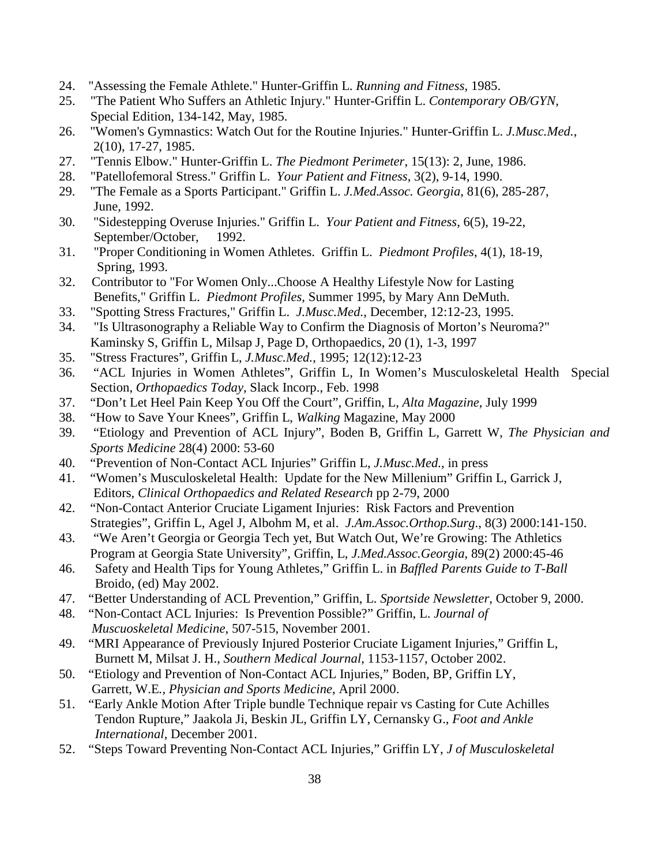- 24. "Assessing the Female Athlete." Hunter-Griffin L. *Running and Fitness*, 1985.
- 25. "The Patient Who Suffers an Athletic Injury." Hunter-Griffin L. *Contemporary OB/GYN*, Special Edition, 134-142, May, 1985.
- 26. "Women's Gymnastics: Watch Out for the Routine Injuries." Hunter-Griffin L. *J.Musc.Med.*, 2(10), 17-27, 1985.
- 27. "Tennis Elbow." Hunter-Griffin L. *The Piedmont Perimeter*, 15(13): 2, June, 1986.
- 28. "Patellofemoral Stress." Griffin L. *Your Patient and Fitness*, 3(2), 9-14, 1990.
- 29. "The Female as a Sports Participant." Griffin L. *J.Med.Assoc. Georgia*, 81(6), 285-287, June, 1992.
- 30. "Sidestepping Overuse Injuries." Griffin L. *Your Patient and Fitness*, 6(5), 19-22, September/October, 1992.
- 31. "Proper Conditioning in Women Athletes. Griffin L. *Piedmont Profiles*, 4(1), 18-19, Spring, 1993.
- 32. Contributor to "For Women Only...Choose A Healthy Lifestyle Now for Lasting Benefits," Griffin L. *Piedmont Profiles,* Summer 1995, by Mary Ann DeMuth.
- 33. "Spotting Stress Fractures," Griffin L. *J.Musc.Med.*, December, 12:12-23, 1995.
- 34. "Is Ultrasonography a Reliable Way to Confirm the Diagnosis of Morton's Neuroma?" Kaminsky S, Griffin L, Milsap J, Page D, Orthopaedics, 20 (1), 1-3, 1997
- 35. "Stress Fractures", Griffin L, *J.Musc.Med.*, 1995; 12(12):12-23
- 36. "ACL Injuries in Women Athletes", Griffin L, In Women's Musculoskeletal Health Special Section, *Orthopaedics Today*, Slack Incorp., Feb. 1998
- 37. "Don't Let Heel Pain Keep You Off the Court", Griffin, L, *Alta Magazine*, July 1999
- 38. "How to Save Your Knees", Griffin L, *Walking* Magazine, May 2000
- 39. "Etiology and Prevention of ACL Injury", Boden B, Griffin L, Garrett W, *The Physician and Sports Medicine* 28(4) 2000: 53-60
- 40. "Prevention of Non-Contact ACL Injuries" Griffin L, *J.Musc.Med.,* in press
- 41. "Women's Musculoskeletal Health: Update for the New Millenium" Griffin L, Garrick J, Editors, *Clinical Orthopaedics and Related Research* pp 2-79, 2000
- 42. "Non-Contact Anterior Cruciate Ligament Injuries: Risk Factors and Prevention Strategies", Griffin L, Agel J, Albohm M, et al. *J.Am.Assoc.Orthop.Surg*., 8(3) 2000:141-150.
- 43. "We Aren't Georgia or Georgia Tech yet, But Watch Out, We're Growing: The Athletics Program at Georgia State University", Griffin, L, *J.Med.Assoc.Georgia*, 89(2) 2000:45-46
- 46. Safety and Health Tips for Young Athletes," Griffin L. in *Baffled Parents Guide to T-Ball* Broido, (ed) May 2002.
- 47. "Better Understanding of ACL Prevention," Griffin, L. *Sportside Newsletter*, October 9, 2000.
- 48. "Non-Contact ACL Injuries: Is Prevention Possible?" Griffin, L. *Journal of Muscuoskeletal Medicine*, 507-515, November 2001.
- 49. "MRI Appearance of Previously Injured Posterior Cruciate Ligament Injuries," Griffin L, Burnett M, Milsat J. H., *Southern Medical Journal*, 1153-1157, October 2002.
- 50. "Etiology and Prevention of Non-Contact ACL Injuries," Boden, BP, Griffin LY, Garrett, W.E*., Physician and Sports Medicine*, April 2000.
- 51. "Early Ankle Motion After Triple bundle Technique repair vs Casting for Cute Achilles Tendon Rupture," Jaakola Ji, Beskin JL, Griffin LY, Cernansky G., *Foot and Ankle International*, December 2001.
- 52. "Steps Toward Preventing Non-Contact ACL Injuries," Griffin LY, *J of Musculoskeletal*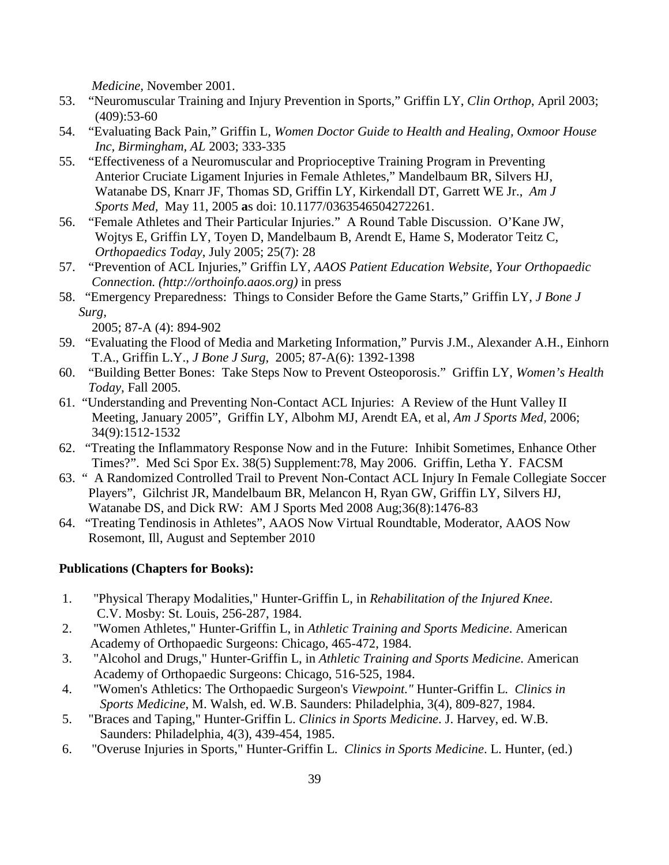*Medicine,* November 2001.

- 53. "Neuromuscular Training and Injury Prevention in Sports," Griffin LY, *Clin Orthop*, April 2003; (409):53-60
- 54. "Evaluating Back Pain," Griffin L, *Women Doctor Guide to Health and Healing, Oxmoor House Inc, Birmingham, AL* 2003; 333-335
- 55. "Effectiveness of a Neuromuscular and Proprioceptive Training Program in Preventing Anterior Cruciate Ligament Injuries in Female Athletes," Mandelbaum BR, Silvers HJ, Watanabe DS, Knarr JF, Thomas SD, Griffin LY, Kirkendall DT, Garrett WE Jr., *Am J Sports Med,* May 11, 2005 **a**s doi: 10.1177/0363546504272261.
- 56. "Female Athletes and Their Particular Injuries." A Round Table Discussion. O'Kane JW, Wojtys E, Griffin LY, Toyen D, Mandelbaum B, Arendt E, Hame S, Moderator Teitz C, *Orthopaedics Today*, July 2005; 25(7): 28
- 57. "Prevention of ACL Injuries," Griffin LY, *AAOS Patient Education Website, Your Orthopaedic Connection. (http://orthoinfo.aaos.org)* in press
- 58. "Emergency Preparedness: Things to Consider Before the Game Starts," Griffin LY, *J Bone J Surg,*

2005; 87-A (4): 894-902

- 59. "Evaluating the Flood of Media and Marketing Information," Purvis J.M., Alexander A.H., Einhorn T.A., Griffin L.Y., *J Bone J Surg,* 2005; 87-A(6): 1392-1398
- 60. "Building Better Bones: Take Steps Now to Prevent Osteoporosis." Griffin LY, *Women's Health Today*, Fall 2005.
- 61. "Understanding and Preventing Non-Contact ACL Injuries: A Review of the Hunt Valley II Meeting, January 2005", Griffin LY, Albohm MJ, Arendt EA, et al, *Am J Sports Med,* 2006; 34(9):1512-1532
- 62. "Treating the Inflammatory Response Now and in the Future: Inhibit Sometimes, Enhance Other Times?". Med Sci Spor Ex. 38(5) Supplement:78, May 2006. Griffin, Letha Y. FACSM
- 63. " A Randomized Controlled Trail to Prevent Non-Contact ACL Injury In Female Collegiate Soccer Players", Gilchrist JR, Mandelbaum BR, Melancon H, Ryan GW, Griffin LY, Silvers HJ, Watanabe DS, and Dick RW: AM J Sports Med 2008 Aug;36(8):1476-83
- 64. "Treating Tendinosis in Athletes", AAOS Now Virtual Roundtable, Moderator, AAOS Now Rosemont, Ill, August and September 2010

### **Publications (Chapters for Books):**

- 1. "Physical Therapy Modalities," Hunter-Griffin L, in *Rehabilitation of the Injured Knee*. C.V. Mosby: St. Louis, 256-287, 1984.
- 2. "Women Athletes," Hunter-Griffin L, in *Athletic Training and Sports Medicine*. American Academy of Orthopaedic Surgeons: Chicago, 465-472, 1984.
- 3. "Alcohol and Drugs," Hunter-Griffin L, in *Athletic Training and Sports Medicine*. American Academy of Orthopaedic Surgeons: Chicago, 516-525, 1984.
- 4. "Women's Athletics: The Orthopaedic Surgeon's *Viewpoint."* Hunter-Griffin L. *Clinics in Sports Medicine*, M. Walsh, ed. W.B. Saunders: Philadelphia, 3(4), 809-827, 1984.
- 5. "Braces and Taping," Hunter-Griffin L. *Clinics in Sports Medicine*. J. Harvey, ed. W.B. Saunders: Philadelphia, 4(3), 439-454, 1985.
- 6. "Overuse Injuries in Sports," Hunter-Griffin L. *Clinics in Sports Medicine*. L. Hunter, (ed.)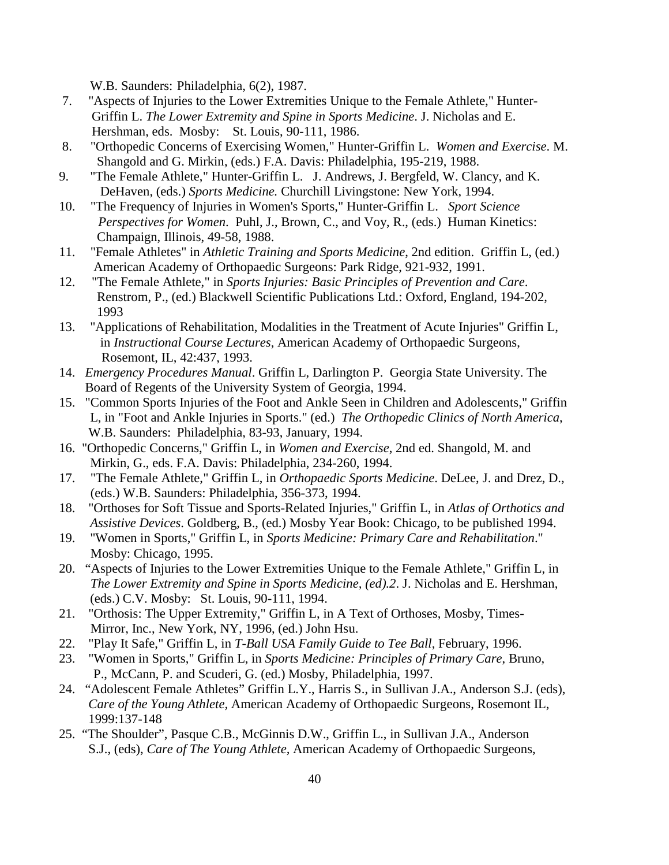W.B. Saunders: Philadelphia, 6(2), 1987.

- 7. "Aspects of Injuries to the Lower Extremities Unique to the Female Athlete," Hunter- Griffin L. *The Lower Extremity and Spine in Sports Medicine*. J. Nicholas and E. Hershman, eds. Mosby: St. Louis, 90-111, 1986.
- 8. "Orthopedic Concerns of Exercising Women," Hunter-Griffin L. *Women and Exercise*. M. Shangold and G. Mirkin, (eds.) F.A. Davis: Philadelphia, 195-219, 1988.
- 9. "The Female Athlete," Hunter-Griffin L. J. Andrews, J. Bergfeld, W. Clancy, and K. DeHaven, (eds.) *Sports Medicine.* Churchill Livingstone: New York, 1994.
- 10. "The Frequency of Injuries in Women's Sports," Hunter-Griffin L. *Sport Science Perspectives for Women*. Puhl, J., Brown, C., and Voy, R., (eds.) Human Kinetics: Champaign, Illinois, 49-58, 1988.
- 11. "Female Athletes" in *Athletic Training and Sports Medicine*, 2nd edition. Griffin L, (ed.) American Academy of Orthopaedic Surgeons: Park Ridge, 921-932, 1991.
- 12. "The Female Athlete," in *Sports Injuries: Basic Principles of Prevention and Care*. Renstrom, P., (ed.) Blackwell Scientific Publications Ltd.: Oxford, England, 194-202, 1993
- 13. "Applications of Rehabilitation, Modalities in the Treatment of Acute Injuries" Griffin L, in *Instructional Course Lectures*, American Academy of Orthopaedic Surgeons, Rosemont, IL, 42:437, 1993.
- 14. *Emergency Procedures Manual*. Griffin L, Darlington P. Georgia State University. The Board of Regents of the University System of Georgia, 1994.
- 15. "Common Sports Injuries of the Foot and Ankle Seen in Children and Adolescents," Griffin L, in "Foot and Ankle Injuries in Sports." (ed.) *The Orthopedic Clinics of North America*, W.B. Saunders: Philadelphia, 83-93, January, 1994.
- 16. "Orthopedic Concerns," Griffin L, in *Women and Exercise*, 2nd ed. Shangold, M. and Mirkin, G., eds. F.A. Davis: Philadelphia, 234-260, 1994.
- 17. "The Female Athlete," Griffin L, in *Orthopaedic Sports Medicine*. DeLee, J. and Drez, D., (eds.) W.B. Saunders: Philadelphia, 356-373, 1994.
- 18. "Orthoses for Soft Tissue and Sports-Related Injuries," Griffin L, in *Atlas of Orthotics and Assistive Devices*. Goldberg, B., (ed.) Mosby Year Book: Chicago, to be published 1994.
- 19. "Women in Sports," Griffin L, in *Sports Medicine: Primary Care and Rehabilitation*." Mosby: Chicago, 1995.
- 20. "Aspects of Injuries to the Lower Extremities Unique to the Female Athlete," Griffin L, in *The Lower Extremity and Spine in Sports Medicine, (ed).2*. J. Nicholas and E. Hershman, (eds.) C.V. Mosby: St. Louis, 90-111, 1994.
- 21. "Orthosis: The Upper Extremity," Griffin L, in A Text of Orthoses, Mosby, Times-Mirror, Inc., New York, NY, 1996, (ed.) John Hsu.
- 22. "Play It Safe," Griffin L, in *T-Ball USA Family Guide to Tee Ball*, February, 1996.
- 23. "Women in Sports," Griffin L, in *Sports Medicine: Principles of Primary Care*, Bruno, P., McCann, P. and Scuderi, G. (ed.) Mosby, Philadelphia, 1997.
- 24. "Adolescent Female Athletes" Griffin L.Y., Harris S., in Sullivan J.A., Anderson S.J. (eds), *Care of the Young Athlete,* American Academy of Orthopaedic Surgeons, Rosemont IL, 1999:137-148
- 25. "The Shoulder", Pasque C.B., McGinnis D.W., Griffin L., in Sullivan J.A., Anderson S.J., (eds), *Care of The Young Athlete,* American Academy of Orthopaedic Surgeons,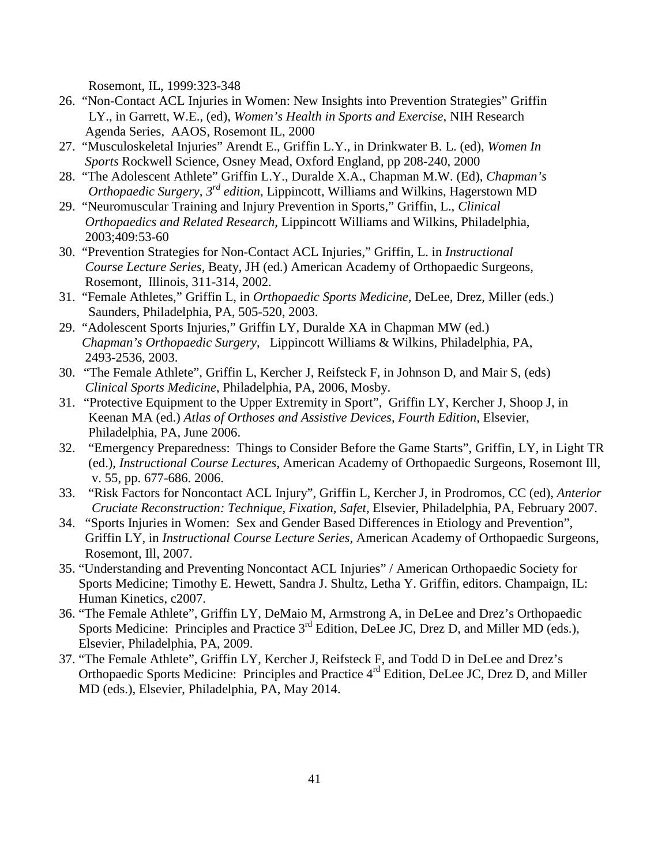Rosemont, IL, 1999:323-348

- 26. "Non-Contact ACL Injuries in Women: New Insights into Prevention Strategies" Griffin LY., in Garrett, W.E., (ed), *Women's Health in Sports and Exercise*, NIH Research Agenda Series, AAOS, Rosemont IL, 2000
- 27. "Musculoskeletal Injuries" Arendt E., Griffin L.Y., in Drinkwater B. L. (ed), *Women In Sports* Rockwell Science, Osney Mead, Oxford England, pp 208-240, 2000
- 28. "The Adolescent Athlete" Griffin L.Y., Duralde X.A., Chapman M.W. (Ed), *Chapman's Orthopaedic Surgery, 3rd edition*, Lippincott, Williams and Wilkins, Hagerstown MD
- 29. "Neuromuscular Training and Injury Prevention in Sports," Griffin, L., *Clinical Orthopaedics and Related Research*, Lippincott Williams and Wilkins, Philadelphia, 2003;409:53-60
- 30. "Prevention Strategies for Non-Contact ACL Injuries," Griffin, L. in *Instructional Course Lecture Series,* Beaty, JH (ed.) American Academy of Orthopaedic Surgeons, Rosemont, Illinois, 311-314, 2002.
- 31. "Female Athletes," Griffin L, in *Orthopaedic Sports Medicine,* DeLee, Drez, Miller (eds.) Saunders, Philadelphia, PA, 505-520, 2003.
- 29. "Adolescent Sports Injuries," Griffin LY, Duralde XA in Chapman MW (ed.) *Chapman's Orthopaedic Surgery*, Lippincott Williams & Wilkins, Philadelphia, PA, 2493-2536, 2003.
- 30. "The Female Athlete", Griffin L, Kercher J, Reifsteck F, in Johnson D, and Mair S, (eds) *Clinical Sports Medicine*, Philadelphia, PA, 2006, Mosby.
- 31. "Protective Equipment to the Upper Extremity in Sport", Griffin LY, Kercher J, Shoop J, in Keenan MA (ed.) *Atlas of Orthoses and Assistive Devices, Fourth Edition*, Elsevier, Philadelphia, PA, June 2006.
- 32. "Emergency Preparedness: Things to Consider Before the Game Starts", Griffin, LY, in Light TR (ed.), *Instructional Course Lectures*, American Academy of Orthopaedic Surgeons, Rosemont Ill, v. 55, pp. 677-686. 2006.
- 33. "Risk Factors for Noncontact ACL Injury", Griffin L, Kercher J, in Prodromos, CC (ed), *Anterior Cruciate Reconstruction: Technique, Fixation, Safet,* Elsevier, Philadelphia, PA, February 2007.
- 34. "Sports Injuries in Women: Sex and Gender Based Differences in Etiology and Prevention", Griffin LY, in *Instructional Course Lecture Series,* American Academy of Orthopaedic Surgeons, Rosemont, Ill, 2007.
- 35. "Understanding and Preventing Noncontact ACL Injuries" / American Orthopaedic Society for Sports Medicine; Timothy E. Hewett, Sandra J. Shultz, Letha Y. Griffin, editors. Champaign, IL: Human Kinetics, c2007.
- 36. "The Female Athlete", Griffin LY, DeMaio M, Armstrong A, in DeLee and Drez's Orthopaedic Sports Medicine: Principles and Practice 3<sup>rd</sup> Edition, DeLee JC, Drez D, and Miller MD (eds.), Elsevier, Philadelphia, PA, 2009.
- 37. "The Female Athlete", Griffin LY, Kercher J, Reifsteck F, and Todd D in DeLee and Drez's Orthopaedic Sports Medicine: Principles and Practice 4<sup>rd</sup> Edition, DeLee JC, Drez D, and Miller MD (eds.), Elsevier, Philadelphia, PA, May 2014.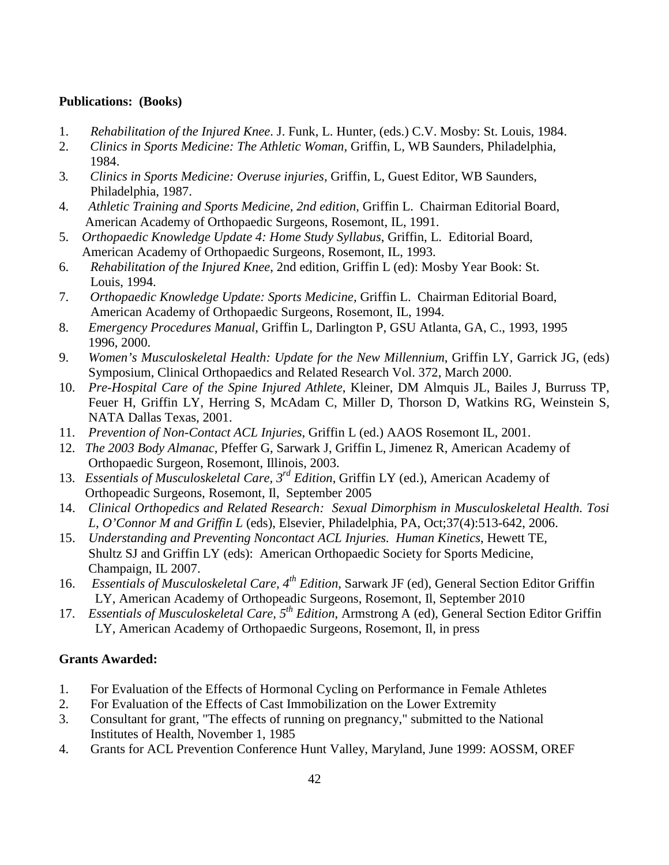## **Publications: (Books)**

- 1. *Rehabilitation of the Injured Knee*. J. Funk, L. Hunter, (eds.) C.V. Mosby: St. Louis, 1984.
- 2. *Clinics in Sports Medicine: The Athletic Woman,* Griffin, L, WB Saunders, Philadelphia, 1984.
- 3*. Clinics in Sports Medicine: Overuse injuries,* Griffin, L, Guest Editor, WB Saunders, Philadelphia, 1987.
- 4. *Athletic Training and Sports Medicine, 2nd edition,* Griffin L. Chairman Editorial Board, American Academy of Orthopaedic Surgeons, Rosemont, IL, 1991.
- 5. *Orthopaedic Knowledge Update 4: Home Study Syllabus*, Griffin, L. Editorial Board, American Academy of Orthopaedic Surgeons, Rosemont, IL, 1993.
- 6. *Rehabilitation of the Injured Knee*, 2nd edition, Griffin L (ed): Mosby Year Book: St. Louis, 1994.
- 7. *Orthopaedic Knowledge Update: Sports Medicine,* Griffin L. Chairman Editorial Board, American Academy of Orthopaedic Surgeons, Rosemont, IL, 1994.
- 8. *Emergency Procedures Manual*, Griffin L, Darlington P, GSU Atlanta, GA, C., 1993, 1995 1996, 2000.
- 9. *Women's Musculoskeletal Health: Update for the New Millennium*, Griffin LY, Garrick JG, (eds) Symposium, Clinical Orthopaedics and Related Research Vol. 372, March 2000.
- 10. *Pre-Hospital Care of the Spine Injured Athlete*, Kleiner, DM Almquis JL, Bailes J, Burruss TP, Feuer H, Griffin LY, Herring S, McAdam C, Miller D, Thorson D, Watkins RG, Weinstein S, NATA Dallas Texas, 2001.
- 11. *Prevention of Non-Contact ACL Injuries*, Griffin L (ed.) AAOS Rosemont IL, 2001.
- 12. *The 2003 Body Almanac,* Pfeffer G, Sarwark J, Griffin L, Jimenez R, American Academy of Orthopaedic Surgeon, Rosemont, Illinois, 2003.
- 13. *Essentials of Musculoskeletal Care, 3rd Edition*, Griffin LY (ed.), American Academy of Orthopeadic Surgeons, Rosemont, Il, September 2005
- 14. *Clinical Orthopedics and Related Research: Sexual Dimorphism in Musculoskeletal Health. Tosi L, O'Connor M and Griffin L* (eds), Elsevier, Philadelphia, PA, Oct;37(4):513-642, 2006.
- 15. *Understanding and Preventing Noncontact ACL Injuries. Human Kinetics*, Hewett TE, Shultz SJ and Griffin LY (eds): American Orthopaedic Society for Sports Medicine, Champaign, IL 2007.
- 16. *Essentials of Musculoskeletal Care, 4th Edition*, Sarwark JF (ed), General Section Editor Griffin LY, American Academy of Orthopeadic Surgeons, Rosemont, Il, September 2010
- 17. *Essentials of Musculoskeletal Care, 5th Edition*, Armstrong A (ed), General Section Editor Griffin LY, American Academy of Orthopaedic Surgeons, Rosemont, Il, in press

# **Grants Awarded:**

- 1. For Evaluation of the Effects of Hormonal Cycling on Performance in Female Athletes
- 2. For Evaluation of the Effects of Cast Immobilization on the Lower Extremity
- 3. Consultant for grant, "The effects of running on pregnancy," submitted to the National Institutes of Health, November 1, 1985
- 4. Grants for ACL Prevention Conference Hunt Valley, Maryland, June 1999: AOSSM, OREF